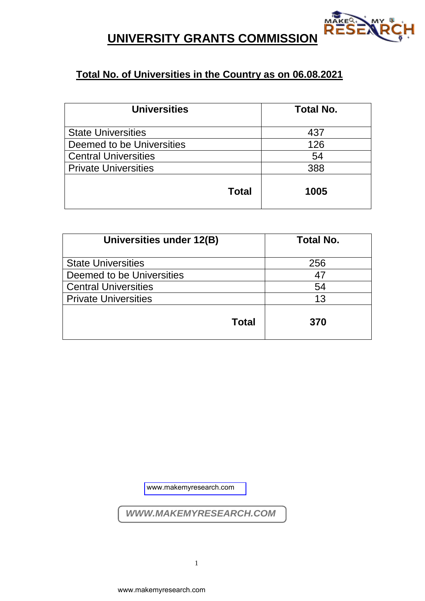

## **UNIVERSITY GRANTS COMMISSION**

## **Total No. of Universities in the Country as on 06.08.2021**

| <b>Universities</b>         | <b>Total No.</b> |
|-----------------------------|------------------|
| <b>State Universities</b>   | 437              |
| Deemed to be Universities   | 126              |
| <b>Central Universities</b> | 54               |
| <b>Private Universities</b> | 388              |
| Total                       | 1005             |

| Universities under 12(B)    | <b>Total No.</b> |
|-----------------------------|------------------|
| <b>State Universities</b>   | 256              |
| Deemed to be Universities   | 47               |
| <b>Central Universities</b> | 54               |
| <b>Private Universities</b> | 13               |
| <b>Total</b>                | 370              |

[www.makemyresearch.com](https://www.makemyresearch.com/) $\begin{array}{cc} \sqrt{WWW.MAKEMYRESEAF} \ \end{array}$ www.makemyresearch.com *WWW.MAKEMYRESEARCH.COM*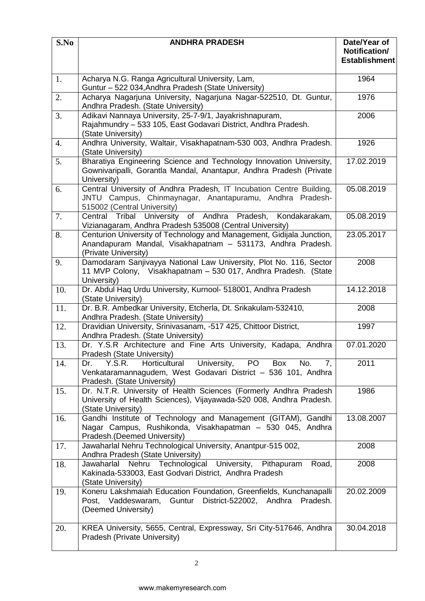| S.No             | <b>ANDHRA PRADESH</b>                                                                                                                                                | Date/Year of<br>Notification/<br><b>Establishment</b> |
|------------------|----------------------------------------------------------------------------------------------------------------------------------------------------------------------|-------------------------------------------------------|
| 1.               | Acharya N.G. Ranga Agricultural University, Lam,<br>Guntur - 522 034, Andhra Pradesh (State University)                                                              | 1964                                                  |
| 2.               | Acharya Nagarjuna University, Nagarjuna Nagar-522510, Dt. Guntur,<br>Andhra Pradesh. (State University)                                                              | 1976                                                  |
| 3.               | Adikavi Nannaya University, 25-7-9/1, Jayakrishnapuram,<br>Rajahmundry - 533 105, East Godavari District, Andhra Pradesh.<br>(State University)                      | 2006                                                  |
| $\overline{4}$ . | Andhra University, Waltair, Visakhapatnam-530 003, Andhra Pradesh.<br>(State University)                                                                             | 1926                                                  |
| 5.               | Bharatiya Engineering Science and Technology Innovation University,<br>Gownivaripalli, Gorantla Mandal, Anantapur, Andhra Pradesh (Private<br>University)            | 17.02.2019                                            |
| 6.               | Central University of Andhra Pradesh, IT Incubation Centre Building,<br>JNTU Campus, Chinmaynagar, Anantapuramu, Andhra Pradesh-<br>515002 (Central University)      | 05.08.2019                                            |
| 7.               | Central Tribal University of Andhra Pradesh, Kondakarakam,<br>Vizianagaram, Andhra Pradesh 535008 (Central University)                                               | 05.08.2019                                            |
| 8.               | Centurion University of Technology and Management, Gidijala Junction,<br>Anandapuram Mandal, Visakhapatnam - 531173, Andhra Pradesh.<br>(Private University)         | 23.05.2017                                            |
| 9.               | Damodaram Sanjivayya National Law University, Plot No. 116, Sector<br>11 MVP Colony, Visakhapatnam - 530 017, Andhra Pradesh. (State<br>University)                  | 2008                                                  |
| 10.              | Dr. Abdul Haq Urdu University, Kurnool- 518001, Andhra Pradesh<br>(State University)                                                                                 | 14.12.2018                                            |
| 11.              | Dr. B.R. Ambedkar University, Etcherla, Dt. Srikakulam-532410,<br>Andhra Pradesh. (State University)                                                                 | 2008                                                  |
| 12.              | Dravidian University, Srinivasanam, -517 425, Chittoor District,<br>Andhra Pradesh. (State University)                                                               | 1997                                                  |
| 13.              | Dr. Y.S.R Architecture and Fine Arts University, Kadapa, Andhra<br>Pradesh (State University)                                                                        | 07.01.2020                                            |
| 14.              | Y.S.R.<br>Horticultural<br>University, PO<br>Box<br>No.<br>7,<br>Dr.<br>Venkataramannagudem, West Godavari District - 536 101, Andhra<br>Pradesh. (State University) | 2011                                                  |
| 15.              | Dr. N.T.R. University of Health Sciences (Formerly Andhra Pradesh<br>University of Health Sciences), Vijayawada-520 008, Andhra Pradesh.<br>(State University)       | 1986                                                  |
| 16.              | Gandhi Institute of Technology and Management (GITAM), Gandhi<br>Nagar Campus, Rushikonda, Visakhapatman - 530 045, Andhra<br>Pradesh.(Deemed University)            | 13.08.2007                                            |
| 17.              | Jawaharlal Nehru Technological University, Anantpur-515 002,<br>Andhra Pradesh (State University)                                                                    | 2008                                                  |
| 18.              | Jawaharlal Nehru Technological University, Pithapuram<br>Road,<br>Kakinada-533003, East Godvari District, Andhra Pradesh<br>(State University)                       | 2008                                                  |
| 19.              | Koneru Lakshmaiah Education Foundation, Greenfields, Kunchanapalli<br>Post, Vaddeswaram, Guntur District-522002, Andhra<br>Pradesh.<br>(Deemed University)           | 20.02.2009                                            |
| 20.              | KREA University, 5655, Central, Expressway, Sri City-517646, Andhra<br>Pradesh (Private University)                                                                  | 30.04.2018                                            |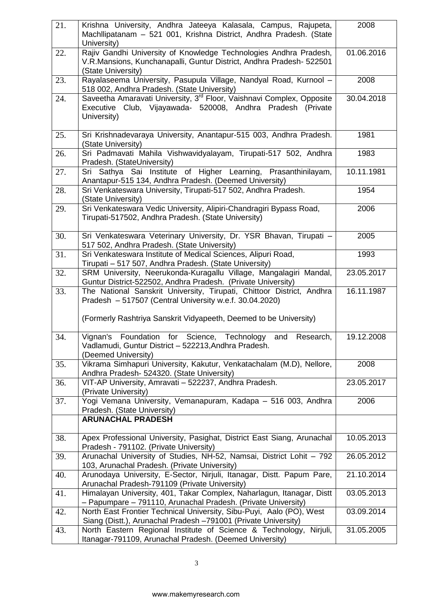| 21. | Krishna University, Andhra Jateeya Kalasala, Campus, Rajupeta,<br>Machllipatanam - 521 001, Krishna District, Andhra Pradesh. (State<br>University)                                                   | 2008       |
|-----|-------------------------------------------------------------------------------------------------------------------------------------------------------------------------------------------------------|------------|
| 22. | Rajiv Gandhi University of Knowledge Technologies Andhra Pradesh,<br>V.R.Mansions, Kunchanapalli, Guntur District, Andhra Pradesh- 522501<br>(State University)                                       | 01.06.2016 |
| 23. | Rayalaseema University, Pasupula Village, Nandyal Road, Kurnool -<br>518 002, Andhra Pradesh. (State University)                                                                                      | 2008       |
| 24. | Saveetha Amaravati University, 3 <sup>rd</sup> Floor, Vaishnavi Complex, Opposite<br>Executive Club, Vijayawada- 520008, Andhra Pradesh (Private<br>University)                                       | 30.04.2018 |
| 25. | Sri Krishnadevaraya University, Anantapur-515 003, Andhra Pradesh.<br>(State University)                                                                                                              | 1981       |
| 26. | Sri Padmavati Mahila Vishwavidyalayam, Tirupati-517 502, Andhra<br>Pradesh. (StateUniversity)                                                                                                         | 1983       |
| 27. | Sri Sathya Sai Institute of Higher Learning, Prasanthinilayam,<br>Anantapur-515 134, Andhra Pradesh. (Deemed University)                                                                              | 10.11.1981 |
| 28. | Sri Venkateswara University, Tirupati-517 502, Andhra Pradesh.<br>(State University)                                                                                                                  | 1954       |
| 29. | Sri Venkateswara Vedic University, Alipiri-Chandragiri Bypass Road,<br>Tirupati-517502, Andhra Pradesh. (State University)                                                                            | 2006       |
| 30. | Sri Venkateswara Veterinary University, Dr. YSR Bhavan, Tirupati -<br>517 502, Andhra Pradesh. (State University)                                                                                     | 2005       |
| 31. | Sri Venkateswara Institute of Medical Sciences, Alipuri Road,<br>Tirupati - 517 507, Andhra Pradesh. (State University)                                                                               | 1993       |
| 32. | SRM University, Neerukonda-Kuragallu Village, Mangalagiri Mandal,<br>Guntur District-522502, Andhra Pradesh. (Private University)                                                                     | 23.05.2017 |
| 33. | The National Sanskrit University, Tirupati, Chittoor District, Andhra<br>Pradesh - 517507 (Central University w.e.f. 30.04.2020)<br>(Formerly Rashtriya Sanskrit Vidyapeeth, Deemed to be University) | 16.11.1987 |
| 34. | Vignan's<br>Foundation<br>for<br>Science,<br>Technology<br>and<br>Research,<br>Vadlamudi, Guntur District - 522213, Andhra Pradesh.<br>(Deemed University)                                            | 19.12.2008 |
| 35. | Vikrama Simhapuri University, Kakutur, Venkatachalam (M.D), Nellore,<br>Andhra Pradesh- 524320. (State University)                                                                                    | 2008       |
| 36. | VIT-AP University, Amravati - 522237, Andhra Pradesh.<br>(Private University)                                                                                                                         | 23.05.2017 |
| 37. | Yogi Vemana University, Vemanapuram, Kadapa - 516 003, Andhra<br>Pradesh. (State University)<br><b>ARUNACHAL PRADESH</b>                                                                              | 2006       |
|     |                                                                                                                                                                                                       |            |
| 38. | Apex Professional University, Pasighat, District East Siang, Arunachal<br>Pradesh - 791102. (Private University)                                                                                      | 10.05.2013 |
| 39. | Arunachal University of Studies, NH-52, Namsai, District Lohit - 792<br>103, Arunachal Pradesh. (Private University)                                                                                  | 26.05.2012 |
| 40. | Arunodaya University, E-Sector, Nirjuli, Itanagar, Distt. Papum Pare,<br>Arunachal Pradesh-791109 (Private University)                                                                                | 21.10.2014 |
| 41. | Himalayan University, 401, Takar Complex, Naharlagun, Itanagar, Distt<br>- Papumpare - 791110, Arunachal Pradesh. (Private University)                                                                | 03.05.2013 |
| 42. | North East Frontier Technical University, Sibu-Puyi, Aalo (PO), West<br>Siang (Distt.), Arunachal Pradesh -791001 (Private University)                                                                | 03.09.2014 |
| 43. | North Eastern Regional Institute of Science & Technology, Nirjuli,<br>Itanagar-791109, Arunachal Pradesh. (Deemed University)                                                                         | 31.05.2005 |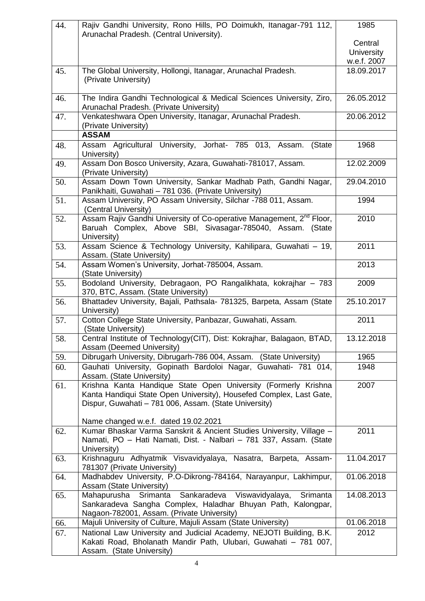| 44. | Rajiv Gandhi University, Rono Hills, PO Doimukh, Itanagar-791 112,<br>Arunachal Pradesh. (Central University).                                                                                                                         | 1985              |
|-----|----------------------------------------------------------------------------------------------------------------------------------------------------------------------------------------------------------------------------------------|-------------------|
|     |                                                                                                                                                                                                                                        | Central           |
|     |                                                                                                                                                                                                                                        | <b>University</b> |
|     |                                                                                                                                                                                                                                        | w.e.f. 2007       |
| 45. | The Global University, Hollongi, Itanagar, Arunachal Pradesh.<br>(Private University)                                                                                                                                                  | 18.09.2017        |
| 46. | The Indira Gandhi Technological & Medical Sciences University, Ziro,<br>Arunachal Pradesh. (Private University)                                                                                                                        | 26.05.2012        |
| 47. | Venkateshwara Open University, Itanagar, Arunachal Pradesh.<br>(Private University)                                                                                                                                                    | 20.06.2012        |
|     | <b>ASSAM</b>                                                                                                                                                                                                                           |                   |
| 48. | Assam Agricultural University, Jorhat- 785 013, Assam.<br>(State<br>University)                                                                                                                                                        | 1968              |
| 49. | Assam Don Bosco University, Azara, Guwahati-781017, Assam.<br>(Private University)                                                                                                                                                     | 12.02.2009        |
| 50. | Assam Down Town University, Sankar Madhab Path, Gandhi Nagar,<br>Panikhaiti, Guwahati - 781 036. (Private University)                                                                                                                  | 29.04.2010        |
| 51. | Assam University, PO Assam University, Silchar -788 011, Assam.<br>(Central University)                                                                                                                                                | 1994              |
| 52. | Assam Rajiv Gandhi University of Co-operative Management, 2 <sup>nd</sup> Floor,<br>Baruah Complex, Above SBI, Sivasagar-785040, Assam. (State<br>University)                                                                          | 2010              |
| 53. | Assam Science & Technology University, Kahilipara, Guwahati - 19,<br>Assam. (State University)                                                                                                                                         | 2011              |
| 54. | Assam Women's University, Jorhat-785004, Assam.<br>(State University)                                                                                                                                                                  | 2013              |
| 55. | Bodoland University, Debragaon, PO Rangalikhata, kokrajhar - 783<br>370, BTC, Assam. (State University)                                                                                                                                | 2009              |
| 56. | Bhattadev University, Bajali, Pathsala- 781325, Barpeta, Assam (State<br>University)                                                                                                                                                   | 25.10.2017        |
| 57. | Cotton College State University, Panbazar, Guwahati, Assam.<br>(State University)                                                                                                                                                      | 2011              |
| 58. | Central Institute of Technology(CIT), Dist: Kokrajhar, Balagaon, BTAD,<br>Assam (Deemed University)                                                                                                                                    | 13.12.2018        |
| 59. | Dibrugarh University, Dibrugarh-786 004, Assam. (State University)                                                                                                                                                                     | 1965              |
| 60. | Gauhati University, Gopinath Bardoloi Nagar, Guwahati- 781 014,<br>Assam. (State University)                                                                                                                                           | 1948              |
| 61. | Krishna Kanta Handique State Open University (Formerly Krishna<br>Kanta Handiqui State Open University), Housefed Complex, Last Gate,<br>Dispur, Guwahati - 781 006, Assam. (State University)<br>Name changed w.e.f. dated 19.02.2021 | 2007              |
| 62. | Kumar Bhaskar Varma Sanskrit & Ancient Studies University, Village -<br>Namati, PO - Hati Namati, Dist. - Nalbari - 781 337, Assam. (State<br>University)                                                                              | 2011              |
| 63. | Krishnaguru Adhyatmik Visvavidyalaya, Nasatra, Barpeta, Assam-<br>781307 (Private University)                                                                                                                                          | 11.04.2017        |
| 64. | Madhabdev University, P.O-Dikrong-784164, Narayanpur, Lakhimpur,<br>Assam (State University)                                                                                                                                           | 01.06.2018        |
| 65. | Sankaradeva Viswavidyalaya,<br>Srimanta<br>Mahapurusha<br>Srimanta<br>Sankaradeva Sangha Complex, Haladhar Bhuyan Path, Kalongpar,<br>Nagaon-782001, Assam. (Private University)                                                       | 14.08.2013        |
| 66. | Majuli University of Culture, Majuli Assam (State University)                                                                                                                                                                          | 01.06.2018        |
| 67. | National Law University and Judicial Academy, NEJOTI Building, B.K.<br>Kakati Road, Bholanath Mandir Path, Ulubari, Guwahati - 781 007,<br>Assam. (State University)                                                                   | 2012              |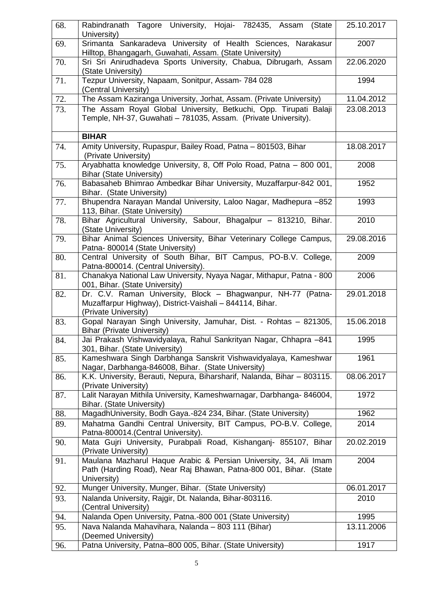| 68. | Rabindranath Tagore University, Hojai- 782435, Assam<br>(State<br>University)                                                                         | 25.10.2017 |
|-----|-------------------------------------------------------------------------------------------------------------------------------------------------------|------------|
| 69. | Srimanta Sankaradeva University of Health Sciences, Narakasur<br>Hilltop, Bhangagarh, Guwahati, Assam. (State University)                             | 2007       |
| 70. | Sri Sri Anirudhadeva Sports University, Chabua, Dibrugarh, Assam<br>(State University)                                                                | 22.06.2020 |
| 71. | Tezpur University, Napaam, Sonitpur, Assam- 784 028<br>(Central University)                                                                           | 1994       |
| 72. | The Assam Kaziranga University, Jorhat, Assam. (Private University)                                                                                   | 11.04.2012 |
| 73. | The Assam Royal Global University, Betkuchi, Opp. Tirupati Balaji<br>Temple, NH-37, Guwahati - 781035, Assam. (Private University).                   | 23.08.2013 |
|     | <b>BIHAR</b>                                                                                                                                          |            |
| 74. | Amity University, Rupaspur, Bailey Road, Patna - 801503, Bihar<br>(Private University)                                                                | 18.08.2017 |
| 75. | Aryabhatta knowledge University, 8, Off Polo Road, Patna - 800 001,<br><b>Bihar (State University)</b>                                                | 2008       |
| 76. | Babasaheb Bhimrao Ambedkar Bihar University, Muzaffarpur-842 001,<br>Bihar. (State University)                                                        | 1952       |
| 77. | Bhupendra Narayan Mandal University, Laloo Nagar, Madhepura -852<br>113, Bihar. (State University)                                                    | 1993       |
| 78. | Bihar Agricultural University, Sabour, Bhagalpur - 813210, Bihar.<br>(State University)                                                               | 2010       |
| 79. | Bihar Animal Sciences University, Bihar Veterinary College Campus,<br>Patna-800014 (State University)                                                 | 29.08.2016 |
| 80. | Central University of South Bihar, BIT Campus, PO-B.V. College,<br>Patna-800014. (Central University).                                                | 2009       |
| 81. | Chanakya National Law University, Nyaya Nagar, Mithapur, Patna - 800<br>001, Bihar. (State University)                                                | 2006       |
| 82. | Dr. C.V. Raman University, Block - Bhagwanpur, NH-77 (Patna-<br>Muzaffarpur Highway), District-Vaishali – 844114, Bihar.<br>(Private University)      | 29.01.2018 |
| 83. | Gopal Narayan Singh University, Jamuhar, Dist. - Rohtas - 821305,<br><b>Bihar (Private University)</b>                                                | 15.06.2018 |
| 84. | Jai Prakash Vishwavidyalaya, Rahul Sankrityan Nagar, Chhapra -841<br>301, Bihar. (State University)                                                   | 1995       |
| 85. | Kameshwara Singh Darbhanga Sanskrit Vishwavidyalaya, Kameshwar<br>Nagar, Darbhanga-846008, Bihar. (State University)                                  | 1961       |
| 86. | K.K. University, Berauti, Nepura, Biharsharif, Nalanda, Bihar – 803115.<br>(Private University)                                                       | 08.06.2017 |
| 87. | Lalit Narayan Mithila University, Kameshwarnagar, Darbhanga- 846004,<br>Bihar. (State University)                                                     | 1972       |
| 88. | MagadhUniversity, Bodh Gaya.-824 234, Bihar. (State University)                                                                                       | 1962       |
| 89. | Mahatma Gandhi Central University, BIT Campus, PO-B.V. College,<br>Patna-800014. (Central University).                                                | 2014       |
| 90. | Mata Gujri University, Purabpali Road, Kishanganj- 855107, Bihar<br>(Private University)                                                              | 20.02.2019 |
| 91. | Maulana Mazharul Haque Arabic & Persian University, 34, Ali Imam<br>Path (Harding Road), Near Raj Bhawan, Patna-800 001, Bihar. (State<br>University) | 2004       |
| 92. | Munger University, Munger, Bihar. (State University)                                                                                                  | 06.01.2017 |
| 93. | Nalanda University, Rajgir, Dt. Nalanda, Bihar-803116.<br>(Central University)                                                                        | 2010       |
| 94. | Nalanda Open University, Patna.-800 001 (State University)                                                                                            | 1995       |
| 95. | Nava Nalanda Mahavihara, Nalanda - 803 111 (Bihar)<br>(Deemed University)                                                                             | 13.11.2006 |
| 96. | Patna University, Patna-800 005, Bihar. (State University)                                                                                            | 1917       |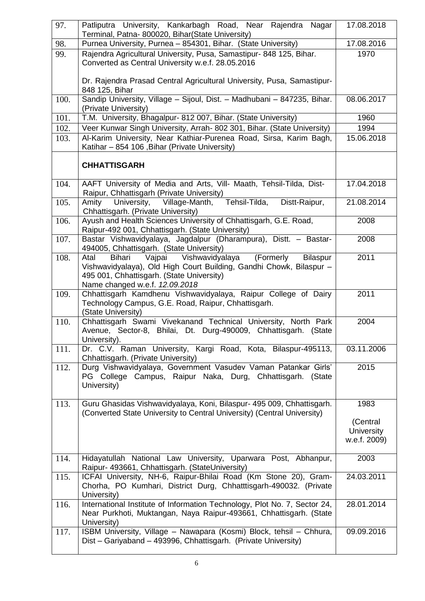| 97.  | Patliputra University, Kankarbagh Road, Near Rajendra Nagar<br>Terminal, Patna- 800020, Bihar(State University)                                                                                                                | 17.08.2018                                            |
|------|--------------------------------------------------------------------------------------------------------------------------------------------------------------------------------------------------------------------------------|-------------------------------------------------------|
| 98.  | Purnea University, Purnea - 854301, Bihar. (State University)                                                                                                                                                                  | 17.08.2016                                            |
| 99.  | Rajendra Agricultural University, Pusa, Samastipur- 848 125, Bihar.<br>Converted as Central University w.e.f. 28.05.2016                                                                                                       | 1970                                                  |
|      | Dr. Rajendra Prasad Central Agricultural University, Pusa, Samastipur-<br>848 125, Bihar                                                                                                                                       |                                                       |
| 100. | Sandip University, Village - Sijoul, Dist. - Madhubani - 847235, Bihar.<br>(Private University)                                                                                                                                | 08.06.2017                                            |
| 101. | T.M. University, Bhagalpur- 812 007, Bihar. (State University)                                                                                                                                                                 | 1960                                                  |
| 102. | Veer Kunwar Singh University, Arrah- 802 301, Bihar. (State University)                                                                                                                                                        | 1994                                                  |
| 103. | Al-Karim University, Near Kathiar-Purenea Road, Sirsa, Karim Bagh,<br>Katihar - 854 106, Bihar (Private University)                                                                                                            | 15.06.2018                                            |
|      | <b>CHHATTISGARH</b>                                                                                                                                                                                                            |                                                       |
| 104. | AAFT University of Media and Arts, Vill- Maath, Tehsil-Tilda, Dist-<br>Raipur, Chhattisgarh (Private University)                                                                                                               | 17.04.2018                                            |
| 105. | Village-Manth, Tehsil-Tilda,<br>University,<br>Distt-Raipur,<br>Amity<br>Chhattisgarh. (Private University)                                                                                                                    | 21.08.2014                                            |
| 106. | Ayush and Health Sciences University of Chhattisgarh, G.E. Road,<br>Raipur-492 001, Chhattisgarh. (State University)                                                                                                           | 2008                                                  |
| 107. | Bastar Vishwavidyalaya, Jagdalpur (Dharampura), Distt. - Bastar-<br>494005, Chhattisgarh. (State University)                                                                                                                   | 2008                                                  |
| 108. | Vajpai Vishwavidyalaya<br>(Formerly<br>Bihari<br><b>Bilaspur</b><br>Atal<br>Vishwavidyalaya), Old High Court Building, Gandhi Chowk, Bilaspur -<br>495 001, Chhattisgarh. (State University)<br>Name changed w.e.f. 12.09.2018 | 2011                                                  |
| 109. | Chhattisgarh Kamdhenu Vishwavidyalaya, Raipur College of Dairy<br>Technology Campus, G.E. Road, Raipur, Chhattisgarh.<br>(State University)                                                                                    | 2011                                                  |
| 110. | Chhattisgarh Swami Vivekanand Technical University, North Park<br>Avenue, Sector-8, Bhilai, Dt. Durg-490009, Chhattisgarh. (State<br>University).                                                                              | 2004                                                  |
| 111. | Dr. C.V. Raman University, Kargi Road, Kota, Bilaspur-495113,<br>Chhattisgarh. (Private University)                                                                                                                            | 03.11.2006                                            |
| 112. | Durg Vishwavidyalaya, Government Vasudev Vaman Patankar Girls'<br>PG College Campus, Raipur Naka, Durg, Chhattisgarh. (State<br>University)                                                                                    | 2015                                                  |
| 113. | Guru Ghasidas Vishwavidyalaya, Koni, Bilaspur- 495 009, Chhattisgarh.<br>(Converted State University to Central University) (Central University)                                                                               | 1983<br>(Central<br><b>University</b><br>w.e.f. 2009) |
| 114. | Hidayatullah National Law University, Uparwara Post, Abhanpur,<br>Raipur- 493661, Chhattisgarh. (StateUniversity)                                                                                                              | 2003                                                  |
| 115. | ICFAI University, NH-6, Raipur-Bhilai Road (Km Stone 20), Gram-<br>Chorha, PO Kumhari, District Durg, Chhatttisgarh-490032. (Private<br>University)                                                                            | 24.03.2011                                            |
| 116. | International Institute of Information Technology, Plot No. 7, Sector 24,<br>Near Purkhoti, Muktangan, Naya Raipur-493661, Chhattisgarh. (State<br>University)                                                                 | 28.01.2014                                            |
| 117. | ISBM University, Village - Nawapara (Kosmi) Block, tehsil - Chhura,<br>Dist - Gariyaband - 493996, Chhattisgarh. (Private University)                                                                                          | 09.09.2016                                            |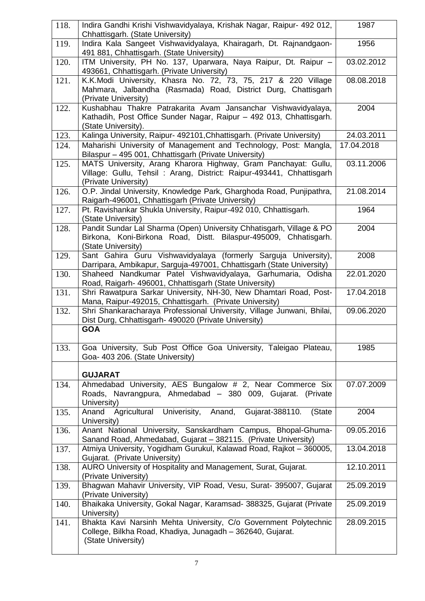| 118. | Indira Gandhi Krishi Vishwavidyalaya, Krishak Nagar, Raipur- 492 012,<br>Chhattisgarh. (State University)                                                      | 1987       |
|------|----------------------------------------------------------------------------------------------------------------------------------------------------------------|------------|
| 119. | Indira Kala Sangeet Vishwavidyalaya, Khairagarh, Dt. Rajnandgaon-<br>491 881, Chhattisgarh. (State University)                                                 | 1956       |
| 120. | ITM University, PH No. 137, Uparwara, Naya Raipur, Dt. Raipur -<br>493661, Chhattisgarh. (Private University)                                                  | 03.02.2012 |
| 121. | K.K.Modi University, Khasra No. 72, 73, 75, 217 & 220 Village<br>Mahmara, Jalbandha (Rasmada) Road, District Durg, Chattisgarh<br>(Private University)         | 08.08.2018 |
| 122. | Kushabhau Thakre Patrakarita Avam Jansanchar Vishwavidyalaya,<br>Kathadih, Post Office Sunder Nagar, Raipur - 492 013, Chhattisgarh.<br>(State University).    | 2004       |
| 123. | Kalinga University, Raipur- 492101, Chhattisgarh. (Private University)                                                                                         | 24.03.2011 |
| 124. | Maharishi University of Management and Technology, Post: Mangla,<br>Bilaspur - 495 001, Chhattisgarh (Private University)                                      | 17.04.2018 |
| 125. | MATS University, Arang Kharora Highway, Gram Panchayat: Gullu,<br>Village: Gullu, Tehsil: Arang, District: Raipur-493441, Chhattisgarh<br>(Private University) | 03.11.2006 |
| 126. | O.P. Jindal University, Knowledge Park, Gharghoda Road, Punjipathra,<br>Raigarh-496001, Chhattisgarh (Private University)                                      | 21.08.2014 |
| 127. | Pt. Ravishankar Shukla University, Raipur-492 010, Chhattisgarh.<br>(State University)                                                                         | 1964       |
| 128. | Pandit Sundar Lal Sharma (Open) University Chhatisgarh, Village & PO<br>Birkona, Koni-Birkona Road, Distt. Bilaspur-495009, Chhatisgarh.<br>(State University) | 2004       |
| 129. | Sant Gahira Guru Vishwavidyalaya (formerly Sarguja University),<br>Darripara, Ambikapur, Sarguja-497001, Chhattisgarh (State University)                       | 2008       |
| 130. | Shaheed Nandkumar Patel Vishwavidyalaya, Garhumaria, Odisha<br>Road, Raigarh- 496001, Chhattisgarh (State University)                                          | 22.01.2020 |
| 131. | Shri Rawatpura Sarkar University, NH-30, New Dhamtari Road, Post-<br>Mana, Raipur-492015, Chhattisgarh. (Private University)                                   | 17.04.2018 |
| 132. | Shri Shankaracharaya Professional University, Village Junwani, Bhilai,<br>Dist Durg, Chhattisgarh- 490020 (Private University)<br><b>GOA</b>                   | 09.06.2020 |
| 133. | Goa University, Sub Post Office Goa University, Taleigao Plateau,<br>Goa- 403 206. (State University)                                                          | 1985       |
|      | <b>GUJARAT</b>                                                                                                                                                 |            |
| 134. | Ahmedabad University, AES Bungalow # 2, Near Commerce Six<br>Roads, Navrangpura, Ahmedabad - 380 009, Gujarat. (Private<br>University)                         | 07.07.2009 |
| 135. | Agricultural Univerisity, Anand, Gujarat-388110.<br>Anand<br>(State<br>University)                                                                             | 2004       |
| 136. | Anant National University, Sanskardham Campus, Bhopal-Ghuma-<br>Sanand Road, Ahmedabad, Gujarat - 382115. (Private University)                                 | 09.05.2016 |
| 137. | Atmiya University, Yogidham Gurukul, Kalawad Road, Rajkot - 360005,<br>Gujarat. (Private University)                                                           | 13.04.2018 |
| 138. | AURO University of Hospitality and Management, Surat, Gujarat.<br>(Private University)                                                                         | 12.10.2011 |
| 139. | Bhagwan Mahavir University, VIP Road, Vesu, Surat- 395007, Gujarat<br>(Private University)                                                                     | 25.09.2019 |
| 140. | Bhaikaka University, Gokal Nagar, Karamsad- 388325, Gujarat (Private<br>University)                                                                            | 25.09.2019 |
| 141. | Bhakta Kavi Narsinh Mehta University, C/o Government Polytechnic<br>College, Bilkha Road, Khadiya, Junagadh - 362640, Gujarat.<br>(State University)           | 28.09.2015 |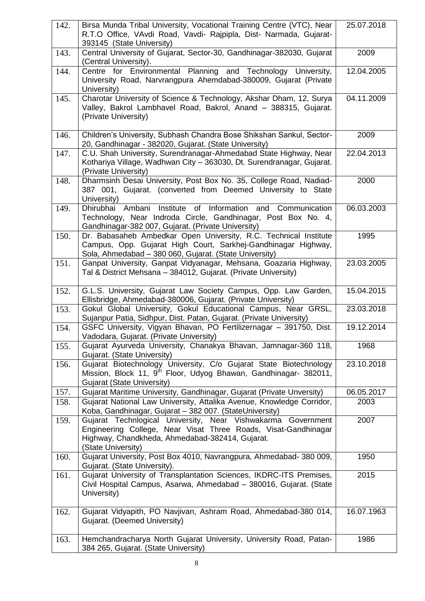| 142. | Birsa Munda Tribal University, Vocational Training Centre (VTC), Near<br>R.T.O Office, VAvdi Road, Vavdi- Rajpipla, Dist- Narmada, Gujarat-<br>393145 (State University)                                | 25.07.2018 |
|------|---------------------------------------------------------------------------------------------------------------------------------------------------------------------------------------------------------|------------|
| 143. | Central University of Gujarat, Sector-30, Gandhinagar-382030, Gujarat<br>(Central University).                                                                                                          | 2009       |
| 144. | Centre for Environmental Planning and Technology University,<br>University Road, Narvrangpura Ahemdabad-380009, Gujarat (Private<br>University)                                                         | 12.04.2005 |
| 145. | Charotar University of Science & Technology, Akshar Dham, 12, Surya<br>Valley, Bakrol Lambhavel Road, Bakrol, Anand - 388315, Gujarat.<br>(Private University)                                          | 04.11.2009 |
| 146. | Children's University, Subhash Chandra Bose Shikshan Sankul, Sector-<br>20, Gandhinagar - 382020, Gujarat. (State University)                                                                           | 2009       |
| 147. | C.U. Shah University, Surendranagar-Ahmedabad State Highway, Near<br>Kothariya Village, Wadhwan City - 363030, Dt. Surendranagar, Gujarat.<br>(Private University)                                      | 22.04.2013 |
| 148. | Dharmsinh Desai University, Post Box No. 35, College Road, Nadiad-<br>387 001, Gujarat. (converted from Deemed University to State<br>University)                                                       | 2000       |
| 149. | of Information<br>Institute<br>and Communication<br>Dhirubhai Ambani<br>Technology, Near Indroda Circle, Gandhinagar, Post Box No. 4,<br>Gandhinagar-382 007, Gujarat. (Private University)             | 06.03.2003 |
| 150. | Dr. Babasaheb Ambedkar Open University, R.C. Technical Institute<br>Campus, Opp. Gujarat High Court, Sarkhej-Gandhinagar Highway,<br>Sola, Ahmedabad - 380 060, Gujarat. (State University)             | 1995       |
| 151. | Ganpat University, Ganpat Vidyanagar, Mehsana, Goazaria Highway,<br>Tal & District Mehsana - 384012, Gujarat. (Private University)                                                                      | 23.03.2005 |
| 152. | G.L.S. University, Gujarat Law Society Campus, Opp. Law Garden,<br>Ellisbridge, Ahmedabad-380006, Gujarat. (Private University)                                                                         | 15.04.2015 |
| 153. | Gokul Global University, Gokul Educational Campus, Near GRSL,<br>Sujanpur Patia, Sidhpur, Dist. Patan, Gujarat. (Private University)                                                                    | 23.03.2018 |
| 154. | GSFC University, Vigyan Bhavan, PO Fertilizernagar - 391750, Dist.<br>Vadodara, Gujarat. (Private University)                                                                                           | 19.12.2014 |
| 155. | Gujarat Ayurveda University, Chanakya Bhavan, Jamnagar-360 118,<br>Gujarat. (State University)                                                                                                          | 1968       |
| 156. | Gujarat Biotechnology University, C/o Gujarat State Biotechnology<br>Mission, Block 11, 9 <sup>th</sup> Floor, Udyog Bhawan, Gandhinagar- 382011,<br><b>Gujarat (State University)</b>                  | 23.10.2018 |
| 157. | Gujarat Maritime University, Gandhinagar, Gujarat (Private Unversity)                                                                                                                                   | 06.05.2017 |
| 158. | Gujarat National Law University, Attalika Avenue, Knowledge Corridor,<br>Koba, Gandhinagar, Gujarat - 382 007. (StateUniversity)                                                                        | 2003       |
| 159. | Gujarat Technlogical University, Near Vishwakarma Government<br>Engineering College, Near Visat Three Roads, Visat-Gandhinagar<br>Highway, Chandkheda, Ahmedabad-382414, Gujarat.<br>(State University) | 2007       |
| 160. | Gujarat University, Post Box 4010, Navrangpura, Ahmedabad- 380 009,<br>Gujarat. (State University).                                                                                                     | 1950       |
| 161. | Gujarat University of Transplantation Sciences, IKDRC-ITS Premises,<br>Civil Hospital Campus, Asarwa, Ahmedabad - 380016, Gujarat. (State<br>University)                                                | 2015       |
| 162. | Gujarat Vidyapith, PO Navjivan, Ashram Road, Ahmedabad-380 014,<br>Gujarat. (Deemed University)                                                                                                         | 16.07.1963 |
| 163. | Hemchandracharya North Gujarat University, University Road, Patan-<br>384 265, Gujarat. (State University)                                                                                              | 1986       |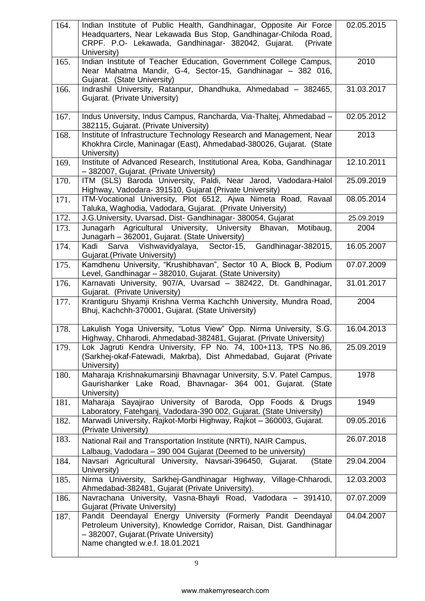| 164. | Indian Institute of Public Health, Gandhinagar, Opposite Air Force<br>Headquarters, Near Lekawada Bus Stop, Gandhinagar-Chiloda Road,<br>CRPF. P.O- Lekawada, Gandhinagar- 382042, Gujarat.<br>(Private)<br>University) | 02.05.2015 |
|------|-------------------------------------------------------------------------------------------------------------------------------------------------------------------------------------------------------------------------|------------|
| 165. | Indian Institute of Teacher Education, Government College Campus,<br>Near Mahatma Mandir, G-4, Sector-15, Gandhinagar - 382 016,<br>Gujarat. (State University)                                                         | 2010       |
| 166. | Indrashil University, Ratanpur, Dhandhuka, Ahmedabad - 382465,<br>Gujarat. (Private University)                                                                                                                         | 31.03.2017 |
| 167. | Indus University, Indus Campus, Rancharda, Via-Thaltej, Ahmedabad -<br>382115, Gujarat. (Private University)                                                                                                            | 02.05.2012 |
| 168. | Institute of Infrastructure Technology Research and Management, Near<br>Khokhra Circle, Maninagar (East), Ahmedabad-380026, Gujarat. (State<br>University)                                                              | 2013       |
| 169. | Institute of Advanced Research, Institutional Area, Koba, Gandhinagar<br>- 382007, Gujarat. (Private University)                                                                                                        | 12.10.2011 |
| 170. | ITM (SLS) Baroda University, Paldi, Near Jarod, Vadodara-Halol<br>Highway, Vadodara- 391510, Gujarat (Private University)                                                                                               | 25.09.2019 |
| 171. | ITM-Vocational University, Plot 6512, Ajwa Nimeta Road, Ravaal<br>Taluka, Waghodia, Vadodara, Gujarat. (Private University)                                                                                             | 08.05.2014 |
| 172. | J.G.University, Uvarsad, Dist- Gandhinagar- 380054, Gujarat                                                                                                                                                             | 25.09.2019 |
| 173. | Junagarh Agricultural University, University<br>Bhavan,<br>Motibaug,<br>Junagarh - 362001, Gujarat. (State University)                                                                                                  | 2004       |
| 174. | Kadi Sarva Vishwavidyalaya, Sector-15, Gandhinagar-382015,<br>Gujarat. (Private University)                                                                                                                             | 16.05.2007 |
| 175. | Kamdhenu University, "Krushibhavan", Sector 10 A, Block B, Podium<br>Level, Gandhinagar - 382010, Gujarat. (State University)                                                                                           | 07.07.2009 |
| 176. | Karnavati University, 907/A, Uvarsad - 382422, Dt. Gandhinagar,<br>Gujarat. (Private University)                                                                                                                        | 31.01.2017 |
| 177. | Krantiguru Shyamji Krishna Verma Kachchh University, Mundra Road,<br>Bhuj, Kachchh-370001, Gujarat. (State University)                                                                                                  | 2004       |
| 178. | Lakulish Yoga University, "Lotus View" Opp. Nirma University, S.G.<br>Highway, Chharodi, Ahmedabad-382481, Gujarat. (Private University)                                                                                | 16.04.2013 |
| 179. | Lok Jagruti Kendra University, FP No. 74, 100+113, TPS No.86,<br>(Sarkhej-okaf-Fatewadi, Makrba), Dist Ahmedabad, Gujarat (Private<br>University)                                                                       | 25.09.2019 |
| 180. | Maharaja Krishnakumarsinji Bhavnagar University, S.V. Patel Campus,<br>Gaurishanker Lake Road, Bhavnagar- 364 001, Gujarat. (State<br>University)                                                                       | 1978       |
| 181. | Maharaja Sayajirao University of Baroda, Opp Foods & Drugs<br>Laboratory, Fatehganj, Vadodara-390 002, Gujarat. (State University)                                                                                      | 1949       |
| 182. | Marwadi University, Rajkot-Morbi Highway, Rajkot - 360003, Gujarat.<br>(Private University)                                                                                                                             | 09.05.2016 |
| 183. | National Rail and Transportation Institute (NRTI), NAIR Campus,<br>Lalbaug, Vadodara - 390 004 Gujarat (Deemed to be university)                                                                                        | 26.07.2018 |
| 184. | Navsari Agricultural University, Navsari-396450, Gujarat.<br>(State<br>University)                                                                                                                                      | 29.04.2004 |
| 185. | Nirma University, Sarkhej-Gandhinagar Highway, Village-Chharodi,<br>Ahmedabad-382481, Gujarat (Private University).                                                                                                     | 12.03.2003 |
| 186. | Navrachana University, Vasna-Bhayli Road, Vadodara - 391410,<br>Gujarat (Private University)                                                                                                                            | 07.07.2009 |
| 187. | Pandit Deendayal Energy University (Formerly Pandit Deendayal<br>Petroleum University), Knowledge Corridor, Raisan, Dist. Gandhinagar<br>- 382007, Gujarat. (Private University)<br>Name changted w.e.f. 18.01.2021     | 04.04.2007 |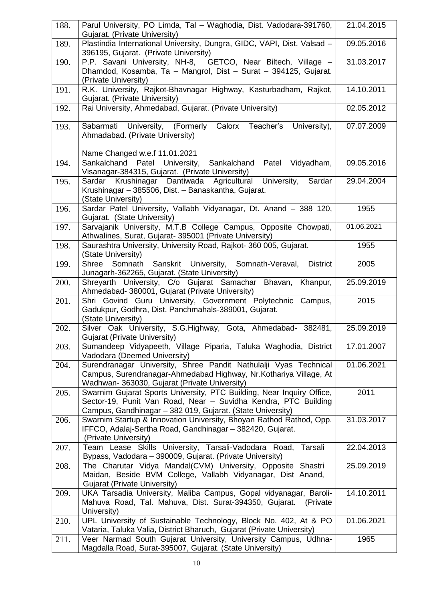| 188. | Parul University, PO Limda, Tal - Waghodia, Dist. Vadodara-391760,<br>Gujarat. (Private University)                                      | 21.04.2015 |
|------|------------------------------------------------------------------------------------------------------------------------------------------|------------|
| 189. | Plastindia International University, Dungra, GIDC, VAPI, Dist. Valsad -                                                                  | 09.05.2016 |
|      | 396195, Gujarat. (Private University)                                                                                                    |            |
| 190. | P.P. Savani University, NH-8, GETCO, Near Biltech, Village -                                                                             | 31.03.2017 |
|      | Dhamdod, Kosamba, Ta - Mangrol, Dist - Surat - 394125, Gujarat.<br>(Private University)                                                  |            |
| 191. | R.K. University, Rajkot-Bhavnagar Highway, Kasturbadham, Rajkot,                                                                         | 14.10.2011 |
|      | Gujarat. (Private University)                                                                                                            |            |
| 192. | Rai University, Ahmedabad, Gujarat. (Private University)                                                                                 | 02.05.2012 |
| 193. | Calorx<br>Sabarmati University,<br>(Formerly<br>Teacher's<br>University),                                                                | 07.07.2009 |
|      | Ahmadabad. (Private University)                                                                                                          |            |
|      |                                                                                                                                          |            |
|      | Name Changed w.e.f 11.01.2021                                                                                                            |            |
| 194. | Sankalchand Patel University,<br>Sankalchand<br>Patel Vidyadham,<br>Visanagar-384315, Gujarat. (Private University)                      | 09.05.2016 |
| 195. | Sardar Krushinagar Dantiwada Agricultural University,<br>Sardar                                                                          | 29.04.2004 |
|      | Krushinagar - 385506, Dist. - Banaskantha, Gujarat.                                                                                      |            |
|      | (State University)                                                                                                                       |            |
| 196. | Sardar Patel University, Vallabh Vidyanagar, Dt. Anand - 388 120,                                                                        | 1955       |
|      | Gujarat. (State University)                                                                                                              |            |
| 197. | Sarvajanik University, M.T.B College Campus, Opposite Chowpati,                                                                          | 01.06.2021 |
|      | Athwalines, Surat, Gujarat- 395001 (Private University)                                                                                  |            |
| 198. | Saurashtra University, University Road, Rajkot-360 005, Gujarat.<br>(State University)                                                   | 1955       |
| 199. | Sanskrit University, Somnath-Veraval,<br>Shree Somnath<br><b>District</b>                                                                | 2005       |
|      | Junagarh-362265, Gujarat. (State University)                                                                                             |            |
| 200. | Shreyarth University, C/o Gujarat Samachar Bhavan,<br>Khanpur,                                                                           | 25.09.2019 |
|      | Ahmedabad- 380001, Gujarat (Private University)                                                                                          |            |
| 201. | Shri Govind Guru University, Government Polytechnic Campus,                                                                              | 2015       |
|      | Gadukpur, Godhra, Dist. Panchmahals-389001, Gujarat.<br>(State University)                                                               |            |
| 202. | Silver Oak University, S.G.Highway, Gota, Ahmedabad- 382481,                                                                             | 25.09.2019 |
|      | <b>Gujarat (Private University)</b>                                                                                                      |            |
| 203. | Sumandeep Vidyapeeth, Village Piparia, Taluka Waghodia, District                                                                         | 17.01.2007 |
|      | Vadodara (Deemed University)                                                                                                             |            |
| 204. | Surendranagar University, Shree Pandit Nathulalji Vyas Technical                                                                         | 01.06.2021 |
|      | Campus, Surendranagar-Ahmedabad Highway, Nr. Kothariya Village, At                                                                       |            |
| 205. | Wadhwan- 363030, Gujarat (Private University)<br>Swarnim Gujarat Sports University, PTC Building, Near Inquiry Office,                   | 2011       |
|      | Sector-19, Punit Van Road, Near - Suvidha Kendra, PTC Building                                                                           |            |
|      | Campus, Gandhinagar - 382 019, Gujarat. (State University)                                                                               |            |
| 206. | Swarnim Startup & Innovation University, Bhoyan Rathod Rathod, Opp.                                                                      | 31.03.2017 |
|      | IFFCO, Adalaj-Sertha Road, Gandhinagar - 382420, Gujarat.                                                                                |            |
|      | (Private University)                                                                                                                     |            |
| 207. | Team Lease Skills University, Tarsali-Vadodara Road,<br>Tarsali                                                                          | 22.04.2013 |
| 208. | Bypass, Vadodara - 390009, Gujarat. (Private University)<br>The Charutar Vidya Mandal(CVM) University, Opposite Shastri                  | 25.09.2019 |
|      | Maidan, Beside BVM College, Vallabh Vidyanagar, Dist Anand,                                                                              |            |
|      | Gujarat (Private University)                                                                                                             |            |
| 209. | UKA Tarsadia University, Maliba Campus, Gopal vidyanagar, Baroli-                                                                        | 14.10.2011 |
|      | Mahuva Road, Tal. Mahuva, Dist. Surat-394350, Gujarat.<br>(Private)                                                                      |            |
|      | University)                                                                                                                              |            |
| 210. | UPL University of Sustainable Technology, Block No. 402, At & PO                                                                         | 01.06.2021 |
| 211. | Vataria, Taluka Valia, District Bharuch, Gujarat (Private University)<br>Veer Narmad South Gujarat University, University Campus, Udhna- | 1965       |
|      | Magdalla Road, Surat-395007, Gujarat. (State University)                                                                                 |            |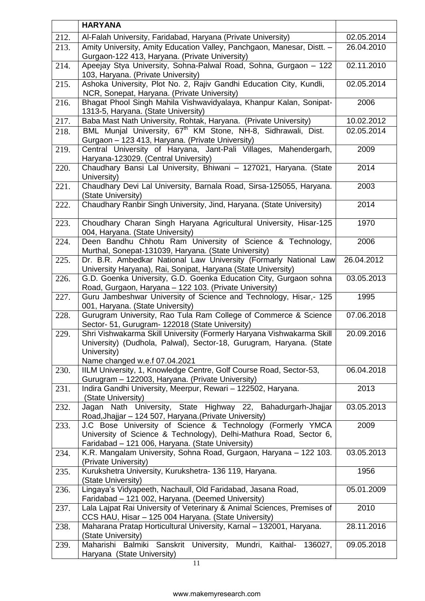|      | <b>HARYANA</b>                                                                                                                    |            |
|------|-----------------------------------------------------------------------------------------------------------------------------------|------------|
| 212. | Al-Falah University, Faridabad, Haryana (Private University)                                                                      | 02.05.2014 |
| 213. | Amity University, Amity Education Valley, Panchgaon, Manesar, Distt. -                                                            | 26.04.2010 |
|      | Gurgaon-122 413, Haryana. (Private University)                                                                                    |            |
| 214. | Apeejay Stya University, Sohna-Palwal Road, Sohna, Gurgaon - 122<br>103, Haryana. (Private University)                            | 02.11.2010 |
| 215. | Ashoka University, Plot No. 2, Rajiv Gandhi Education City, Kundli,<br>NCR, Sonepat, Haryana. (Private University)                | 02.05.2014 |
| 216. | Bhagat Phool Singh Mahila Vishwavidyalaya, Khanpur Kalan, Sonipat-<br>1313-5, Haryana. (State University)                         | 2006       |
| 217. | Baba Mast Nath University, Rohtak, Haryana. (Private University)                                                                  | 10.02.2012 |
| 218. | BML Munjal University, 67 <sup>th</sup> KM Stone, NH-8, Sidhrawali, Dist.                                                         | 02.05.2014 |
|      | Gurgaon - 123 413, Haryana. (Private University)                                                                                  |            |
| 219. | Central University of Haryana, Jant-Pali Villages, Mahendergarh,<br>Haryana-123029. (Central University)                          | 2009       |
| 220. | Chaudhary Bansi Lal University, Bhiwani - 127021, Haryana. (State<br>University)                                                  | 2014       |
| 221. | Chaudhary Devi Lal University, Barnala Road, Sirsa-125055, Haryana.<br>(State University)                                         | 2003       |
| 222. | Chaudhary Ranbir Singh University, Jind, Haryana. (State University)                                                              | 2014       |
| 223. | Choudhary Charan Singh Haryana Agricultural University, Hisar-125<br>004, Haryana. (State University)                             | 1970       |
| 224. | Deen Bandhu Chhotu Ram University of Science & Technology,<br>Murthal, Sonepat-131039, Haryana. (State University)                | 2006       |
| 225. | Dr. B.R. Ambedkar National Law University (Formarly National Law<br>University Haryana), Rai, Sonipat, Haryana (State University) | 26.04.2012 |
| 226. | G.D. Goenka University, G.D. Goenka Education City, Gurgaon sohna<br>Road, Gurgaon, Haryana - 122 103. (Private University)       | 03.05.2013 |
| 227. | Guru Jambeshwar University of Science and Technology, Hisar,- 125<br>001, Haryana. (State University)                             | 1995       |
| 228. | Gurugram University, Rao Tula Ram College of Commerce & Science<br>Sector- 51, Gurugram- 122018 (State University)                | 07.06.2018 |
| 229. | Shri Vishwakarma Skill University (Formerly Haryana Vishwakarma Skill                                                             | 20.09.2016 |
|      | University) (Dudhola, Palwal), Sector-18, Gurugram, Haryana. (State                                                               |            |
|      | University)                                                                                                                       |            |
|      | Name changed w.e.f 07.04.2021                                                                                                     |            |
| 230. | IILM University, 1, Knowledge Centre, Golf Course Road, Sector-53,<br>Gurugram - 122003, Haryana. (Private University)            | 06.04.2018 |
| 231. | Indira Gandhi University, Meerpur, Rewari - 122502, Haryana.                                                                      | 2013       |
|      | (State University)                                                                                                                |            |
| 232. | Jagan Nath University, State Highway 22, Bahadurgarh-Jhajjar<br>Road, Jhajjar - 124 507, Haryana. (Private University)            | 03.05.2013 |
| 233. | J.C Bose University of Science & Technology (Formerly YMCA                                                                        | 2009       |
|      | University of Science & Technology), Delhi-Mathura Road, Sector 6,                                                                |            |
| 234. | Faridabad - 121 006, Haryana. (State University)<br>K.R. Mangalam University, Sohna Road, Gurgaon, Haryana - 122 103.             | 03.05.2013 |
|      | (Private University)                                                                                                              |            |
| 235. | Kurukshetra University, Kurukshetra- 136 119, Haryana.<br>(State University)                                                      | 1956       |
| 236. | Lingaya's Vidyapeeth, Nachaull, Old Faridabad, Jasana Road,<br>Faridabad - 121 002, Haryana. (Deemed University)                  | 05.01.2009 |
| 237. | Lala Lajpat Rai University of Veterinary & Animal Sciences, Premises of<br>CCS HAU, Hisar - 125 004 Haryana. (State University)   | 2010       |
| 238. | Maharana Pratap Horticultural University, Karnal - 132001, Haryana.<br>(State University)                                         | 28.11.2016 |
| 239. | Maharishi Balmiki Sanskrit University,<br>Mundri,<br>Kaithal-<br>136027,<br>Haryana (State University)                            | 09.05.2018 |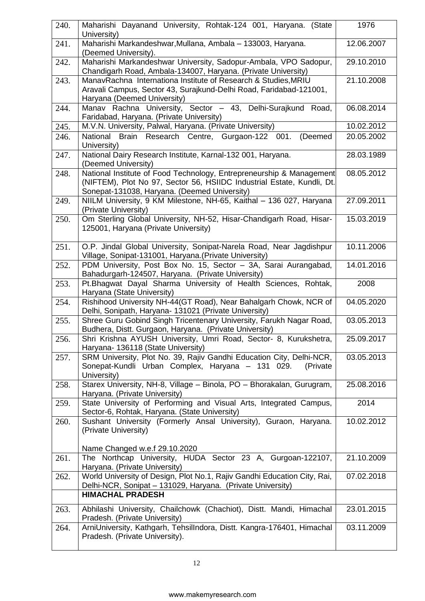| 240. | Maharishi Dayanand University, Rohtak-124 001, Haryana. (State<br>University)                                                                                                                  | 1976       |
|------|------------------------------------------------------------------------------------------------------------------------------------------------------------------------------------------------|------------|
| 241. | Maharishi Markandeshwar, Mullana, Ambala - 133003, Haryana.<br>(Deemed University).                                                                                                            | 12.06.2007 |
| 242. | Maharishi Markandeshwar University, Sadopur-Ambala, VPO Sadopur,<br>Chandigarh Road, Ambala-134007, Haryana. (Private University)                                                              | 29.10.2010 |
| 243. | ManavRachna Internationa Institute of Research & Studies, MRIU<br>Aravali Campus, Sector 43, Surajkund-Delhi Road, Faridabad-121001,                                                           | 21.10.2008 |
| 244. | Haryana (Deemed University)<br>Manav Rachna University, Sector - 43, Delhi-Surajkund Road,                                                                                                     | 06.08.2014 |
|      | Faridabad, Haryana. (Private University)                                                                                                                                                       |            |
| 245. | M.V.N. University, Palwal, Haryana. (Private University)                                                                                                                                       | 10.02.2012 |
| 246. | National Brain Research Centre, Gurgaon-122 001.<br>(Deemed<br>University)                                                                                                                     | 20.05.2002 |
| 247. | National Dairy Research Institute, Karnal-132 001, Haryana.<br>(Deemed University)                                                                                                             | 28.03.1989 |
| 248. | National Institute of Food Technology, Entrepreneurship & Management<br>(NIFTEM), Plot No 97, Sector 56, HSIIDC Industrial Estate, Kundli, Dt.<br>Sonepat-131038, Haryana. (Deemed University) | 08.05.2012 |
| 249. | NIILM University, 9 KM Milestone, NH-65, Kaithal - 136 027, Haryana<br>(Private University)                                                                                                    | 27.09.2011 |
| 250. | Om Sterling Global University, NH-52, Hisar-Chandigarh Road, Hisar-<br>125001, Haryana (Private University)                                                                                    | 15.03.2019 |
| 251. | O.P. Jindal Global University, Sonipat-Narela Road, Near Jagdishpur<br>Village, Sonipat-131001, Haryana. (Private University)                                                                  | 10.11.2006 |
| 252. | PDM University, Post Box No. 15, Sector - 3A, Sarai Aurangabad,<br>Bahadurgarh-124507, Haryana. (Private University)                                                                           | 14.01.2016 |
| 253. | Pt. Bhagwat Dayal Sharma University of Health Sciences, Rohtak,<br>Haryana (State University)                                                                                                  | 2008       |
| 254. | Rishihood University NH-44(GT Road), Near Bahalgarh Chowk, NCR of<br>Delhi, Sonipath, Haryana- 131021 (Private University)                                                                     | 04.05.2020 |
| 255. | Shree Guru Gobind Singh Tricentenary University, Farukh Nagar Road,<br>Budhera, Distt. Gurgaon, Haryana. (Private University)                                                                  | 03.05.2013 |
| 256. | Shri Krishna AYUSH University, Umri Road, Sector- 8, Kurukshetra<br>Haryana- 136118 (State University)                                                                                         | 25.09.2017 |
| 257. | SRM University, Plot No. 39, Rajiv Gandhi Education City, Delhi-NCR,<br>Sonepat-Kundli Urban Complex, Haryana - 131 029.<br>(Private)<br>University)                                           | 03.05.2013 |
| 258. | Starex University, NH-8, Village - Binola, PO - Bhorakalan, Gurugram,<br>Haryana. (Private University)                                                                                         | 25.08.2016 |
| 259. | State University of Performing and Visual Arts, Integrated Campus,<br>Sector-6, Rohtak, Haryana. (State University)                                                                            | 2014       |
| 260. | Sushant University (Formerly Ansal University), Guraon, Haryana.<br>(Private University)                                                                                                       | 10.02.2012 |
|      | Name Changed w.e.f 29.10.2020                                                                                                                                                                  |            |
| 261. | The Northcap University, HUDA Sector 23 A, Gurgoan-122107,<br>Haryana. (Private University)                                                                                                    | 21.10.2009 |
| 262. | World University of Design, Plot No.1, Rajiv Gandhi Education City, Rai,<br>Delhi-NCR, Sonipat - 131029, Haryana. (Private University)                                                         | 07.02.2018 |
|      | <b>HIMACHAL PRADESH</b>                                                                                                                                                                        |            |
| 263. | Abhilashi University, Chailchowk (Chachiot), Distt. Mandi, Himachal<br>Pradesh. (Private University)                                                                                           | 23.01.2015 |
| 264. | ArniUniversity, Kathgarh, TehsilIndora, Distt. Kangra-176401, Himachal<br>Pradesh. (Private University).                                                                                       | 03.11.2009 |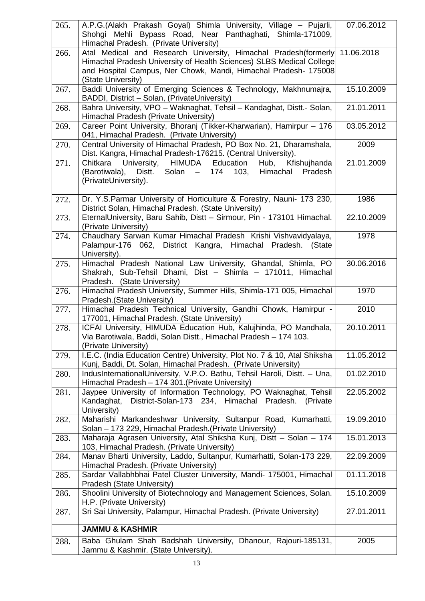| 265. | A.P.G.(Alakh Prakash Goyal) Shimla University, Village - Pujarli,<br>Shohgi Mehli Bypass Road, Near Panthaghati, Shimla-171009,<br>Himachal Pradesh. (Private University) | 07.06.2012 |
|------|---------------------------------------------------------------------------------------------------------------------------------------------------------------------------|------------|
| 266. | Atal Medical and Research University, Himachal Pradesh(formerly 11.06.2018<br>Himachal Pradesh University of Health Sciences) SLBS Medical College                        |            |
|      | and Hospital Campus, Ner Chowk, Mandi, Himachal Pradesh- 175008<br>(State University)                                                                                     |            |
| 267. | Baddi University of Emerging Sciences & Technology, Makhnumajra,<br>BADDI, District - Solan, (PrivateUniversity)                                                          | 15.10.2009 |
| 268. | Bahra University, VPO - Waknaghat, Tehsil - Kandaghat, Distt.- Solan,<br>Himachal Pradesh (Private University)                                                            | 21.01.2011 |
| 269. | Career Point University, Bhoranj (Tikker-Kharwarian), Hamirpur - 176<br>041, Himachal Pradesh. (Private University)                                                       | 03.05.2012 |
| 270. | Central University of Himachal Pradesh, PO Box No. 21, Dharamshala,<br>Dist. Kangra, Himachal Pradesh-176215. (Central University).                                       | 2009       |
| 271. | University, HIMUDA Education<br>Hub,<br>Kfishujhanda<br>Chitkara<br>(Barotiwala), Distt. Solan -<br>174 103,<br>Himachal<br>Pradesh<br>(PrivateUniversity).               | 21.01.2009 |
| 272. | Dr. Y.S.Parmar University of Horticulture & Forestry, Nauni- 173 230,<br>District Solan, Himachal Pradesh. (State University)                                             | 1986       |
| 273. | EternalUniversity, Baru Sahib, Distt - Sirmour, Pin - 173101 Himachal.<br>(Private University)                                                                            | 22.10.2009 |
| 274. | Chaudhary Sarwan Kumar Himachal Pradesh Krishi Vishvavidyalaya,<br>Palampur-176 062, District Kangra, Himachal Pradesh. (State<br>University).                            | 1978       |
| 275. | Himachal Pradesh National Law University, Ghandal, Shimla, PO<br>Shakrah, Sub-Tehsil Dhami, Dist - Shimla - 171011, Himachal<br>Pradesh. (State University)               | 30.06.2016 |
| 276. | Himachal Pradesh University, Summer Hills, Shimla-171 005, Himachal<br>Pradesh. (State University)                                                                        | 1970       |
| 277. | Himachal Pradesh Technical University, Gandhi Chowk, Hamirpur -<br>177001, Himachal Pradesh. (State University)                                                           | 2010       |
| 278. | ICFAI University, HIMUDA Education Hub, Kalujhinda, PO Mandhala,<br>Via Barotiwala, Baddi, Solan Distt., Himachal Pradesh - 174 103.<br>(Private University)              | 20.10.2011 |
| 279. | I.E.C. (India Education Centre) University, Plot No. 7 & 10, Atal Shiksha<br>Kunj, Baddi, Dt. Solan, Himachal Pradesh. (Private University)                               | 11.05.2012 |
| 280. | IndusInternationalUniversity, V.P.O. Bathu, Tehsil Haroli, Distt. - Una,<br>Himachal Pradesh - 174 301. (Private University)                                              | 01.02.2010 |
| 281. | Jaypee University of Information Technology, PO Waknaghat, Tehsil<br>District-Solan-173 234, Himachal Pradesh.<br>Kandaghat,<br>(Private)<br>University)                  | 22.05.2002 |
| 282. | Maharishi Markandeshwar University, Sultanpur Road, Kumarhatti,<br>Solan - 173 229, Himachal Pradesh. (Private University)                                                | 19.09.2010 |
| 283. | Maharaja Agrasen University, Atal Shiksha Kunj, Distt - Solan - 174<br>103, Himachal Pradesh. (Private University)                                                        | 15.01.2013 |
| 284. | Manav Bharti University, Laddo, Sultanpur, Kumarhatti, Solan-173 229,<br>Himachal Pradesh. (Private University)                                                           | 22.09.2009 |
| 285. | Sardar Vallabhbhai Patel Cluster University, Mandi- 175001, Himachal<br>Pradesh (State University)                                                                        | 01.11.2018 |
| 286. | Shoolini University of Biotechnology and Management Sciences, Solan.<br>H.P. (Private University)                                                                         | 15.10.2009 |
| 287. | Sri Sai University, Palampur, Himachal Pradesh. (Private University)                                                                                                      | 27.01.2011 |
|      | <b>JAMMU &amp; KASHMIR</b>                                                                                                                                                |            |
| 288. | Baba Ghulam Shah Badshah University, Dhanour, Rajouri-185131,<br>Jammu & Kashmir. (State University).                                                                     | 2005       |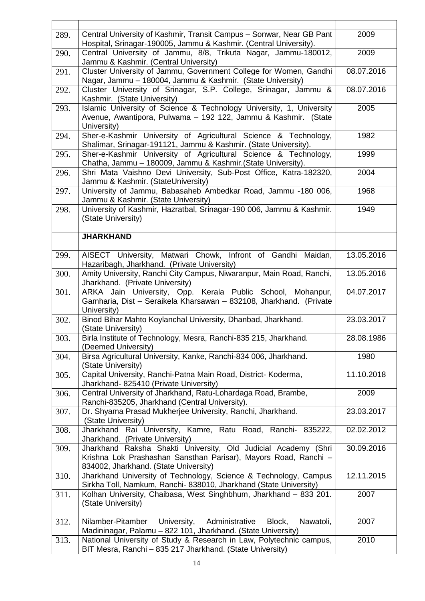| 289. | Central University of Kashmir, Transit Campus - Sonwar, Near GB Pant<br>Hospital, Srinagar-190005, Jammu & Kashmir. (Central University).                                  | 2009       |
|------|----------------------------------------------------------------------------------------------------------------------------------------------------------------------------|------------|
| 290. | Central University of Jammu, 8/8, Trikuta Nagar, Jammu-180012,                                                                                                             | 2009       |
|      | Jammu & Kashmir. (Central University)                                                                                                                                      |            |
| 291. | Cluster University of Jammu, Government College for Women, Gandhi<br>Nagar, Jammu - 180004, Jammu & Kashmir. (State University)                                            | 08.07.2016 |
| 292. | Cluster University of Srinagar, S.P. College, Srinagar, Jammu &<br>Kashmir. (State University)                                                                             | 08.07.2016 |
| 293. | Islamic University of Science & Technology University, 1, University<br>Avenue, Awantipora, Pulwama - 192 122, Jammu & Kashmir. (State<br>University)                      | 2005       |
| 294. | Sher-e-Kashmir University of Agricultural Science & Technology,<br>Shalimar, Srinagar-191121, Jammu & Kashmir. (State University).                                         | 1982       |
| 295. | Sher-e-Kashmir University of Agricultural Science & Technology,<br>Chatha, Jammu - 180009, Jammu & Kashmir. (State University).                                            | 1999       |
| 296. | Shri Mata Vaishno Devi University, Sub-Post Office, Katra-182320,<br>Jammu & Kashmir. (StateUniversity)                                                                    | 2004       |
| 297. | University of Jammu, Babasaheb Ambedkar Road, Jammu -180 006,<br>Jammu & Kashmir. (State University)                                                                       | 1968       |
| 298. | University of Kashmir, Hazratbal, Srinagar-190 006, Jammu & Kashmir.<br>(State University)                                                                                 | 1949       |
|      | <b>JHARKHAND</b>                                                                                                                                                           |            |
| 299. | AISECT University, Matwari Chowk, Infront of Gandhi Maidan,<br>Hazaribagh, Jharkhand. (Private University)                                                                 | 13.05.2016 |
| 300. | Amity University, Ranchi City Campus, Niwaranpur, Main Road, Ranchi,<br>Jharkhand. (Private University)                                                                    | 13.05.2016 |
| 301. | ARKA Jain University, Opp. Kerala Public School, Mohanpur,<br>Gamharia, Dist - Seraikela Kharsawan - 832108, Jharkhand. (Private<br>University)                            | 04.07.2017 |
| 302. | Binod Bihar Mahto Koylanchal University, Dhanbad, Jharkhand.<br>(State University)                                                                                         | 23.03.2017 |
| 303. | Birla Institute of Technology, Mesra, Ranchi-835 215, Jharkhand.<br>(Deemed University)                                                                                    | 28.08.1986 |
| 304. | Birsa Agricultural University, Kanke, Ranchi-834 006, Jharkhand.<br>(State University)                                                                                     | 1980       |
| 305. | Capital University, Ranchi-Patna Main Road, District-Koderma,<br>Jharkhand- 825410 (Private University)                                                                    | 11.10.2018 |
| 306. | Central University of Jharkhand, Ratu-Lohardaga Road, Brambe,<br>Ranchi-835205, Jharkhand (Central University).                                                            | 2009       |
| 307. | Dr. Shyama Prasad Mukherjee University, Ranchi, Jharkhand.<br>(State University)                                                                                           | 23.03.2017 |
| 308. | Jharkhand Rai University, Kamre, Ratu Road, Ranchi- 835222,<br>Jharkhand. (Private University)                                                                             | 02.02.2012 |
| 309. | Jharkhand Raksha Shakti University, Old Judicial Academy (Shri<br>Krishna Lok Prashashan Sansthan Parisar), Mayors Road, Ranchi -<br>834002, Jharkhand. (State University) | 30.09.2016 |
| 310. | Jharkhand University of Technology, Science & Technology, Campus<br>Sirkha Toll, Namkum, Ranchi- 838010, Jharkhand (State University)                                      | 12.11.2015 |
| 311. | Kolhan University, Chaibasa, West Singhbhum, Jharkhand - 833 201.<br>(State University)                                                                                    | 2007       |
| 312. | University,<br>Nilamber-Pitamber<br>Administrative<br>Nawatoli,<br>Block,<br>Madininagar, Palamu - 822 101, Jharkhand. (State University)                                  | 2007       |
| 313. | National University of Study & Research in Law, Polytechnic campus,<br>BIT Mesra, Ranchi - 835 217 Jharkhand. (State University)                                           | 2010       |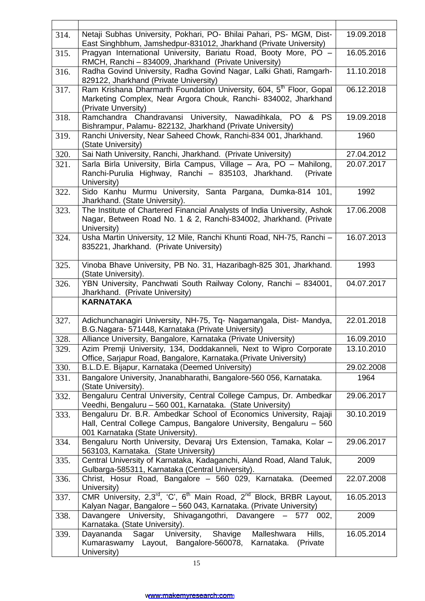| 314. | Netaji Subhas University, Pokhari, PO- Bhilai Pahari, PS- MGM, Dist-<br>East Singhbhum, Jamshedpur-831012, Jharkhand (Private University)                                      | 19.09.2018 |
|------|--------------------------------------------------------------------------------------------------------------------------------------------------------------------------------|------------|
| 315. | Pragyan International University, Bariatu Road, Booty More, PO -<br>RMCH, Ranchi - 834009, Jharkhand (Private University)                                                      | 16.05.2016 |
| 316. | Radha Govind University, Radha Govind Nagar, Lalki Ghati, Ramgarh-<br>829122, Jharkhand (Private University)                                                                   | 11.10.2018 |
| 317. | Ram Krishana Dharmarth Foundation University, 604, 5 <sup>th</sup> Floor, Gopal<br>Marketing Complex, Near Argora Chouk, Ranchi- 834002, Jharkhand<br>(Private Unversity)      | 06.12.2018 |
| 318. | Ramchandra Chandravansi University, Nawadihkala, PO<br>& PS<br>Bishrampur, Palamu- 822132, Jharkhand (Private University)                                                      | 19.09.2018 |
| 319. | Ranchi University, Near Saheed Chowk, Ranchi-834 001, Jharkhand.<br>(State University)                                                                                         | 1960       |
| 320. | Sai Nath University, Ranchi, Jharkhand. (Private University)                                                                                                                   | 27.04.2012 |
| 321. | Sarla Birla University, Birla Campus, Village - Ara, PO - Mahilong,<br>Ranchi-Purulia Highway, Ranchi - 835103, Jharkhand.<br>(Private<br>University)                          | 20.07.2017 |
| 322. | Sido Kanhu Murmu University, Santa Pargana, Dumka-814 101,<br>Jharkhand. (State University).                                                                                   | 1992       |
| 323. | The Institute of Chartered Financial Analysts of India University, Ashok<br>Nagar, Between Road No. 1 & 2, Ranchi-834002, Jharkhand. (Private<br>University)                   | 17.06.2008 |
| 324. | Usha Martin University, 12 Mile, Ranchi Khunti Road, NH-75, Ranchi -<br>835221, Jharkhand. (Private University)                                                                | 16.07.2013 |
| 325. | Vinoba Bhave University, PB No. 31, Hazaribagh-825 301, Jharkhand.<br>(State University).                                                                                      | 1993       |
| 326. | YBN University, Panchwati South Railway Colony, Ranchi - 834001,<br>Jharkhand. (Private University)                                                                            | 04.07.2017 |
|      | <b>KARNATAKA</b>                                                                                                                                                               |            |
| 327. | Adichunchanagiri University, NH-75, Tq- Nagamangala, Dist- Mandya,<br>B.G.Nagara- 571448, Karnataka (Private University)                                                       | 22.01.2018 |
| 328. | Alliance University, Bangalore, Karnataka (Private University)                                                                                                                 | 16.09.2010 |
| 329. | Azim Premji University, 134, Doddakanneli, Next to Wipro Corporate<br>Office, Sarjapur Road, Bangalore, Karnataka. (Private University)                                        | 13.10.2010 |
| 330. | B.L.D.E. Bijapur, Karnataka (Deemed University)                                                                                                                                | 29.02.2008 |
| 331. | Bangalore University, Jnanabharathi, Bangalore-560 056, Karnataka.<br>(State University).                                                                                      | 1964       |
| 332. | Bengaluru Central University, Central College Campus, Dr. Ambedkar<br>Veedhi, Bengaluru - 560 001, Karnataka. (State University)                                               | 29.06.2017 |
| 333. | Bengaluru Dr. B.R. Ambedkar School of Economics University, Rajaji<br>Hall, Central College Campus, Bangalore University, Bengaluru - 560<br>001 Karnataka (State University). | 30.10.2019 |
| 334. | Bengaluru North University, Devaraj Urs Extension, Tamaka, Kolar -<br>563103, Karnataka. (State University)                                                                    | 29.06.2017 |
| 335. | Central University of Karnataka, Kadaganchi, Aland Road, Aland Taluk,<br>Gulbarga-585311, Karnataka (Central University).                                                      | 2009       |
| 336. | Christ, Hosur Road, Bangalore - 560 029, Karnataka. (Deemed<br>University)                                                                                                     | 22.07.2008 |
| 337. | CMR University, 2,3rd, 'C', 6 <sup>th</sup> Main Road, 2 <sup>nd</sup> Block, BRBR Layout,<br>Kalyan Nagar, Bangalore – 560 043, Karnataka. (Private University)               | 16.05.2013 |
| 338. | University, Shivagangothri, Davangere<br>Davangere<br>002,<br>- 577<br>Karnataka. (State University).                                                                          | 2009       |
| 339. | University,<br>Malleshwara<br>Hills,<br>Dayananda<br>Sagar<br>Shavige<br>Kumaraswamy Layout, Bangalore-560078,<br>Karnataka.<br>(Private)<br>University)                       | 16.05.2014 |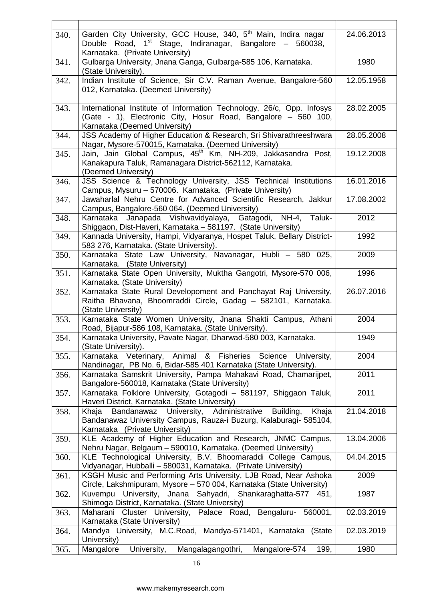| 340. | Garden City University, GCC House, 340, 5 <sup>th</sup> Main, Indira nagar<br>Double Road, 1 <sup>st</sup> Stage, Indiranagar, Bangalore - 560038,<br>Karnataka. (Private University) | 24.06.2013 |
|------|---------------------------------------------------------------------------------------------------------------------------------------------------------------------------------------|------------|
| 341. | Gulbarga University, Jnana Ganga, Gulbarga-585 106, Karnataka.<br>(State University).                                                                                                 | 1980       |
| 342. | Indian Institute of Science, Sir C.V. Raman Avenue, Bangalore-560<br>012, Karnataka. (Deemed University)                                                                              | 12.05.1958 |
| 343. | International Institute of Information Technology, 26/c, Opp. Infosys<br>(Gate - 1), Electronic City, Hosur Road, Bangalore - 560 100,<br>Karnataka (Deemed University)               | 28.02.2005 |
| 344. | JSS Academy of Higher Education & Research, Sri Shivarathreeshwara<br>Nagar, Mysore-570015, Karnataka. (Deemed University)                                                            | 28.05.2008 |
| 345. | Jain, Jain Global Campus, 45 <sup>th</sup> Km, NH-209, Jakkasandra Post,<br>Kanakapura Taluk, Ramanagara District-562112, Karnataka.<br>(Deemed University)                           | 19.12.2008 |
| 346. | JSS Science & Technology University, JSS Technical Institutions<br>Campus, Mysuru - 570006. Karnataka. (Private University)                                                           | 16.01.2016 |
| 347. | Jawaharlal Nehru Centre for Advanced Scientific Research, Jakkur<br>Campus, Bangalore-560 064. (Deemed University)                                                                    | 17.08.2002 |
| 348. | Karnataka Janapada Vishwavidyalaya, Gatagodi, NH-4, Taluk-<br>Shiggaon, Dist-Haveri, Karnataka - 581197. (State University)                                                           | 2012       |
| 349. | Kannada University, Hampi, Vidyaranya, Hospet Taluk, Bellary District-<br>583 276, Karnataka. (State University).                                                                     | 1992       |
| 350. | Karnataka State Law University, Navanagar, Hubli - 580 025,<br>Karnataka. (State University)                                                                                          | 2009       |
| 351. | Karnataka State Open University, Muktha Gangotri, Mysore-570 006,<br>Karnataka. (State University)                                                                                    | 1996       |
| 352. | Karnataka State Rural Developoment and Panchayat Raj University,<br>Raitha Bhavana, Bhoomraddi Circle, Gadag - 582101, Karnataka.<br>(State University)                               | 26.07.2016 |
| 353. | Karnataka State Women University, Jnana Shakti Campus, Athani<br>Road, Bijapur-586 108, Karnataka. (State University).                                                                | 2004       |
| 354. | Karnataka University, Pavate Nagar, Dharwad-580 003, Karnataka.<br>(State University).                                                                                                | 1949       |
| 355. | Karnataka Veterinary, Animal & Fisheries Science University,<br>Nandinagar, PB No. 6, Bidar-585 401 Karnataka (State University).                                                     | 2004       |
| 356. | Karnataka Samskrit University, Pampa Mahakavi Road, Chamarijpet,<br>Bangalore-560018, Karnataka (State University)                                                                    | 2011       |
| 357. | Karnataka Folklore University, Gotagodi - 581197, Shiggaon Taluk,<br>Haveri District, Karnataka. (State University)                                                                   | 2011       |
| 358. | Khaja Bandanawaz University, Administrative Building,<br>Khaja<br>Bandanawaz University Campus, Rauza-i Buzurg, Kalaburagi- 585104,<br>Karnataka (Private University)                 | 21.04.2018 |
| 359. | KLE Academy of Higher Education and Research, JNMC Campus,<br>Nehru Nagar, Belgaum - 590010, Karnataka. (Deemed University)                                                           | 13.04.2006 |
| 360. | KLE Technological University, B.V. Bhoomaraddi College Campus,<br>Vidyanagar, Hubballi - 580031, Karnataka. (Private University)                                                      | 04.04.2015 |
| 361. | KSGH Music and Performing Arts University, LJB Road, Near Ashoka<br>Circle, Lakshmipuram, Mysore - 570 004, Karnataka (State University)                                              | 2009       |
| 362. | Kuvempu University, Jnana Sahyadri, Shankaraghatta-577 451,<br>Shimoga District, Karnataka. (State University)                                                                        | 1987       |
| 363. | Maharani Cluster University, Palace Road, Bengaluru- 560001,<br>Karnataka (State University)                                                                                          | 02.03.2019 |
| 364. | Mandya University, M.C.Road, Mandya-571401, Karnataka<br>(State<br>University)                                                                                                        | 02.03.2019 |
| 365. | Mangalore<br>Mangalagangothri,<br>Mangalore-574<br>University,<br>199,                                                                                                                | 1980       |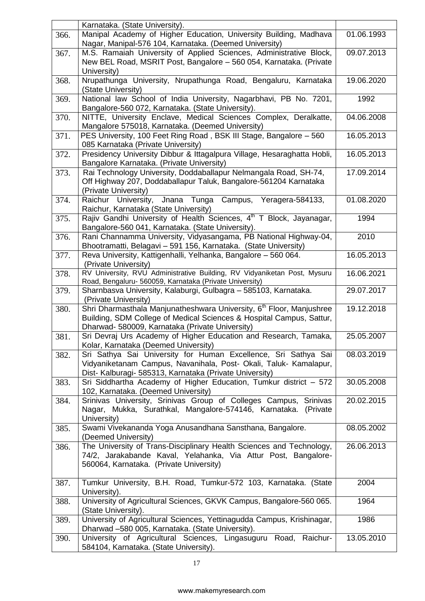|      | Karnataka. (State University).                                                                                                                                                                              |            |
|------|-------------------------------------------------------------------------------------------------------------------------------------------------------------------------------------------------------------|------------|
| 366. | Manipal Academy of Higher Education, University Building, Madhava<br>Nagar, Manipal-576 104, Karnataka. (Deemed University)                                                                                 | 01.06.1993 |
| 367. | M.S. Ramaiah University of Applied Sciences, Administrative Block,<br>New BEL Road, MSRIT Post, Bangalore - 560 054, Karnataka. (Private<br>University)                                                     | 09.07.2013 |
| 368. | Nrupathunga University, Nrupathunga Road, Bengaluru, Karnataka<br>(State University)                                                                                                                        | 19.06.2020 |
| 369. | National law School of India University, Nagarbhavi, PB No. 7201,<br>Bangalore-560 072, Karnataka. (State University).                                                                                      | 1992       |
| 370. | NITTE, University Enclave, Medical Sciences Complex, Deralkatte,<br>Mangalore 575018, Karnataka. (Deemed University)                                                                                        | 04.06.2008 |
| 371. | PES University, 100 Feet Ring Road, BSK III Stage, Bangalore - 560<br>085 Karnataka (Private University)                                                                                                    | 16.05.2013 |
| 372. | Presidency University Dibbur & Ittagalpura Village, Hesaraghatta Hobli,<br>Bangalore Karnataka. (Private University)                                                                                        | 16.05.2013 |
| 373. | Rai Technology University, Doddaballapur Nelmangala Road, SH-74,<br>Off Highway 207, Doddaballapur Taluk, Bangalore-561204 Karnataka<br>(Private University)                                                | 17.09.2014 |
| 374. | Campus, Yeragera-584133,<br>Raichur University, Jnana Tunga<br>Raichur, Karnataka (State University)                                                                                                        | 01.08.2020 |
| 375. | Rajiv Gandhi University of Health Sciences, 4 <sup>th</sup> T Block, Jayanagar,<br>Bangalore-560 041, Karnataka. (State University).                                                                        | 1994       |
| 376. | Rani Channamma University, Vidyasangama, PB National Highway-04,<br>Bhootramatti, Belagavi - 591 156, Karnataka. (State University)                                                                         | 2010       |
| 377. | Reva University, Kattigenhalli, Yelhanka, Bangalore - 560 064.<br>(Private University)                                                                                                                      | 16.05.2013 |
| 378. | RV University, RVU Administrative Building, RV Vidyaniketan Post, Mysuru<br>Road, Bengaluru- 560059, Karnataka (Private University)                                                                         | 16.06.2021 |
| 379. | Sharnbasva University, Kalaburgi, Gulbagra – 585103, Karnataka.<br>(Private University)                                                                                                                     | 29.07.2017 |
| 380. | Shri Dharmasthala Manjunatheshwara University, 6 <sup>th</sup> Floor, Manjushree<br>Building, SDM College of Medical Sciences & Hospital Campus, Sattur,<br>Dharwad- 580009, Karnataka (Private University) | 19.12.2018 |
| 381. | Sri Devraj Urs Academy of Higher Education and Research, Tamaka,<br>Kolar, Karnataka (Deemed University)                                                                                                    | 25.05.2007 |
| 382. | Sri Sathya Sai University for Human Excellence, Sri Sathya Sai<br>Vidyaniketanam Campus, Navanihala, Post- Okali, Taluk- Kamalapur,<br>Dist- Kalburagi- 585313, Karnataka (Private University)              | 08.03.2019 |
| 383. | Sri Siddhartha Academy of Higher Education, Tumkur district - 572<br>102, Karnataka. (Deemed University)                                                                                                    | 30.05.2008 |
| 384. | Srinivas University, Srinivas Group of Colleges Campus, Srinivas<br>Nagar, Mukka, Surathkal, Mangalore-574146, Karnataka. (Private<br>University)                                                           | 20.02.2015 |
| 385. | Swami Vivekananda Yoga Anusandhana Sansthana, Bangalore.<br>(Deemed University)                                                                                                                             | 08.05.2002 |
| 386. | The University of Trans-Disciplinary Health Sciences and Technology,<br>74/2, Jarakabande Kaval, Yelahanka, Via Attur Post, Bangalore-<br>560064, Karnataka. (Private University)                           | 26.06.2013 |
| 387. | Tumkur University, B.H. Road, Tumkur-572 103, Karnataka. (State<br>University).                                                                                                                             | 2004       |
| 388. | University of Agricultural Sciences, GKVK Campus, Bangalore-560 065.<br>(State University).                                                                                                                 | 1964       |
| 389. | University of Agricultural Sciences, Yettinagudda Campus, Krishinagar,<br>Dharwad -580 005, Karnataka. (State University).                                                                                  | 1986       |
| 390. | University of Agricultural Sciences, Lingasuguru Road, Raichur-<br>584104, Karnataka. (State University).                                                                                                   | 13.05.2010 |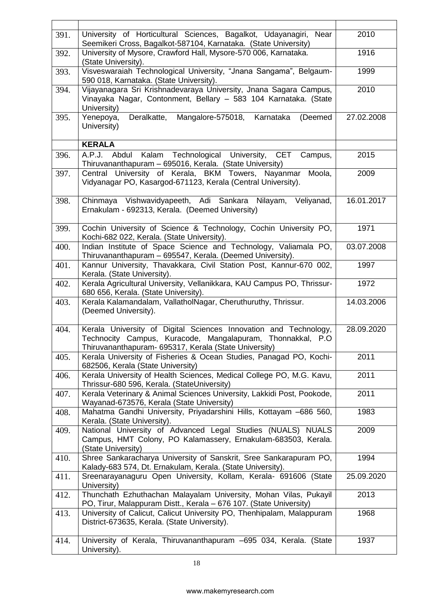| 391. | University of Horticultural Sciences, Bagalkot, Udayanagiri,<br>Near<br>Seemikeri Cross, Bagalkot-587104, Karnataka. (State University)                                                  | 2010       |
|------|------------------------------------------------------------------------------------------------------------------------------------------------------------------------------------------|------------|
| 392. | University of Mysore, Crawford Hall, Mysore-570 006, Karnataka.<br>(State University).                                                                                                   | 1916       |
| 393. | Visveswaraiah Technological University, "Jnana Sangama", Belgaum-<br>590 018, Karnataka. (State University).                                                                             | 1999       |
| 394. | Vijayanagara Sri Krishnadevaraya University, Jnana Sagara Campus,<br>Vinayaka Nagar, Contonment, Bellary - 583 104 Karnataka. (State<br>University)                                      | 2010       |
| 395. | Deralkatte,<br>Mangalore-575018,<br>Karnataka<br>Yenepoya,<br>(Deemed<br>University)                                                                                                     | 27.02.2008 |
|      | <b>KERALA</b>                                                                                                                                                                            |            |
| 396. | A.P.J.<br>Abdul Kalam Technological University, CET<br>Campus,<br>Thiruvananthapuram - 695016, Kerala. (State University)                                                                | 2015       |
| 397. | Central University of Kerala, BKM Towers, Nayanmar<br>Moola,<br>Vidyanagar PO, Kasargod-671123, Kerala (Central University).                                                             | 2009       |
| 398. | Chinmaya Vishwavidyapeeth, Adi Sankara Nilayam,<br>Veliyanad,<br>Ernakulam - 692313, Kerala. (Deemed University)                                                                         | 16.01.2017 |
| 399. | Cochin University of Science & Technology, Cochin University PO,<br>Kochi-682 022, Kerala. (State University).                                                                           | 1971       |
| 400. | Indian Institute of Space Science and Technology, Valiamala PO,<br>Thiruvananthapuram - 695547, Kerala. (Deemed University).                                                             | 03.07.2008 |
| 401. | Kannur University, Thavakkara, Civil Station Post, Kannur-670 002,<br>Kerala. (State University).                                                                                        | 1997       |
| 402. | Kerala Agricultural University, Vellanikkara, KAU Campus PO, Thrissur-<br>680 656, Kerala. (State University).                                                                           | 1972       |
| 403. | Kerala Kalamandalam, VallatholNagar, Cheruthuruthy, Thrissur.<br>(Deemed University).                                                                                                    | 14.03.2006 |
| 404. | Kerala University of Digital Sciences Innovation and Technology,<br>Technocity Campus, Kuracode, Mangalapuram, Thonnakkal, P.O.<br>Thiruvananthapuram- 695317, Kerala (State University) | 28.09.2020 |
| 405. | Kerala University of Fisheries & Ocean Studies, Panagad PO, Kochi-<br>682506, Kerala (State University)                                                                                  | 2011       |
| 406. | Kerala University of Health Sciences, Medical College PO, M.G. Kavu,<br>Thrissur-680 596, Kerala. (StateUniversity)                                                                      | 2011       |
| 407. | Kerala Veterinary & Animal Sciences University, Lakkidi Post, Pookode,<br>Wayanad-673576, Kerala (State University)                                                                      | 2011       |
| 408. | Mahatma Gandhi University, Priyadarshini Hills, Kottayam -686 560,<br>Kerala. (State University).                                                                                        | 1983       |
| 409. | National University of Advanced Legal Studies (NUALS) NUALS<br>Campus, HMT Colony, PO Kalamassery, Ernakulam-683503, Kerala.<br>(State University)                                       | 2009       |
| 410. | Shree Sankaracharya University of Sanskrit, Sree Sankarapuram PO,<br>Kalady-683 574, Dt. Ernakulam, Kerala. (State University).                                                          | 1994       |
| 411. | Sreenarayanaguru Open University, Kollam, Kerala- 691606 (State<br>University)                                                                                                           | 25.09.2020 |
| 412. | Thunchath Ezhuthachan Malayalam University, Mohan Vilas, Pukayil<br>PO, Tirur, Malappuram Distt., Kerala – 676 107. (State University)                                                   | 2013       |
| 413. | University of Calicut, Calicut University PO, Thenhipalam, Malappuram<br>District-673635, Kerala. (State University).                                                                    | 1968       |
| 414. | University of Kerala, Thiruvananthapuram -695 034, Kerala. (State<br>University).                                                                                                        | 1937       |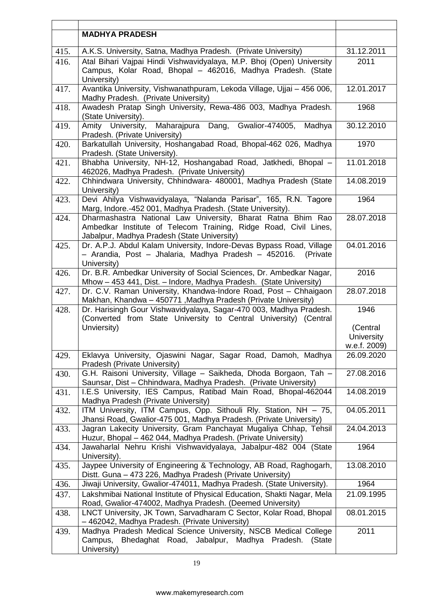|      | <b>MADHYA PRADESH</b>                                                                                                                                                           |                            |
|------|---------------------------------------------------------------------------------------------------------------------------------------------------------------------------------|----------------------------|
| 415. | A.K.S. University, Satna, Madhya Pradesh. (Private University)                                                                                                                  | 31.12.2011                 |
| 416. | Atal Bihari Vajpai Hindi Vishwavidyalaya, M.P. Bhoj (Open) University                                                                                                           | 2011                       |
|      | Campus, Kolar Road, Bhopal - 462016, Madhya Pradesh. (State<br>University)                                                                                                      |                            |
| 417. | Avantika University, Vishwanathpuram, Lekoda Village, Ujjai - 456 006,<br>Madhy Pradesh. (Private University)                                                                   | 12.01.2017                 |
| 418. | Awadesh Pratap Singh University, Rewa-486 003, Madhya Pradesh.<br>(State University).                                                                                           | 1968                       |
| 419. | Maharajpura Dang,<br>Gwalior-474005,<br>Amity University,<br>Madhya<br>Pradesh. (Private University)                                                                            | 30.12.2010                 |
| 420. | Barkatullah University, Hoshangabad Road, Bhopal-462 026, Madhya<br>Pradesh. (State University).                                                                                | 1970                       |
| 421. | Bhabha University, NH-12, Hoshangabad Road, Jatkhedi, Bhopal -<br>462026, Madhya Pradesh. (Private University)                                                                  | 11.01.2018                 |
| 422. | Chhindwara University, Chhindwara- 480001, Madhya Pradesh (State<br>University)                                                                                                 | 14.08.2019                 |
| 423. | Devi Ahilya Vishwavidyalaya, "Nalanda Parisar", 165, R.N. Tagore<br>Marg, Indore.-452 001, Madhya Pradesh. (State University).                                                  | 1964                       |
| 424. | Dharmashastra National Law University, Bharat Ratna Bhim Rao<br>Ambedkar Institute of Telecom Training, Ridge Road, Civil Lines,<br>Jabalpur, Madhya Pradesh (State University) | 28.07.2018                 |
| 425. | Dr. A.P.J. Abdul Kalam University, Indore-Devas Bypass Road, Village<br>- Arandia, Post - Jhalaria, Madhya Pradesh - 452016.<br>(Private)<br>University)                        | 04.01.2016                 |
| 426. | Dr. B.R. Ambedkar University of Social Sciences, Dr. Ambedkar Nagar,<br>Mhow - 453 441, Dist. - Indore, Madhya Pradesh. (State University)                                      | 2016                       |
| 427. | Dr. C.V. Raman University, Khandwa-Indore Road, Post - Chhaigaon<br>Makhan, Khandwa - 450771, Madhya Pradesh (Private University)                                               | 28.07.2018                 |
| 428. | Dr. Harisingh Gour Vishwavidyalaya, Sagar-470 003, Madhya Pradesh.<br>(Converted from State University to Central University) (Central                                          | 1946                       |
|      | Unviersity)                                                                                                                                                                     | (Central                   |
|      |                                                                                                                                                                                 | University                 |
|      |                                                                                                                                                                                 | w.e.f. 2009)<br>26.09.2020 |
| 429. | Eklavya University, Ojaswini Nagar, Sagar Road, Damoh, Madhya<br>Pradesh (Private University)                                                                                   |                            |
| 430. | G.H. Raisoni University, Village - Saikheda, Dhoda Borgaon, Tah -<br>Saunsar, Dist - Chhindwara, Madhya Pradesh. (Private University)                                           | 27.08.2016                 |
| 431. | I.E.S University, IES Campus, Ratibad Main Road, Bhopal-462044<br>Madhya Pradesh (Private University)                                                                           | 14.08.2019                 |
| 432. | ITM University, ITM Campus, Opp. Sithouli Rly. Station, NH - 75,<br>Jhansi Road, Gwalior-475 001, Madhya Pradesh. (Private University)                                          | 04.05.2011                 |
| 433. | Jagran Lakecity University, Gram Panchayat Mugaliya Chhap, Tehsil<br>Huzur, Bhopal - 462 044, Madhya Pradesh. (Private University)                                              | 24.04.2013                 |
| 434. | Jawaharlal Nehru Krishi Vishwavidyalaya, Jabalpur-482 004 (State<br>University).                                                                                                | 1964                       |
| 435. | Jaypee University of Engineering & Technology, AB Road, Raghogarh,<br>Distt. Guna - 473 226, Madhya Pradesh (Private University)                                                | 13.08.2010                 |
| 436. | Jiwaji University, Gwalior-474011, Madhya Pradesh. (State University).                                                                                                          | 1964                       |
| 437. | Lakshmibai National Institute of Physical Education, Shakti Nagar, Mela<br>Road, Gwalior-474002, Madhya Pradesh. (Deemed University)                                            | 21.09.1995                 |
| 438. | LNCT University, JK Town, Sarvadharam C Sector, Kolar Road, Bhopal<br>- 462042, Madhya Pradesh. (Private University)                                                            | 08.01.2015                 |
| 439. | Madhya Pradesh Medical Science University, NSCB Medical College<br>Campus, Bhedaghat Road, Jabalpur, Madhya Pradesh.<br>(State<br>University)                                   | 2011                       |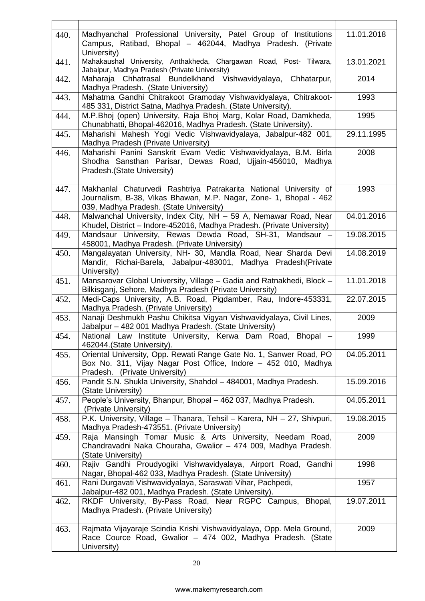| 440. | Madhyanchal Professional University, Patel Group of Institutions<br>Campus, Ratibad, Bhopal - 462044, Madhya Pradesh. (Private<br>University)                                     | 11.01.2018 |
|------|-----------------------------------------------------------------------------------------------------------------------------------------------------------------------------------|------------|
| 441. | Mahakaushal University, Anthakheda, Chargawan Road, Post- Tilwara,<br>Jabalpur, Madhya Pradesh (Private University)                                                               | 13.01.2021 |
| 442. | Chhatarpur,<br>Maharaja Chhatrasal Bundelkhand Vishwavidyalaya,<br>Madhya Pradesh. (State University)                                                                             | 2014       |
| 443. | Mahatma Gandhi Chitrakoot Gramoday Vishwavidyalaya, Chitrakoot-<br>485 331, District Satna, Madhya Pradesh. (State University).                                                   | 1993       |
| 444. | M.P.Bhoj (open) University, Raja Bhoj Marg, Kolar Road, Damkheda,<br>Chunabhatti, Bhopal-462016, Madhya Pradesh. (State University).                                              | 1995       |
| 445. | Maharishi Mahesh Yogi Vedic Vishwavidyalaya, Jabalpur-482 001,<br>Madhya Pradesh (Private University)                                                                             | 29.11.1995 |
| 446. | Maharishi Panini Sanskrit Evam Vedic Vishwavidyalaya, B.M. Birla<br>Shodha Sansthan Parisar, Dewas Road, Ujjain-456010, Madhya<br>Pradesh. (State University)                     | 2008       |
| 447. | Makhanlal Chaturvedi Rashtriya Patrakarita National University of<br>Journalism, B-38, Vikas Bhawan, M.P. Nagar, Zone- 1, Bhopal - 462<br>039, Madhya Pradesh. (State University) | 1993       |
| 448. | Malwanchal University, Index City, NH - 59 A, Nemawar Road, Near<br>Khudel, District - Indore-452016, Madhya Pradesh. (Private University)                                        | 04.01.2016 |
| 449. | Mandsaur University, Rewas Dewda Road, SH-31, Mandsaur -<br>458001, Madhya Pradesh. (Private University)                                                                          | 19.08.2015 |
| 450. | Mangalayatan University, NH- 30, Mandla Road, Near Sharda Devi<br>Mandir, Richai-Barela, Jabalpur-483001, Madhya Pradesh (Private<br>University)                                  | 14.08.2019 |
| 451. | Mansarovar Global University, Village - Gadia and Ratnakhedi, Block -<br>Bilkisganj, Sehore, Madhya Pradesh (Private University)                                                  | 11.01.2018 |
| 452. | Medi-Caps University, A.B. Road, Pigdamber, Rau, Indore-453331,<br>Madhya Pradesh. (Private University)                                                                           | 22.07.2015 |
| 453. | Nanaji Deshmukh Pashu Chikitsa Vigyan Vishwavidyalaya, Civil Lines,<br>Jabalpur - 482 001 Madhya Pradesh. (State University)                                                      | 2009       |
| 454. | National Law Institute University, Kerwa Dam Road, Bhopal -<br>462044.(State University).                                                                                         | 1999       |
| 455. | Oriental University, Opp. Rewati Range Gate No. 1, Sanwer Road, PO<br>Box No. 311, Vijay Nagar Post Office, Indore - 452 010, Madhya<br>Pradesh. (Private University)             | 04.05.2011 |
| 456. | Pandit S.N. Shukla University, Shahdol - 484001, Madhya Pradesh.<br>(State University)                                                                                            | 15.09.2016 |
| 457. | People's University, Bhanpur, Bhopal - 462 037, Madhya Pradesh.<br>(Private University)                                                                                           | 04.05.2011 |
| 458. | P.K. University, Village - Thanara, Tehsil - Karera, NH - 27, Shivpuri,<br>Madhya Pradesh-473551. (Private University)                                                            | 19.08.2015 |
| 459. | Raja Mansingh Tomar Music & Arts University, Needam Road,<br>Chandravadni Naka Chouraha, Gwalior - 474 009, Madhya Pradesh.<br>(State University)                                 | 2009       |
| 460. | Rajiv Gandhi Proudyogiki Vishwavidyalaya, Airport Road, Gandhi<br>Nagar, Bhopal-462 033, Madhya Pradesh. (State University)                                                       | 1998       |
| 461. | Rani Durgavati Vishwavidyalaya, Saraswati Vihar, Pachpedi,<br>Jabalpur-482 001, Madhya Pradesh. (State University).                                                               | 1957       |
| 462. | RKDF University, By-Pass Road, Near RGPC Campus,<br>Bhopal,<br>Madhya Pradesh. (Private University)                                                                               | 19.07.2011 |
| 463. | Rajmata Vijayaraje Scindia Krishi Vishwavidyalaya, Opp. Mela Ground,<br>Race Cource Road, Gwalior - 474 002, Madhya Pradesh. (State<br>University)                                | 2009       |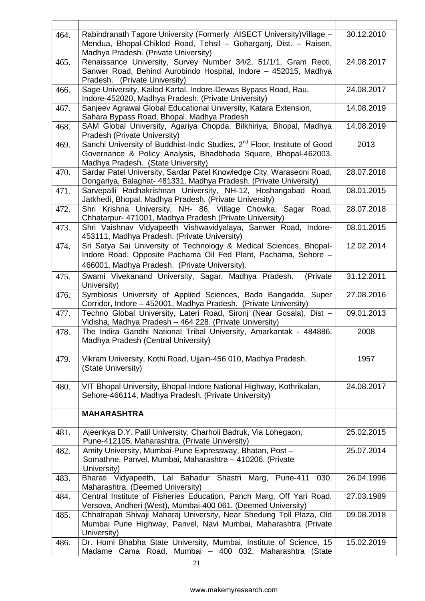| 464. | Rabindranath Tagore University (Formerly AISECT University) Village -<br>Mendua, Bhopal-Chiklod Road, Tehsil - Goharganj, Dist. - Raisen,                                                     | 30.12.2010 |
|------|-----------------------------------------------------------------------------------------------------------------------------------------------------------------------------------------------|------------|
|      | Madhya Pradesh. (Private University)                                                                                                                                                          |            |
| 465. | Renaissance University, Survey Number 34/2, 51/1/1, Gram Reoti,<br>Sanwer Road, Behind Aurobindo Hospital, Indore - 452015, Madhya<br>Pradesh. (Private University)                           | 24.08.2017 |
| 466. | Sage University, Kailod Kartal, Indore-Dewas Bypass Road, Rau,<br>Indore-452020, Madhya Pradesh. (Private University)                                                                         | 24.08.2017 |
| 467. | Sanjeev Agrawal Global Educational University, Katara Extension,<br>Sahara Bypass Road, Bhopal, Madhya Pradesh                                                                                | 14.08.2019 |
| 468. | SAM Global University, Agariya Chopda, Bilkhiriya, Bhopal, Madhya<br>Pradesh (Private University)                                                                                             | 14.08.2019 |
| 469. | Sanchi University of Buddhist-Indic Studies, 2 <sup>nd</sup> Floor, Institute of Good<br>Governance & Policy Analysis, Bhadbhada Square, Bhopal-462003,<br>Madhya Pradesh. (State University) | 2013       |
| 470. | Sardar Patel University, Sardar Patel Knowledge City, Waraseoni Road,<br>Dongariya, Balaghat- 481331, Madhya Pradesh. (Private University)                                                    | 28.07.2018 |
| 471. | Sarvepalli Radhakrishnan University, NH-12, Hoshangabad Road,<br>Jatkhedi, Bhopal, Madhya Pradesh. (Private University)                                                                       | 08.01.2015 |
| 472. | Shri Krishna University, NH- 86, Village Chowka, Sagar Road,<br>Chhatarpur- 471001, Madhya Pradesh (Private University)                                                                       | 28.07.2018 |
| 473. | Shri Vaishnav Vidyapeeth Vishwavidyalaya, Sanwer Road, Indore-<br>453111, Madhya Pradesh. (Private University)                                                                                | 08.01.2015 |
| 474. | Sri Satya Sai University of Technology & Medical Sciences, Bhopal-<br>Indore Road, Opposite Pachama Oil Fed Plant, Pachama, Sehore -<br>466001, Madhya Pradesh. (Private University).         | 12.02.2014 |
| 475. | Swami Vivekanand University, Sagar, Madhya Pradesh.<br>(Private<br>University)                                                                                                                | 31.12.2011 |
| 476. | Symbiosis University of Applied Sciences, Bada Bangadda, Super<br>Corridor, Indore - 452001, Madhya Pradesh. (Private University)                                                             | 27.08.2016 |
| 477. | Techno Global University, Lateri Road, Sironj (Near Gosala), Dist -<br>Vidisha, Madhya Pradesh - 464 228. (Private University)                                                                | 09.01.2013 |
| 478. | The Indira Gandhi National Tribal University, Amarkantak - 484886,<br>Madhya Pradesh (Central University)                                                                                     | 2008       |
| 479. | Vikram University, Kothi Road, Ujjain-456 010, Madhya Pradesh.<br>(State University)                                                                                                          | 1957       |
| 480. | VIT Bhopal University, Bhopal-Indore National Highway, Kothrikalan,<br>Sehore-466114, Madhya Pradesh. (Private University)                                                                    | 24.08.2017 |
|      | <b>MAHARASHTRA</b>                                                                                                                                                                            |            |
| 481. | Ajeenkya D.Y. Patil University, Charholi Badruk, Via Lohegaon,<br>Pune-412105, Maharashtra. (Private University)                                                                              | 25.02.2015 |
| 482. | Amity University, Mumbai-Pune Expressway, Bhatan, Post -<br>Somathne, Panvel, Mumbai, Maharashtra - 410206. (Private<br>University)                                                           | 25.07.2014 |
| 483. | Bharati Vidyapeeth, Lal Bahadur Shastri Marg, Pune-411<br>030,<br>Maharashtra. (Deemed University)                                                                                            | 26.04.1996 |
| 484. | Central Institute of Fisheries Education, Panch Marg, Off Yari Road,<br>Versova, Andheri (West), Mumbai-400 061. (Deemed University)                                                          | 27.03.1989 |
| 485. | Chhatrapati Shivaji Maharaj University, Near Shedung Toll Plaza, Old<br>Mumbai Pune Highway, Panvel, Navi Mumbai, Maharashtra (Private<br>University)                                         | 09.08.2018 |
| 486. | Dr. Homi Bhabha State University, Mumbai, Institute of Science, 15<br>Madame Cama Road, Mumbai - 400 032, Maharashtra (State                                                                  | 15.02.2019 |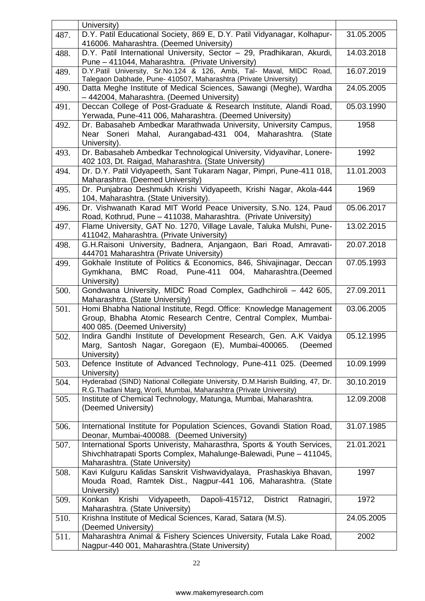|      | University)                                                                                                                                                                     |            |
|------|---------------------------------------------------------------------------------------------------------------------------------------------------------------------------------|------------|
| 487. | D.Y. Patil Educational Society, 869 E, D.Y. Patil Vidyanagar, Kolhapur-<br>416006. Maharashtra. (Deemed University)                                                             | 31.05.2005 |
| 488. | D.Y. Patil International University, Sector - 29, Pradhikaran, Akurdi,<br>Pune - 411044, Maharashtra. (Private University)                                                      | 14.03.2018 |
| 489. | D.Y.Patil University, Sr.No.124 & 126, Ambi, Tal- Maval, MIDC Road,<br>Talegaon Dabhade, Pune- 410507, Maharashtra (Private University)                                         | 16.07.2019 |
| 490. | Datta Meghe Institute of Medical Sciences, Sawangi (Meghe), Wardha<br>- 442004, Maharashtra. (Deemed University)                                                                | 24.05.2005 |
| 491. | Deccan College of Post-Graduate & Research Institute, Alandi Road,<br>Yerwada, Pune-411 006, Maharashtra. (Deemed University)                                                   | 05.03.1990 |
| 492. | Dr. Babasaheb Ambedkar Marathwada University, University Campus,<br>Near Soneri Mahal, Aurangabad-431 004, Maharashtra. (State<br>University).                                  | 1958       |
| 493. | Dr. Babasaheb Ambedkar Technological University, Vidyavihar, Lonere-<br>402 103, Dt. Raigad, Maharashtra. (State University)                                                    | 1992       |
| 494. | Dr. D.Y. Patil Vidyapeeth, Sant Tukaram Nagar, Pimpri, Pune-411 018,<br>Maharashtra. (Deemed University)                                                                        | 11.01.2003 |
| 495. | Dr. Punjabrao Deshmukh Krishi Vidyapeeth, Krishi Nagar, Akola-444<br>104, Maharashtra. (State University).                                                                      | 1969       |
| 496. | Dr. Vishwanath Karad MIT World Peace University, S.No. 124, Paud<br>Road, Kothrud, Pune - 411038, Maharashtra. (Private University)                                             | 05.06.2017 |
| 497. | Flame University, GAT No. 1270, Village Lavale, Taluka Mulshi, Pune-<br>411042, Maharashtra. (Private University)                                                               | 13.02.2015 |
| 498. | G.H.Raisoni University, Badnera, Anjangaon, Bari Road, Amravati-<br>444701 Maharashtra (Private University)                                                                     | 20.07.2018 |
| 499. | Gokhale Institute of Politics & Economics, 846, Shivajinagar, Deccan<br>BMC Road, Pune-411 004, Maharashtra. (Deemed<br>Gymkhana,<br>University)                                | 07.05.1993 |
| 500. | Gondwana University, MIDC Road Complex, Gadhchiroli - 442 605,<br>Maharashtra. (State University)                                                                               | 27.09.2011 |
| 501. | Homi Bhabha National Institute, Regd. Office: Knowledge Management<br>Group, Bhabha Atomic Research Centre, Central Complex, Mumbai-<br>400 085. (Deemed University)            | 03.06.2005 |
| 502. | Indira Gandhi Institute of Development Research, Gen. A.K Vaidya<br>Marg, Santosh Nagar, Goregaon (E), Mumbai-400065.<br>(Deemed<br>University)                                 | 05.12.1995 |
| 503. | Defence Institute of Advanced Technology, Pune-411 025. (Deemed<br>University)                                                                                                  | 10.09.1999 |
| 504. | Hyderabad (SIND) National Collegiate University, D.M.Harish Building, 47, Dr.<br>R.G. Thadani Marg, Worli, Mumbai, Maharashtra (Private University)                             | 30.10.2019 |
| 505. | Institute of Chemical Technology, Matunga, Mumbai, Maharashtra.<br>(Deemed University)                                                                                          | 12.09.2008 |
| 506. | International Institute for Population Sciences, Govandi Station Road,<br>Deonar, Mumbai-400088. (Deemed University)                                                            | 31.07.1985 |
| 507. | International Sports Univeristy, Maharasthra, Sports & Youth Services,<br>Shivchhatrapati Sports Complex, Mahalunge-Balewadi, Pune - 411045,<br>Maharashtra. (State University) | 21.01.2021 |
| 508. | Kavi Kulguru Kalidas Sanskrit Vishwavidyalaya, Prashaskiya Bhavan,<br>Mouda Road, Ramtek Dist., Nagpur-441 106, Maharashtra. (State<br>University)                              | 1997       |
| 509. | Konkan<br>Dapoli-415712,<br><b>District</b><br>Krishi<br>Vidyapeeth,<br>Ratnagiri,<br>Maharashtra. (State University)                                                           | 1972       |
| 510. | Krishna Institute of Medical Sciences, Karad, Satara (M.S).<br>(Deemed University)                                                                                              | 24.05.2005 |
| 511. | Maharashtra Animal & Fishery Sciences University, Futala Lake Road,<br>Nagpur-440 001, Maharashtra. (State University)                                                          | 2002       |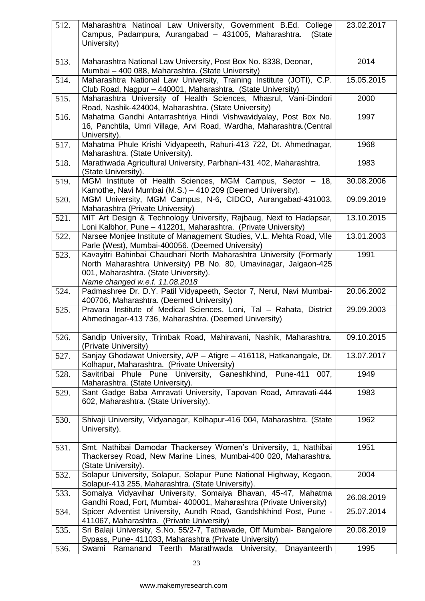| 512. | Maharashtra Natinoal Law University, Government B.Ed. College<br>Campus, Padampura, Aurangabad - 431005, Maharashtra.<br>(State<br>University)                                                                     | 23.02.2017 |
|------|--------------------------------------------------------------------------------------------------------------------------------------------------------------------------------------------------------------------|------------|
| 513. | Maharashtra National Law University, Post Box No. 8338, Deonar,<br>Mumbai - 400 088, Maharashtra. (State University)                                                                                               | 2014       |
| 514. | Maharashtra National Law University, Training Institute (JOTI), C.P.<br>Club Road, Nagpur - 440001, Maharashtra. (State University)                                                                                | 15.05.2015 |
| 515. | Maharashtra University of Health Sciences, Mhasrul, Vani-Dindori<br>Road, Nashik-424004, Maharashtra. (State University)                                                                                           | 2000       |
| 516. | Mahatma Gandhi Antarrashtriya Hindi Vishwavidyalay, Post Box No.<br>16, Panchtila, Umri Village, Arvi Road, Wardha, Maharashtra.(Central<br>University).                                                           | 1997       |
| 517. | Mahatma Phule Krishi Vidyapeeth, Rahuri-413 722, Dt. Ahmednagar,<br>Maharashtra. (State University).                                                                                                               | 1968       |
| 518. | Marathwada Agricultural University, Parbhani-431 402, Maharashtra.<br>(State University).                                                                                                                          | 1983       |
| 519. | MGM Institute of Health Sciences, MGM Campus, Sector - 18,<br>Kamothe, Navi Mumbai (M.S.) - 410 209 (Deemed University).                                                                                           | 30.08.2006 |
| 520. | MGM University, MGM Campus, N-6, CIDCO, Aurangabad-431003,<br>Maharashtra (Private University)                                                                                                                     | 09.09.2019 |
| 521. | MIT Art Design & Technology University, Rajbaug, Next to Hadapsar,<br>Loni Kalbhor, Pune - 412201, Maharashtra. (Private University)                                                                               | 13.10.2015 |
| 522. | Narsee Monjee Institute of Management Studies, V.L. Mehta Road, Vile<br>Parle (West), Mumbai-400056. (Deemed University)                                                                                           | 13.01.2003 |
| 523. | Kavayitri Bahinbai Chaudhari North Maharashtra University (Formarly<br>North Maharashtra University) PB No. 80, Umavinagar, Jalgaon-425<br>001, Maharashtra. (State University).<br>Name changed w.e.f. 11.08.2018 | 1991       |
| 524. | Padmashree Dr. D.Y. Patil Vidyapeeth, Sector 7, Nerul, Navi Mumbai-<br>400706, Maharashtra. (Deemed University)                                                                                                    | 20.06.2002 |
| 525. | Pravara Institute of Medical Sciences, Loni, Tal - Rahata, District<br>Ahmednagar-413 736, Maharashtra. (Deemed University)                                                                                        | 29.09.2003 |
| 526. | Sandip University, Trimbak Road, Mahiravani, Nashik, Maharashtra.<br>(Private University)                                                                                                                          | 09.10.2015 |
| 527. | Sanjay Ghodawat University, A/P - Atigre - 416118, Hatkanangale, Dt.<br>Kolhapur, Maharashtra. (Private University)                                                                                                | 13.07.2017 |
| 528. | Savitribai Phule Pune University, Ganeshkhind, Pune-411<br>007,<br>Maharashtra. (State University).                                                                                                                | 1949       |
| 529. | Sant Gadge Baba Amravati University, Tapovan Road, Amravati-444<br>602, Maharashtra. (State University).                                                                                                           | 1983       |
| 530. | Shivaji University, Vidyanagar, Kolhapur-416 004, Maharashtra. (State<br>University).                                                                                                                              | 1962       |
| 531. | Smt. Nathibai Damodar Thackersey Women's University, 1, Nathibai<br>Thackersey Road, New Marine Lines, Mumbai-400 020, Maharashtra.<br>(State University).                                                         | 1951       |
| 532. | Solapur University, Solapur, Solapur Pune National Highway, Kegaon,<br>Solapur-413 255, Maharashtra. (State University).                                                                                           | 2004       |
| 533. | Somaiya Vidyavihar University, Somaiya Bhavan, 45-47, Mahatma<br>Gandhi Road, Fort, Mumbai- 400001, Maharashtra (Private University)                                                                               | 26.08.2019 |
| 534. | Spicer Adventist University, Aundh Road, Gandshkhind Post, Pune -<br>411067, Maharashtra. (Private University)                                                                                                     | 25.07.2014 |
| 535. | Sri Balaji University, S.No. 55/2-7, Tathawade, Off Mumbai- Bangalore<br>Bypass, Pune- 411033, Maharashtra (Private University)                                                                                    | 20.08.2019 |
| 536. | Ramanand Teerth<br>Marathwada University,<br>Dnayanteerth<br>Swami                                                                                                                                                 | 1995       |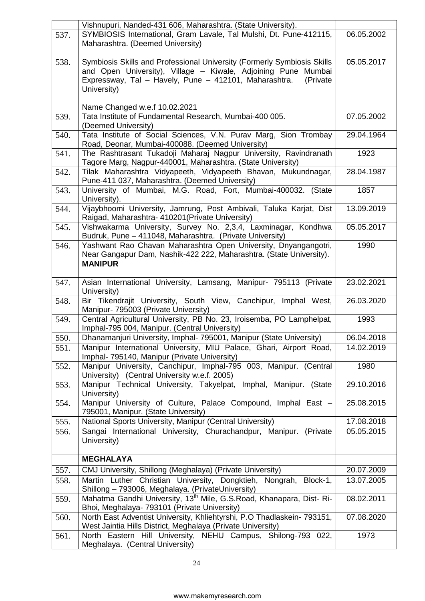|      | Vishnupuri, Nanded-431 606, Maharashtra. (State University).                                                                           |            |
|------|----------------------------------------------------------------------------------------------------------------------------------------|------------|
| 537. | SYMBIOSIS International, Gram Lavale, Tal Mulshi, Dt. Pune-412115,<br>Maharashtra. (Deemed University)                                 | 06.05.2002 |
|      |                                                                                                                                        |            |
| 538. | Symbiosis Skills and Professional University (Formerly Symbiosis Skills                                                                | 05.05.2017 |
|      | and Open University), Village - Kiwale, Adjoining Pune Mumbai<br>Expressway, Tal - Havely, Pune - 412101, Maharashtra.<br>(Private     |            |
|      | University)                                                                                                                            |            |
|      |                                                                                                                                        |            |
|      | Name Changed w.e.f 10.02.2021                                                                                                          |            |
| 539. | Tata Institute of Fundamental Research, Mumbai-400 005.                                                                                | 07.05.2002 |
|      | (Deemed University)                                                                                                                    | 29.04.1964 |
| 540. | Tata Institute of Social Sciences, V.N. Purav Marg, Sion Trombay<br>Road, Deonar, Mumbai-400088. (Deemed University)                   |            |
| 541. | The Rashtrasant Tukadoji Maharaj Nagpur University, Ravindranath                                                                       | 1923       |
|      | Tagore Marg, Nagpur-440001, Maharashtra. (State University)                                                                            |            |
| 542. | Tilak Maharashtra Vidyapeeth, Vidyapeeth Bhavan, Mukundnagar,                                                                          | 28.04.1987 |
|      | Pune-411 037, Maharashtra. (Deemed University)                                                                                         |            |
| 543. | University of Mumbai, M.G. Road, Fort, Mumbai-400032. (State<br>University).                                                           | 1857       |
| 544. | Vijaybhoomi University, Jamrung, Post Ambivali, Taluka Karjat, Dist                                                                    | 13.09.2019 |
| 545. | Raigad, Maharashtra- 410201 (Private University)<br>Vishwakarma University, Survey No. 2,3,4, Laxminagar, Kondhwa                      | 05.05.2017 |
|      | Budruk, Pune - 411048, Maharashtra. (Private University)                                                                               |            |
| 546. | Yashwant Rao Chavan Maharashtra Open University, Dnyangangotri,                                                                        | 1990       |
|      | Near Gangapur Dam, Nashik-422 222, Maharashtra. (State University).                                                                    |            |
|      | <b>MANIPUR</b>                                                                                                                         |            |
| 547. | Asian International University, Lamsang, Manipur- 795113 (Private                                                                      | 23.02.2021 |
|      | University)                                                                                                                            |            |
| 548. | Bir Tikendrajit University, South View, Canchipur, Imphal West,                                                                        | 26.03.2020 |
|      | Manipur- 795003 (Private University)                                                                                                   |            |
| 549. | Central Agricultural University, PB No. 23, Iroisemba, PO Lamphelpat,<br>Imphal-795 004, Manipur. (Central University)                 | 1993       |
| 550. | Dhanamanjuri University, Imphal- 795001, Manipur (State University)                                                                    | 06.04.2018 |
| 551. | Manipur International University, MIU Palace, Ghari, Airport Road,                                                                     | 14.02.2019 |
|      | Imphal- 795140, Manipur (Private University)                                                                                           |            |
| 552. | Manipur University, Canchipur, Imphal-795 003, Manipur. (Central                                                                       | 1980       |
| 553. | University) (Central University w.e.f. 2005)<br>Manipur Technical University, Takyelpat, Imphal, Manipur. (State                       | 29.10.2016 |
|      | University)                                                                                                                            |            |
| 554. | Manipur University of Culture, Palace Compound, Imphal East -                                                                          | 25.08.2015 |
|      | 795001, Manipur. (State University)                                                                                                    |            |
| 555. | National Sports University, Manipur (Central University)                                                                               | 17.08.2018 |
| 556. | Sangai International University, Churachandpur, Manipur. (Private<br>University)                                                       | 05.05.2015 |
|      |                                                                                                                                        |            |
|      | <b>MEGHALAYA</b>                                                                                                                       |            |
| 557. | CMJ University, Shillong (Meghalaya) (Private University)                                                                              | 20.07.2009 |
| 558. | Martin Luther Christian University, Dongktieh, Nongrah, Block-1,                                                                       | 13.07.2005 |
|      |                                                                                                                                        |            |
| 559. | Shillong - 793006, Meghalaya. (PrivateUniversity)                                                                                      |            |
|      | Mahatma Gandhi University, 13 <sup>th</sup> Mile, G.S.Road, Khanapara, Dist- Ri-                                                       | 08.02.2011 |
|      | Bhoi, Meghalaya- 793101 (Private University)                                                                                           |            |
| 560. | North East Adventist University, Khliehtyrshi, P.O Thadlaskein- 793151,<br>West Jaintia Hills District, Meghalaya (Private University) | 07.08.2020 |
| 561. | North Eastern Hill University, NEHU Campus, Shilong-793 022,<br>Meghalaya. (Central University)                                        | 1973       |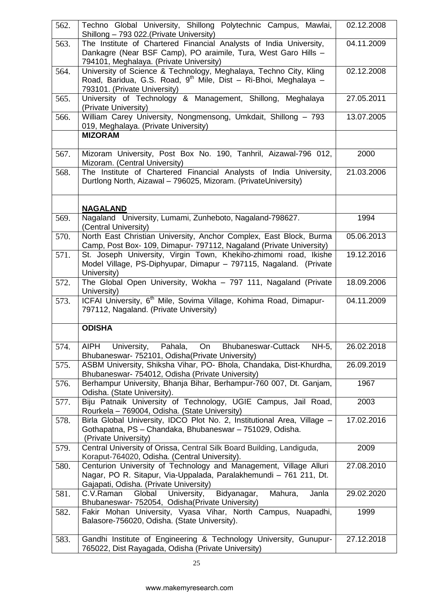| 562. | Techno Global University, Shillong Polytechnic Campus, Mawlai,<br>Shillong - 793 022. (Private University)                                                                                                                  | 02.12.2008 |
|------|-----------------------------------------------------------------------------------------------------------------------------------------------------------------------------------------------------------------------------|------------|
| 563. | The Institute of Chartered Financial Analysts of India University,<br>Dankagre (Near BSF Camp), PO araimile, Tura, West Garo Hills -                                                                                        | 04.11.2009 |
| 564. | 794101, Meghalaya. (Private University)<br>University of Science & Technology, Meghalaya, Techno City, Kling<br>Road, Baridua, G.S. Road, 9 <sup>th</sup> Mile, Dist - Ri-Bhoi, Meghalaya -<br>793101. (Private University) | 02.12.2008 |
| 565. | University of Technology & Management, Shillong, Meghalaya<br>(Private University)                                                                                                                                          | 27.05.2011 |
| 566. | William Carey University, Nongmensong, Umkdait, Shillong - 793<br>019, Meghalaya. (Private University)                                                                                                                      | 13.07.2005 |
|      | <b>MIZORAM</b>                                                                                                                                                                                                              |            |
| 567. | Mizoram University, Post Box No. 190, Tanhril, Aizawal-796 012,<br>Mizoram. (Central University)                                                                                                                            | 2000       |
| 568. | The Institute of Chartered Financial Analysts of India University,<br>Durtlong North, Aizawal - 796025, Mizoram. (PrivateUniversity)                                                                                        | 21.03.2006 |
|      | <b>NAGALAND</b>                                                                                                                                                                                                             |            |
| 569. | Nagaland University, Lumami, Zunheboto, Nagaland-798627.<br>(Central University)                                                                                                                                            | 1994       |
| 570. | North East Christian University, Anchor Complex, East Block, Burma<br>Camp, Post Box- 109, Dimapur- 797112, Nagaland (Private University)                                                                                   | 05.06.2013 |
| 571. | St. Joseph University, Virgin Town, Khekiho-zhimomi road, Ikishe<br>Model Village, PS-Diphyupar, Dimapur - 797115, Nagaland. (Private<br>University)                                                                        | 19.12.2016 |
| 572. | The Global Open University, Wokha - 797 111, Nagaland (Private<br>University)                                                                                                                                               | 18.09.2006 |
| 573. | ICFAI University, 6 <sup>th</sup> Mile, Sovima Village, Kohima Road, Dimapur-<br>797112, Nagaland. (Private University)                                                                                                     | 04.11.2009 |
|      | <b>ODISHA</b>                                                                                                                                                                                                               |            |
| 574. | University, Pahala,<br>On<br>AIPH<br><b>Bhubaneswar-Cuttack</b><br>NH-5,<br>Bhubaneswar- 752101, Odisha (Private University)                                                                                                | 26.02.2018 |
| 575. | ASBM University, Shiksha Vihar, PO- Bhola, Chandaka, Dist-Khurdha,<br>Bhubaneswar- 754012, Odisha (Private University)                                                                                                      | 26.09.2019 |
| 576. | Berhampur University, Bhanja Bihar, Berhampur-760 007, Dt. Ganjam,<br>Odisha. (State University).                                                                                                                           | 1967       |
| 577. | Biju Patnaik University of Technology, UGIE Campus, Jail Road,<br>Rourkela - 769004, Odisha. (State University)                                                                                                             | 2003       |
| 578. | Birla Global University, IDCO Plot No. 2, Institutional Area, Village -<br>Gothapatna, PS - Chandaka, Bhubaneswar - 751029, Odisha.<br>(Private University)                                                                 | 17.02.2016 |
| 579. | Central University of Orissa, Central Silk Board Building, Landiguda,<br>Koraput-764020, Odisha. (Central University).                                                                                                      | 2009       |
| 580. | Centurion University of Technology and Management, Village Alluri<br>Nagar, PO R. Sitapur, Via-Uppalada, Paralakhemundi - 761 211, Dt.<br>Gajapati, Odisha. (Private University)                                            | 27.08.2010 |
| 581. | Mahura,<br>Janla<br>C.V.Raman<br>Global University,<br>Bidyanagar,<br>Bhubaneswar- 752054, Odisha(Private University)                                                                                                       | 29.02.2020 |
| 582. | Fakir Mohan University, Vyasa Vihar, North Campus, Nuapadhi,<br>Balasore-756020, Odisha. (State University).                                                                                                                | 1999       |
| 583. | Gandhi Institute of Engineering & Technology University, Gunupur-<br>765022, Dist Rayagada, Odisha (Private University)                                                                                                     | 27.12.2018 |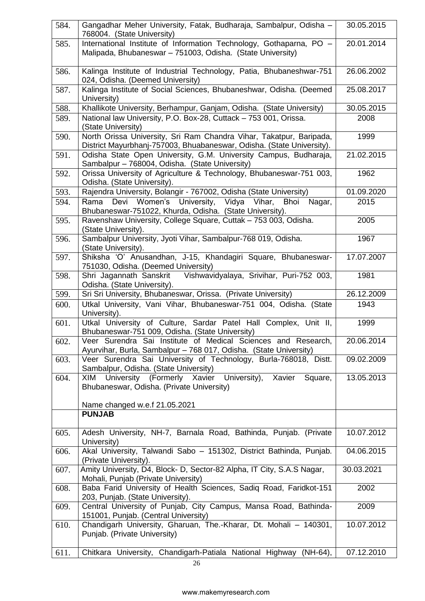| 584. | Gangadhar Meher University, Fatak, Budharaja, Sambalpur, Odisha -<br>768004. (State University)                                              | 30.05.2015 |
|------|----------------------------------------------------------------------------------------------------------------------------------------------|------------|
| 585. | International Institute of Information Technology, Gothaparna, PO -<br>Malipada, Bhubaneswar - 751003, Odisha. (State University)            | 20.01.2014 |
| 586. | Kalinga Institute of Industrial Technology, Patia, Bhubaneshwar-751<br>024, Odisha. (Deemed University)                                      | 26.06.2002 |
| 587. | Kalinga Institute of Social Sciences, Bhubaneshwar, Odisha. (Deemed<br>University)                                                           | 25.08.2017 |
| 588. | Khallikote University, Berhampur, Ganjam, Odisha. (State University)                                                                         | 30.05.2015 |
| 589. | National law University, P.O. Box-28, Cuttack - 753 001, Orissa.<br>(State University)                                                       | 2008       |
| 590. | North Orissa University, Sri Ram Chandra Vihar, Takatpur, Baripada,<br>District Mayurbhanj-757003, Bhuabaneswar, Odisha. (State University). | 1999       |
| 591. | Odisha State Open University, G.M. University Campus, Budharaja,<br>Sambalpur - 768004, Odisha. (State University)                           | 21.02.2015 |
| 592. | Orissa University of Agriculture & Technology, Bhubaneswar-751 003,<br>Odisha. (State University).                                           | 1962       |
| 593. | Rajendra University, Bolangir - 767002, Odisha (State University)                                                                            | 01.09.2020 |
| 594. | Devi Women's<br>University, Vidya<br>Rama<br>Vihar,<br>Bhoi<br>Nagar,<br>Bhubaneswar-751022, Khurda, Odisha. (State University).             | 2015       |
| 595. | Ravenshaw University, College Square, Cuttak - 753 003, Odisha.<br>(State University).                                                       | 2005       |
| 596. | Sambalpur University, Jyoti Vihar, Sambalpur-768 019, Odisha.<br>(State University).                                                         | 1967       |
| 597. | Shiksha 'O' Anusandhan, J-15, Khandagiri Square, Bhubaneswar-<br>751030, Odisha. (Deemed University)                                         | 17.07.2007 |
| 598. | Vishwavidyalaya, Srivihar, Puri-752 003,<br>Shri Jagannath Sanskrit<br>Odisha. (State University).                                           | 1981       |
| 599. | Sri Sri University, Bhubaneswar, Orissa. (Private University)                                                                                | 26.12.2009 |
| 600. | Utkal University, Vani Vihar, Bhubaneswar-751 004, Odisha. (State<br>University).                                                            | 1943       |
| 601. | Utkal University of Culture, Sardar Patel Hall Complex, Unit II,<br>Bhubaneswar-751 009, Odisha. (State University)                          | 1999       |
| 602. | Veer Surendra Sai Institute of Medical Sciences and Research,<br>Ayurvihar, Burla, Sambalpur - 768 017, Odisha. (State University)           | 20.06.2014 |
| 603. | Veer Surendra Sai University of Technology, Burla-768018, Distt.<br>Sambalpur, Odisha. (State University)                                    | 09.02.2009 |
| 604. | University (Formerly Xavier University),<br>Xavier<br>Square,<br>XIM<br>Bhubaneswar, Odisha. (Private University)                            | 13.05.2013 |
|      | Name changed w.e.f 21.05.2021                                                                                                                |            |
|      | <b>PUNJAB</b>                                                                                                                                |            |
| 605. | Adesh University, NH-7, Barnala Road, Bathinda, Punjab. (Private<br>University)                                                              | 10.07.2012 |
| 606. | Akal University, Talwandi Sabo - 151302, District Bathinda, Punjab.<br>(Private University).                                                 | 04.06.2015 |
| 607. | Amity University, D4, Block- D, Sector-82 Alpha, IT City, S.A.S Nagar,<br>Mohali, Punjab (Private University)                                | 30.03.2021 |
| 608. | Baba Farid University of Health Sciences, Sadiq Road, Faridkot-151<br>203, Punjab. (State University).                                       | 2002       |
| 609. | Central University of Punjab, City Campus, Mansa Road, Bathinda-<br>151001, Punjab. (Central University)                                     | 2009       |
| 610. | Chandigarh University, Gharuan, The.-Kharar, Dt. Mohali - 140301,<br>Punjab. (Private University)                                            | 10.07.2012 |
| 611. | Chitkara University, Chandigarh-Patiala National Highway (NH-64),                                                                            | 07.12.2010 |
|      | 26                                                                                                                                           |            |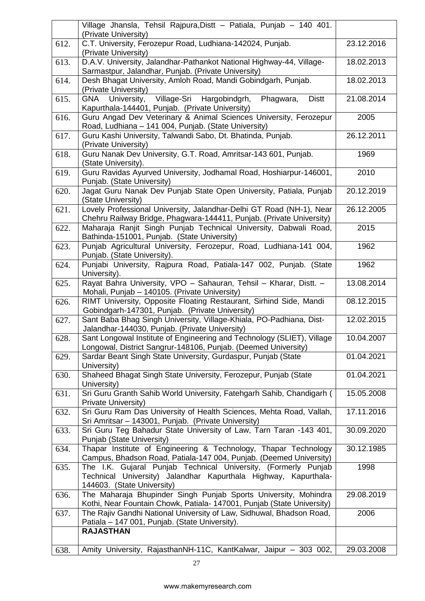|      | Village Jhansla, Tehsil Rajpura, Distt - Patiala, Punjab - 140 401.<br>(Private University)                                                                     |            |
|------|-----------------------------------------------------------------------------------------------------------------------------------------------------------------|------------|
| 612. | C.T. University, Ferozepur Road, Ludhiana-142024, Punjab.<br>(Private University)                                                                               | 23.12.2016 |
| 613. | D.A.V. University, Jalandhar-Pathankot National Highway-44, Village-<br>Sarmastpur, Jalandhar, Punjab. (Private University)                                     | 18.02.2013 |
| 614. | Desh Bhagat University, Amloh Road, Mandi Gobindgarh, Punjab.<br>(Private University)                                                                           | 18.02.2013 |
| 615. | Village-Sri<br>Hargobindgrh,<br>Phagwara,<br><b>Distt</b><br><b>GNA</b><br>University,<br>Kapurthala-144401, Punjab. (Private University)                       | 21.08.2014 |
| 616. | Guru Angad Dev Veterinary & Animal Sciences University, Ferozepur<br>Road, Ludhiana - 141 004, Punjab. (State University)                                       | 2005       |
| 617. | Guru Kashi University, Talwandi Sabo, Dt. Bhatinda, Punjab.<br>(Private University)                                                                             | 26.12.2011 |
| 618. | Guru Nanak Dev University, G.T. Road, Amritsar-143 601, Punjab.<br>(State University).                                                                          | 1969       |
| 619. | Guru Ravidas Ayurved University, Jodhamal Road, Hoshiarpur-146001,<br>Punjab. (State University)                                                                | 2010       |
| 620. | Jagat Guru Nanak Dev Punjab State Open University, Patiala, Punjab<br>(State University)                                                                        | 20.12.2019 |
| 621. | Lovely Professional University, Jalandhar-Delhi GT Road (NH-1), Near<br>Chehru Railway Bridge, Phagwara-144411, Punjab. (Private University)                    | 26.12.2005 |
| 622. | Maharaja Ranjit Singh Punjab Technical University, Dabwali Road,<br>Bathinda-151001, Punjab. (State University)                                                 | 2015       |
| 623. | Punjab Agricultural University, Ferozepur, Road, Ludhiana-141 004,<br>Punjab. (State University).                                                               | 1962       |
| 624. | Punjabi University, Rajpura Road, Patiala-147 002, Punjab. (State<br>University).                                                                               | 1962       |
| 625. | Rayat Bahra University, VPO - Sahauran, Tehsil - Kharar, Distt. -<br>Mohali, Punjab - 140105. (Private University)                                              | 13.08.2014 |
| 626. | RIMT University, Opposite Floating Restaurant, Sirhind Side, Mandi<br>Gobindgarh-147301, Punjab. (Private University)                                           | 08.12.2015 |
| 627. | Sant Baba Bhag Singh University, Village-Khiala, PO-Padhiana, Dist-<br>Jalandhar-144030, Punjab. (Private University)                                           | 12.02.2015 |
| 628. | Sant Longowal Institute of Engineering and Technology (SLIET), Village<br>Longowal, District Sangrur-148106, Punjab. (Deemed University)                        | 10.04.2007 |
| 629. | Sardar Beant Singh State University, Gurdaspur, Punjab (State<br>University)                                                                                    | 01.04.2021 |
| 630. | Shaheed Bhagat Singh State University, Ferozepur, Punjab (State<br>University)                                                                                  | 01.04.2021 |
| 631. | Sri Guru Granth Sahib World University, Fatehgarh Sahib, Chandigarh (<br>Private University)                                                                    | 15.05.2008 |
| 632. | Sri Guru Ram Das University of Health Sciences, Mehta Road, Vallah,<br>Sri Amritsar - 143001, Punjab. (Private University)                                      | 17.11.2016 |
| 633. | Sri Guru Teg Bahadur State University of Law, Tarn Taran -143 401,<br>Punjab (State University)                                                                 | 30.09.2020 |
| 634. | Thapar Institute of Engineering & Technology, Thapar Technology<br>Campus, Bhadson Road, Patiala-147 004, Punjab. (Deemed University)                           | 30.12.1985 |
| 635. | The I.K. Gujaral Punjab Technical University, (Formerly Punjab<br>Technical University) Jalandhar Kapurthala Highway, Kapurthala-<br>144603. (State University) | 1998       |
| 636. | The Maharaja Bhupinder Singh Punjab Sports University, Mohindra<br>Kothi, Near Fountain Chowk, Patiala- 147001, Punjab (State University)                       | 29.08.2019 |
| 637. | The Rajiv Gandhi National University of Law, Sidhuwal, Bhadson Road,<br>Patiala - 147 001, Punjab. (State University).                                          | 2006       |
|      | <b>RAJASTHAN</b>                                                                                                                                                |            |
| 638. | Amity University, RajasthanNH-11C, KantKalwar, Jaipur - 303 002,                                                                                                | 29.03.2008 |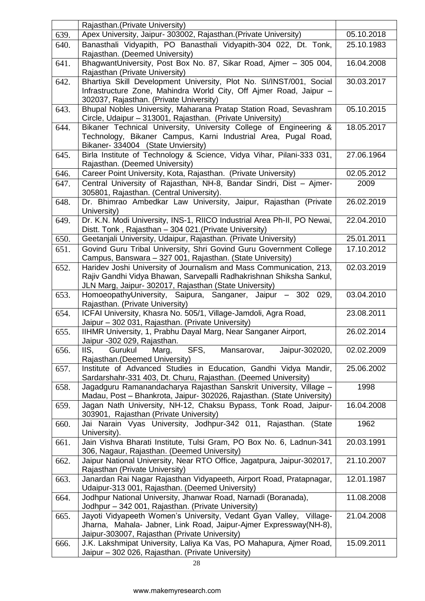|      | Rajasthan.(Private University)                                                                                                                                                                       |            |
|------|------------------------------------------------------------------------------------------------------------------------------------------------------------------------------------------------------|------------|
| 639. | Apex University, Jaipur- 303002, Rajasthan. (Private University)                                                                                                                                     | 05.10.2018 |
| 640. | Banasthali Vidyapith, PO Banasthali Vidyapith-304 022, Dt. Tonk,<br>Rajasthan. (Deemed University)                                                                                                   | 25.10.1983 |
| 641. | BhagwantUniversity, Post Box No. 87, Sikar Road, Ajmer - 305 004,<br>Rajasthan (Private University)                                                                                                  | 16.04.2008 |
| 642. | Bhartiya Skill Development University, Plot No. SI/INST/001, Social                                                                                                                                  | 30.03.2017 |
|      | Infrastructure Zone, Mahindra World City, Off Ajmer Road, Jaipur -<br>302037, Rajasthan. (Private University)                                                                                        |            |
| 643. | Bhupal Nobles University, Maharana Pratap Station Road, Sevashram<br>Circle, Udaipur - 313001, Rajasthan. (Private University)                                                                       | 05.10.2015 |
| 644. | Bikaner Technical University, University College of Engineering &<br>Technology, Bikaner Campus, Karni Industrial Area, Pugal Road,<br>Bikaner- 334004 (State Unviersity)                            | 18.05.2017 |
| 645. | Birla Institute of Technology & Science, Vidya Vihar, Pilani-333 031,<br>Rajasthan. (Deemed University)                                                                                              | 27.06.1964 |
| 646. | Career Point University, Kota, Rajasthan. (Private University)                                                                                                                                       | 02.05.2012 |
| 647. | Central University of Rajasthan, NH-8, Bandar Sindri, Dist - Ajmer-<br>305801, Rajasthan. (Central University).                                                                                      | 2009       |
| 648. | Dr. Bhimrao Ambedkar Law University, Jaipur, Rajasthan (Private<br>University)                                                                                                                       | 26.02.2019 |
| 649. | Dr. K.N. Modi University, INS-1, RIICO Industrial Area Ph-II, PO Newai,<br>Distt. Tonk, Rajasthan - 304 021. (Private University)                                                                    | 22.04.2010 |
| 650. | Geetanjali University, Udaipur, Rajasthan. (Private University)                                                                                                                                      | 25.01.2011 |
| 651. | Govind Guru Tribal University, Shri Govind Guru Government College<br>Campus, Banswara - 327 001, Rajasthan. (State University)                                                                      | 17.10.2012 |
| 652. | Haridev Joshi University of Journalism and Mass Communication, 213,<br>Rajiv Gandhi Vidya Bhawan, Sarvepalli Radhakrishnan Shiksha Sankul,<br>JLN Marg, Jaipur- 302017, Rajasthan (State University) | 02.03.2019 |
| 653. | HomoeopathyUniversity, Saipura, Sanganer, Jaipur – 302<br>029,<br>Rajasthan. (Private University)                                                                                                    | 03.04.2010 |
| 654. | ICFAI University, Khasra No. 505/1, Village-Jamdoli, Agra Road,<br>Jaipur - 302 031, Rajasthan. (Private University)                                                                                 | 23.08.2011 |
| 655. | IIHMR University, 1, Prabhu Dayal Marg, Near Sanganer Airport,<br>Jaipur -302 029, Rajasthan.                                                                                                        | 26.02.2014 |
| 656. | SFS,<br>Jaipur-302020,<br>IIS,<br>Gurukul<br>Marg,<br>Mansarovar,<br>Rajasthan. (Deemed University)                                                                                                  | 02.02.2009 |
| 657. | Institute of Advanced Studies in Education, Gandhi Vidya Mandir,<br>Sardarshahr-331 403, Dt. Churu, Rajasthan. (Deemed University)                                                                   | 25.06.2002 |
| 658. | Jagadguru Ramanandacharya Rajasthan Sanskrit University, Village -<br>Madau, Post - Bhankrota, Jaipur- 302026, Rajasthan. (State University)                                                         | 1998       |
| 659. | Jagan Nath University, NH-12, Chaksu Bypass, Tonk Road, Jaipur-<br>303901, Rajasthan (Private University)                                                                                            | 16.04.2008 |
| 660. | Jai Narain Vyas University, Jodhpur-342 011, Rajasthan.<br>(State<br>University).                                                                                                                    | 1962       |
| 661. | Jain Vishva Bharati Institute, Tulsi Gram, PO Box No. 6, Ladnun-341<br>306, Nagaur, Rajasthan. (Deemed University)                                                                                   | 20.03.1991 |
| 662. | Jaipur National University, Near RTO Office, Jagatpura, Jaipur-302017,<br>Rajasthan (Private University)                                                                                             | 21.10.2007 |
| 663. | Janardan Rai Nagar Rajasthan Vidyapeeth, Airport Road, Pratapnagar,<br>Udaipur-313 001, Rajasthan. (Deemed University)                                                                               | 12.01.1987 |
| 664. | Jodhpur National University, Jhanwar Road, Narnadi (Boranada),<br>Jodhpur - 342 001, Rajasthan. (Private University)                                                                                 | 11.08.2008 |
| 665. | Jayoti Vidyapeeth Women's University, Vedant Gyan Valley, Village-<br>Jharna, Mahala- Jabner, Link Road, Jaipur-Ajmer Expressway(NH-8),<br>Jaipur-303007, Rajasthan (Private University)             | 21.04.2008 |
| 666. | J.K. Lakshmipat University, Laliya Ka Vas, PO Mahapura, Aimer Road,<br>Jaipur - 302 026, Rajasthan. (Private University)                                                                             | 15.09.2011 |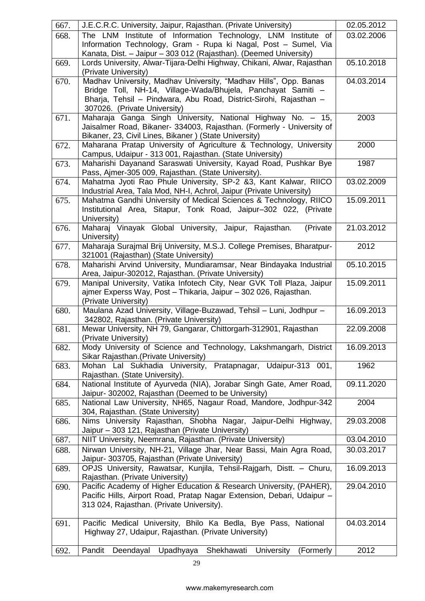| 667. | J.E.C.R.C. University, Jaipur, Rajasthan. (Private University)                                                         | 02.05.2012 |
|------|------------------------------------------------------------------------------------------------------------------------|------------|
| 668. | The LNM Institute of Information Technology, LNM Institute of                                                          | 03.02.2006 |
|      | Information Technology, Gram - Rupa ki Nagal, Post - Sumel, Via                                                        |            |
|      | Kanata, Dist. - Jaipur - 303 012 (Rajasthan). (Deemed University)                                                      |            |
| 669. | Lords University, Alwar-Tijara-Delhi Highway, Chikani, Alwar, Rajasthan                                                | 05.10.2018 |
|      | (Private University)                                                                                                   |            |
| 670. | Madhav University, Madhav University, "Madhav Hills", Opp. Banas                                                       | 04.03.2014 |
|      | Bridge Toll, NH-14, Village-Wada/Bhujela, Panchayat Samiti -                                                           |            |
|      | Bharja, Tehsil - Pindwara, Abu Road, District-Sirohi, Rajasthan -                                                      |            |
|      | 307026. (Private University)                                                                                           |            |
| 671. | Maharaja Ganga Singh University, National Highway No. - 15,                                                            | 2003       |
|      | Jaisalmer Road, Bikaner- 334003, Rajasthan. (Formerly - University of                                                  |            |
|      | Bikaner, 23, Civil Lines, Bikaner) (State University)                                                                  |            |
| 672. | Maharana Pratap University of Agriculture & Technology, University                                                     | 2000       |
|      | Campus, Udaipur - 313 001, Rajasthan. (State University)                                                               |            |
| 673. | Maharishi Dayanand Saraswati University, Kayad Road, Pushkar Bye                                                       | 1987       |
|      | Pass, Ajmer-305 009, Rajasthan. (State University).<br>Mahatma Jyoti Rao Phule University, SP-2 &3, Kant Kalwar, RIICO | 03.02.2009 |
| 674. | Industrial Area, Tala Mod, NH-I, Achrol, Jaipur (Private University)                                                   |            |
| 675. | Mahatma Gandhi University of Medical Sciences & Technology, RIICO                                                      | 15.09.2011 |
|      | Institutional Area, Sitapur, Tonk Road, Jaipur-302 022, (Private                                                       |            |
|      | University)                                                                                                            |            |
| 676. | Maharaj Vinayak Global University, Jaipur, Rajasthan.<br>(Private                                                      | 21.03.2012 |
|      | University)                                                                                                            |            |
| 677. | Maharaja Surajmal Brij University, M.S.J. College Premises, Bharatpur-                                                 | 2012       |
|      | 321001 (Rajasthan) (State University)                                                                                  |            |
| 678. | Maharishi Arvind University, Mundiaramsar, Near Bindayaka Industrial                                                   | 05.10.2015 |
|      | Area, Jaipur-302012, Rajasthan. (Private University)                                                                   |            |
| 679. | Manipal University, Vatika Infotech City, Near GVK Toll Plaza, Jaipur                                                  | 15.09.2011 |
|      | ajmer Experss Way, Post - Thikaria, Jaipur - 302 026, Rajasthan.                                                       |            |
|      | (Private University)                                                                                                   |            |
| 680. | Maulana Azad University, Village-Buzawad, Tehsil - Luni, Jodhpur -                                                     | 16.09.2013 |
|      | 342802, Rajasthan. (Private University)                                                                                |            |
| 681. | Mewar University, NH 79, Gangarar, Chittorgarh-312901, Rajasthan                                                       | 22.09.2008 |
| 682. | (Private University)<br>Mody University of Science and Technology, Lakshmangarh, District                              | 16.09.2013 |
|      | Sikar Rajasthan. (Private University)                                                                                  |            |
| 683. | Pratapnagar, Udaipur-313 001,<br>Mohan Lal Sukhadia University,                                                        | 1962       |
|      | Rajasthan. (State University).                                                                                         |            |
| 684. | National Institute of Ayurveda (NIA), Jorabar Singh Gate, Amer Road,                                                   | 09.11.2020 |
|      | Jaipur- 302002, Rajasthan (Deemed to be University)                                                                    |            |
| 685. | National Law University, NH65, Nagaur Road, Mandore, Jodhpur-342                                                       | 2004       |
|      | 304, Rajasthan. (State University)                                                                                     |            |
| 686. | Nims University Rajasthan, Shobha Nagar, Jaipur-Delhi Highway,                                                         | 29.03.2008 |
|      | Jaipur - 303 121, Rajasthan (Private University)                                                                       |            |
| 687. | NIIT University, Neemrana, Rajasthan. (Private University)                                                             | 03.04.2010 |
| 688. | Nirwan University, NH-21, Village Jhar, Near Bassi, Main Agra Road,                                                    | 30.03.2017 |
|      | Jaipur- 303705, Rajasthan (Private University)                                                                         |            |
| 689. | OPJS University, Rawatsar, Kunjila, Tehsil-Rajgarh, Distt. - Churu,                                                    | 16.09.2013 |
|      | Rajasthan. (Private University)                                                                                        |            |
| 690. | Pacific Academy of Higher Education & Research University, (PAHER),                                                    | 29.04.2010 |
|      | Pacific Hills, Airport Road, Pratap Nagar Extension, Debari, Udaipur -                                                 |            |
|      | 313 024, Rajasthan. (Private University).                                                                              |            |
| 691. | Pacific Medical University, Bhilo Ka Bedla, Bye Pass, National                                                         | 04.03.2014 |
|      | Highway 27, Udaipur, Rajasthan. (Private University)                                                                   |            |
|      |                                                                                                                        |            |
| 692. | Pandit<br>Shekhawati<br>Deendayal<br>Upadhyaya<br><b>University</b><br>(Formerly                                       | 2012       |
|      |                                                                                                                        |            |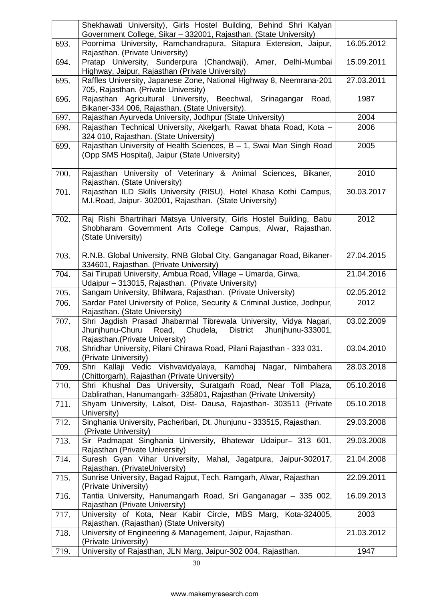|      | Shekhawati University), Girls Hostel Building, Behind Shri Kalyan<br>Government College, Sikar - 332001, Rajasthan. (State University)                                              |            |
|------|-------------------------------------------------------------------------------------------------------------------------------------------------------------------------------------|------------|
| 693. | Poornima University, Ramchandrapura, Sitapura Extension, Jaipur,<br>Rajasthan. (Private University)                                                                                 | 16.05.2012 |
| 694. | Pratap University, Sunderpura (Chandwaji), Amer, Delhi-Mumbai<br>Highway, Jaipur, Rajasthan (Private University)                                                                    | 15.09.2011 |
| 695. | Raffles University, Japanese Zone, National Highway 8, Neemrana-201<br>705, Rajasthan. (Private University)                                                                         | 27.03.2011 |
| 696. | Rajasthan Agricultural University, Beechwal, Srinagangar Road,<br>Bikaner-334 006, Rajasthan. (State University).                                                                   | 1987       |
| 697. | Rajasthan Ayurveda University, Jodhpur (State University)                                                                                                                           | 2004       |
| 698. | Rajasthan Technical University, Akelgarh, Rawat bhata Road, Kota -<br>324 010, Rajasthan. (State University)                                                                        | 2006       |
| 699. | Rajasthan University of Health Sciences, B - 1, Swai Man Singh Road<br>(Opp SMS Hospital), Jaipur (State University)                                                                | 2005       |
| 700. | Rajasthan University of Veterinary & Animal Sciences, Bikaner,<br>Rajasthan. (State University)                                                                                     | 2010       |
| 701. | Rajasthan ILD Skills University (RISU), Hotel Khasa Kothi Campus,<br>M.I.Road, Jaipur- 302001, Rajasthan. (State University)                                                        | 30.03.2017 |
| 702. | Raj Rishi Bhartrihari Matsya University, Girls Hostel Building, Babu<br>Shobharam Government Arts College Campus, Alwar, Rajasthan.<br>(State University)                           | 2012       |
| 703. | R.N.B. Global University, RNB Global City, Ganganagar Road, Bikaner-<br>334601, Rajasthan. (Private University)                                                                     | 27.04.2015 |
| 704. | Sai Tirupati University, Ambua Road, Village - Umarda, Girwa,<br>Udaipur - 313015, Rajasthan. (Private University)                                                                  | 21.04.2016 |
| 705. | Sangam University, Bhilwara, Rajasthan. (Private University)                                                                                                                        | 02.05.2012 |
| 706. | Sardar Patel University of Police, Security & Criminal Justice, Jodhpur,<br>Rajasthan. (State University)                                                                           | 2012       |
| 707. | Shri Jagdish Prasad Jhabarmal Tibrewala University, Vidya Nagari,<br>Jhunjhunu-Churu<br>Road,<br>Chudela,<br><b>District</b><br>Jhunjhunu-333001,<br>Rajasthan.(Private University) | 03.02.2009 |
| 708. | Shridhar University, Pilani Chirawa Road, Pilani Rajasthan - 333 031.<br>(Private University)                                                                                       | 03.04.2010 |
| 709. | Shri Kallaji Vedic Vishvavidyalaya, Kamdhaj Nagar, Nimbahera<br>(Chittorgarh), Rajasthan (Private University)                                                                       | 28.03.2018 |
| 710. | Shri Khushal Das University, Suratgarh Road, Near Toll Plaza,<br>Dablirathan, Hanumangarh- 335801, Rajasthan (Private University)                                                   | 05.10.2018 |
| 711. | Shyam University, Lalsot, Dist- Dausa, Rajasthan- 303511 (Private<br>University)                                                                                                    | 05.10.2018 |
| 712. | Singhania University, Pacheribari, Dt. Jhunjunu - 333515, Rajasthan.<br>(Private University)                                                                                        | 29.03.2008 |
| 713. | Sir Padmapat Singhania University, Bhatewar Udaipur- 313 601,<br>Rajasthan (Private University)                                                                                     | 29.03.2008 |
| 714. | Suresh Gyan Vihar University, Mahal, Jagatpura, Jaipur-302017,<br>Rajasthan. (PrivateUniversity)                                                                                    | 21.04.2008 |
| 715. | Sunrise University, Bagad Rajput, Tech. Ramgarh, Alwar, Rajasthan<br>(Private University)                                                                                           | 22.09.2011 |
| 716. | Tantia University, Hanumangarh Road, Sri Ganganagar - 335 002,<br>Rajasthan (Private University)                                                                                    | 16.09.2013 |
| 717. | University of Kota, Near Kabir Circle, MBS Marg, Kota-324005,<br>Rajasthan. (Rajasthan) (State University)                                                                          | 2003       |
| 718. | University of Engineering & Management, Jaipur, Rajasthan.<br>(Private University)                                                                                                  | 21.03.2012 |
| 719. | University of Rajasthan, JLN Marg, Jaipur-302 004, Rajasthan.                                                                                                                       | 1947       |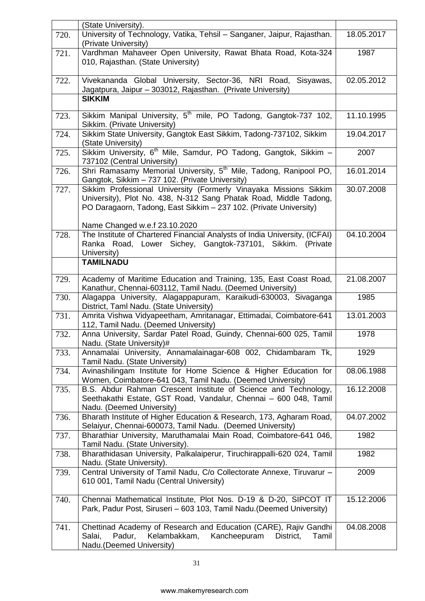|      | (State University).                                                                                                                                                                                                                          |            |
|------|----------------------------------------------------------------------------------------------------------------------------------------------------------------------------------------------------------------------------------------------|------------|
| 720. | University of Technology, Vatika, Tehsil - Sanganer, Jaipur, Rajasthan.<br>(Private University)                                                                                                                                              | 18.05.2017 |
| 721. | Vardhman Mahaveer Open University, Rawat Bhata Road, Kota-324<br>010, Rajasthan. (State University)                                                                                                                                          | 1987       |
| 722. | Vivekananda Global University, Sector-36, NRI Road, Sisyawas,<br>Jagatpura, Jaipur - 303012, Rajasthan. (Private University)                                                                                                                 | 02.05.2012 |
|      | <b>SIKKIM</b>                                                                                                                                                                                                                                |            |
| 723. | Sikkim Manipal University, 5 <sup>th</sup> mile, PO Tadong, Gangtok-737 102,<br>Sikkim. (Private University)                                                                                                                                 | 11.10.1995 |
| 724. | Sikkim State University, Gangtok East Sikkim, Tadong-737102, Sikkim<br>(State University)                                                                                                                                                    | 19.04.2017 |
| 725. | Sikkim University, 6 <sup>th</sup> Mile, Samdur, PO Tadong, Gangtok, Sikkim -<br>737102 (Central University)                                                                                                                                 | 2007       |
| 726. | Shri Ramasamy Memorial University, 5 <sup>th</sup> Mile, Tadong, Ranipool PO,<br>Gangtok, Sikkim - 737 102. (Private University)                                                                                                             | 16.01.2014 |
| 727. | Sikkim Professional University (Formerly Vinayaka Missions Sikkim<br>University), Plot No. 438, N-312 Sang Phatak Road, Middle Tadong,<br>PO Daragaorn, Tadong, East Sikkim - 237 102. (Private University)<br>Name Changed w.e.f 23.10.2020 | 30.07.2008 |
| 728. | The Institute of Chartered Financial Analysts of India University, (ICFAI)<br>Ranka Road, Lower Sichey, Gangtok-737101, Sikkim. (Private<br>University)<br><b>TAMILNADU</b>                                                                  | 04.10.2004 |
|      |                                                                                                                                                                                                                                              |            |
| 729. | Academy of Maritime Education and Training, 135, East Coast Road,<br>Kanathur, Chennai-603112, Tamil Nadu. (Deemed University)                                                                                                               | 21.08.2007 |
| 730. | Alagappa University, Alagappapuram, Karaikudi-630003, Sivaganga<br>District, Taml Nadu. (State University)                                                                                                                                   | 1985       |
| 731. | Amrita Vishwa Vidyapeetham, Amritanagar, Ettimadai, Coimbatore-641<br>112, Tamil Nadu. (Deemed University)                                                                                                                                   | 13.01.2003 |
| 732. | Anna University, Sardar Patel Road, Guindy, Chennai-600 025, Tamil<br>Nadu. (State University)#                                                                                                                                              | 1978       |
| 733. | Annamalai University, Annamalainagar-608 002, Chidambaram Tk,<br>Tamil Nadu. (State University)                                                                                                                                              | 1929       |
| 734. | Avinashilingam Institute for Home Science & Higher Education for<br>Women, Coimbatore-641 043, Tamil Nadu. (Deemed University)                                                                                                               | 08.06.1988 |
| 735. | B.S. Abdur Rahman Crescent Institute of Science and Technology,<br>Seethakathi Estate, GST Road, Vandalur, Chennai - 600 048, Tamil<br>Nadu. (Deemed University)                                                                             | 16.12.2008 |
| 736. | Bharath Institute of Higher Education & Research, 173, Agharam Road,<br>Selaiyur, Chennai-600073, Tamil Nadu. (Deemed University)                                                                                                            | 04.07.2002 |
| 737. | Bharathiar University, Maruthamalai Main Road, Coimbatore-641 046,<br>Tamil Nadu. (State University).                                                                                                                                        | 1982       |
| 738. | Bharathidasan University, Palkalaiperur, Tiruchirappalli-620 024, Tamil<br>Nadu. (State University).                                                                                                                                         | 1982       |
| 739. | Central University of Tamil Nadu, C/o Collectorate Annexe, Tiruvarur -<br>610 001, Tamil Nadu (Central University)                                                                                                                           | 2009       |
| 740. | Chennai Mathematical Institute, Plot Nos. D-19 & D-20, SIPCOT IT<br>Park, Padur Post, Siruseri – 603 103, Tamil Nadu. (Deemed University)                                                                                                    | 15.12.2006 |
| 741. | Chettinad Academy of Research and Education (CARE), Rajiv Gandhi<br>Kelambakkam,<br>Kancheepuram<br>Salai,<br>Padur,<br>District,<br>Tamil<br>Nadu.(Deemed University)                                                                       | 04.08.2008 |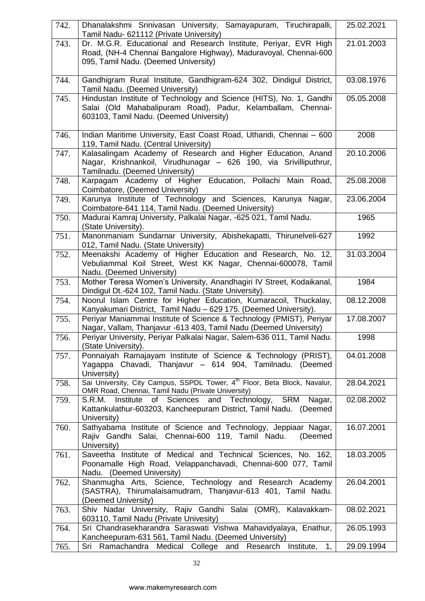| 742. | Dhanalakshmi Srinivasan University, Samayapuram, Tiruchirapalli,<br>Tamil Nadu- 621112 (Private University)                                                                    | 25.02.2021 |
|------|--------------------------------------------------------------------------------------------------------------------------------------------------------------------------------|------------|
| 743. | Dr. M.G.R. Educational and Research Institute, Periyar, EVR High<br>Road, (NH-4 Chennai Bangalore Highway), Maduravoyal, Chennai-600<br>095, Tamil Nadu. (Deemed University)   | 21.01.2003 |
| 744. | Gandhigram Rural Institute, Gandhigram-624 302, Dindigul District,<br>Tamil Nadu. (Deemed University)                                                                          | 03.08.1976 |
| 745. | Hindustan Institute of Technology and Science (HITS), No. 1, Gandhi<br>Salai (Old Mahabalipuram Road), Padur, Kelamballam, Chennai-<br>603103, Tamil Nadu. (Deemed University) | 05.05.2008 |
| 746. | Indian Maritime University, East Coast Road, Uthandi, Chennai - 600<br>119, Tamil Nadu. (Central University)                                                                   | 2008       |
| 747. | Kalasalingam Academy of Research and Higher Education, Anand<br>Nagar, Krishnankoil, Virudhunagar - 626 190, via Srivilliputhrur,<br>Tamilnadu. (Deemed University)            | 20.10.2006 |
| 748. | Karpagam Academy of Higher Education, Pollachi Main Road,<br>Coimbatore, (Deemed University)                                                                                   | 25.08.2008 |
| 749. | Karunya Institute of Technology and Sciences, Karunya Nagar,<br>Coimbatore-641 114, Tamil Nadu. (Deemed University)                                                            | 23.06.2004 |
| 750. | Madurai Kamraj University, Palkalai Nagar, -625 021, Tamil Nadu.<br>(State University).                                                                                        | 1965       |
| 751. | Manonmaniam Sundarnar University, Abishekapatti, Thirunelveli-627<br>012, Tamil Nadu. (State University)                                                                       | 1992       |
| 752. | Meenakshi Academy of Higher Education and Research, No. 12,<br>Vebuliammal Koil Street, West KK Nagar, Chennai-600078, Tamil<br>Nadu. (Deemed University)                      | 31.03.2004 |
| 753. | Mother Teresa Women's University, Anandhagiri IV Street, Kodaikanal,<br>Dindigul Dt.-624 102, Tamil Nadu. (State University).                                                  | 1984       |
| 754. | Noorul Islam Centre for Higher Education, Kumaracoil, Thuckalay,<br>Kanyakumari District, Tamil Nadu - 629 175. (Deemed University).                                           | 08.12.2008 |
| 755. | Periyar Maniammai Institute of Science & Technology (PMIST), Periyar<br>Nagar, Vallam, Thanjavur -613 403, Tamil Nadu (Deemed University)                                      | 17.08.2007 |
| 756. | Periyar University, Periyar Palkalai Nagar, Salem-636 011, Tamil Nadu.<br>(State University).                                                                                  | 1998       |
| 757. | Ponnaiyah Ramajayam Institute of Science & Technology (PRIST),<br>Yagappa Chavadi, Thanjavur - 614 904, Tamilnadu. (Deemed<br>University)                                      | 04.01.2008 |
| 758. | Sai University, City Campus, SSPDL Tower, 4th Floor, Beta Block, Navalur,<br>OMR Road, Chennai, Tamil Nadu (Private University)                                                | 28.04.2021 |
| 759. | S.R.M. Institute of Sciences and Technology,<br>SRM<br>Nagar,<br>Kattankulathur-603203, Kancheepuram District, Tamil Nadu. (Deemed<br>University)                              | 02.08.2002 |
| 760. | Sathyabama Institute of Science and Technology, Jeppiaar Nagar,<br>Rajiv Gandhi Salai, Chennai-600 119, Tamil Nadu.<br>(Deemed<br>University)                                  | 16.07.2001 |
| 761. | Saveetha Institute of Medical and Technical Sciences, No. 162,<br>Poonamalle High Road, Velappanchavadi, Chennai-600 077, Tamil<br>Nadu. (Deemed University)                   | 18.03.2005 |
| 762. | Shanmugha Arts, Science, Technology and Research Academy<br>(SASTRA), Thirumalaisamudram, Thanjavur-613 401, Tamil Nadu.<br>(Deemed University)                                | 26.04.2001 |
| 763. | Shiv Nadar University, Rajiv Gandhi Salai (OMR), Kalavakkam-<br>603110, Tamil Nadu (Private Univesity)                                                                         | 08.02.2021 |
| 764. | Sri Chandrasekharandra Saraswati Vishwa Mahavidyalaya, Enathur,<br>Kancheepuram-631 561, Tamil Nadu. (Deemed University)                                                       | 26.05.1993 |
| 765. | Ramachandra<br>1,<br>Medical College and Research<br>Institute,<br>Sri                                                                                                         | 29.09.1994 |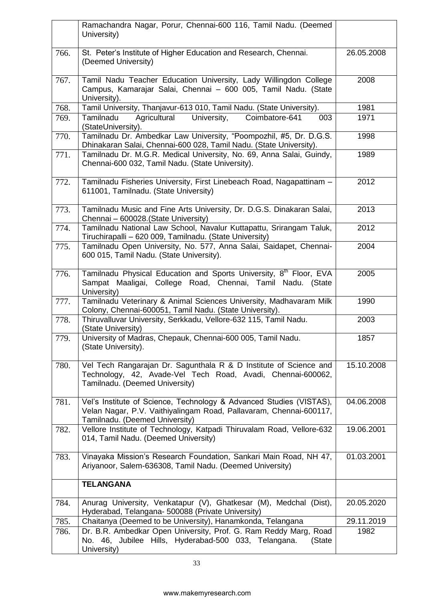|      | Ramachandra Nagar, Porur, Chennai-600 116, Tamil Nadu. (Deemed<br>University)                                                                                               |            |
|------|-----------------------------------------------------------------------------------------------------------------------------------------------------------------------------|------------|
| 766. | St. Peter's Institute of Higher Education and Research, Chennai.<br>(Deemed University)                                                                                     | 26.05.2008 |
| 767. | Tamil Nadu Teacher Education University, Lady Willingdon College<br>Campus, Kamarajar Salai, Chennai - 600 005, Tamil Nadu. (State<br>University).                          | 2008       |
| 768. | Tamil University, Thanjavur-613 010, Tamil Nadu. (State University).                                                                                                        | 1981       |
| 769. | Tamilnadu<br>Agricultural<br>University,<br>Coimbatore-641<br>003<br>(StateUniversity).                                                                                     | 1971       |
| 770. | Tamilnadu Dr. Ambedkar Law University, "Poompozhil, #5, Dr. D.G.S.<br>Dhinakaran Salai, Chennai-600 028, Tamil Nadu. (State University).                                    | 1998       |
| 771. | Tamilnadu Dr. M.G.R. Medical University, No. 69, Anna Salai, Guindy,<br>Chennai-600 032, Tamil Nadu. (State University).                                                    | 1989       |
| 772. | Tamilnadu Fisheries University, First Linebeach Road, Nagapattinam -<br>611001, Tamilnadu. (State University)                                                               | 2012       |
| 773. | Tamilnadu Music and Fine Arts University, Dr. D.G.S. Dinakaran Salai,<br>Chennai - 600028.(State University)                                                                | 2013       |
| 774. | Tamilnadu National Law School, Navalur Kuttapattu, Srirangam Taluk,<br>Tiruchirapalli - 620 009, Tamilnadu. (State University)                                              | 2012       |
| 775. | Tamilnadu Open University, No. 577, Anna Salai, Saidapet, Chennai-<br>600 015, Tamil Nadu. (State University).                                                              | 2004       |
| 776. | Tamilnadu Physical Education and Sports University, 8 <sup>th</sup> Floor, EVA<br>Sampat Maaligai, College Road, Chennai, Tamil Nadu. (State<br>University)                 | 2005       |
| 777. | Tamilnadu Veterinary & Animal Sciences University, Madhavaram Milk<br>Colony, Chennai-600051, Tamil Nadu. (State University).                                               | 1990       |
| 778. | Thiruvalluvar University, Serkkadu, Vellore-632 115, Tamil Nadu.<br>(State University)                                                                                      | 2003       |
| 779. | University of Madras, Chepauk, Chennai-600 005, Tamil Nadu.<br>(State University).                                                                                          | 1857       |
| 780. | Vel Tech Rangarajan Dr. Sagunthala R & D Institute of Science and<br>Technology, 42, Avade-Vel Tech Road, Avadi, Chennai-600062,<br>Tamilnadu. (Deemed University)          | 15.10.2008 |
| 781. | Vel's Institute of Science, Technology & Advanced Studies (VISTAS),<br>Velan Nagar, P.V. Vaithiyalingam Road, Pallavaram, Chennai-600117,<br>Tamilnadu. (Deemed University) | 04.06.2008 |
| 782. | Vellore Institute of Technology, Katpadi Thiruvalam Road, Vellore-632<br>014, Tamil Nadu. (Deemed University)                                                               | 19.06.2001 |
| 783. | Vinayaka Mission's Research Foundation, Sankari Main Road, NH 47,<br>Ariyanoor, Salem-636308, Tamil Nadu. (Deemed University)                                               | 01.03.2001 |
|      | <b>TELANGANA</b>                                                                                                                                                            |            |
| 784. | Anurag University, Venkatapur (V), Ghatkesar (M), Medchal (Dist),<br>Hyderabad, Telangana- 500088 (Private University)                                                      | 20.05.2020 |
| 785. | Chaitanya (Deemed to be University), Hanamkonda, Telangana                                                                                                                  | 29.11.2019 |
| 786. | Dr. B.R. Ambedkar Open University, Prof. G. Ram Reddy Marg, Road<br>No. 46, Jubilee Hills, Hyderabad-500 033, Telangana.<br>(State<br>University)                           | 1982       |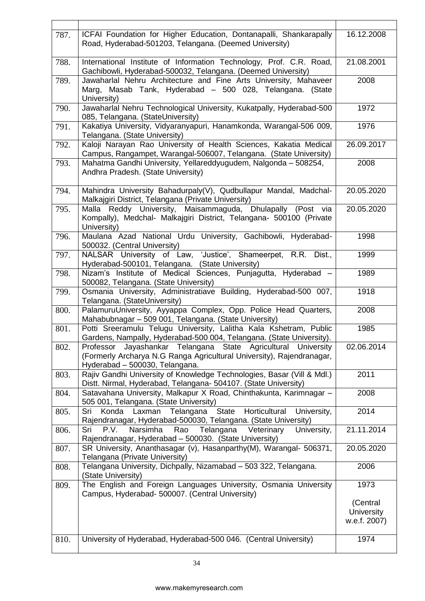| 787. | ICFAI Foundation for Higher Education, Dontanapalli, Shankarapally<br>Road, Hyderabad-501203, Telangana. (Deemed University)                                             | 16.12.2008                                    |
|------|--------------------------------------------------------------------------------------------------------------------------------------------------------------------------|-----------------------------------------------|
| 788. | International Institute of Information Technology, Prof. C.R. Road,<br>Gachibowli, Hyderabad-500032, Telangana. (Deemed University)                                      | 21.08.2001                                    |
| 789. | Jawaharlal Nehru Architecture and Fine Arts University, Mahaveer<br>Marg, Masab Tank, Hyderabad - 500 028, Telangana. (State<br>University)                              | 2008                                          |
| 790. | Jawaharlal Nehru Technological University, Kukatpally, Hyderabad-500<br>085, Telangana. (StateUniversity)                                                                | 1972                                          |
| 791. | Kakatiya University, Vidyaranyapuri, Hanamkonda, Warangal-506 009,<br>Telangana. (State University)                                                                      | 1976                                          |
| 792. | Kaloji Narayan Rao University of Health Sciences, Kakatia Medical<br>Campus, Rangampet, Warangal-506007, Telangana. (State University)                                   | 26.09.2017                                    |
| 793. | Mahatma Gandhi University, Yellareddyugudem, Nalgonda - 508254,<br>Andhra Pradesh. (State University)                                                                    | 2008                                          |
| 794. | Mahindra University Bahadurpaly(V), Qudbullapur Mandal, Madchal-<br>Malkajgiri District, Telangana (Private University)                                                  | 20.05.2020                                    |
| 795. | Malla Reddy University, Maisammaguda, Dhulapally (Post via<br>Kompally), Medchal- Malkajgiri District, Telangana- 500100 (Private<br>University)                         | 20.05.2020                                    |
| 796. | Maulana Azad National Urdu University, Gachibowli, Hyderabad-<br>500032. (Central University)                                                                            | 1998                                          |
| 797. | NALSAR University of Law, 'Justice', Shameerpet, R.R. Dist.,<br>Hyderabad-500101, Telangana. (State University)                                                          | 1999                                          |
| 798. | Nizam's Institute of Medical Sciences, Punjagutta, Hyderabad -<br>500082, Telangana. (State University)                                                                  | 1989                                          |
| 799. | Osmania University, Administratiave Building, Hyderabad-500 007,<br>Telangana. (StateUniversity)                                                                         | 1918                                          |
| 800. | PalamuruUniversity, Ayyappa Complex, Opp. Police Head Quarters,<br>Mahabubnagar - 509 001, Telangana. (State University)                                                 | 2008                                          |
| 801. | Potti Sreeramulu Telugu University, Lalitha Kala Kshetram, Public<br>Gardens, Nampally, Hyderabad-500 004, Telangana. (State University).                                | 1985                                          |
| 802. | Professor Jayashankar Telangana State Agricultural University<br>(Formerly Archarya N.G Ranga Agricultural University), Rajendranagar,<br>Hyderabad - 500030, Telangana. | 02.06.2014                                    |
| 803. | Rajiv Gandhi University of Knowledge Technologies, Basar (Vill & Mdl.)<br>Distt. Nirmal, Hyderabad, Telangana- 504107. (State University)                                | 2011                                          |
| 804. | Satavahana University, Malkapur X Road, Chinthakunta, Karimnagar -<br>505 001, Telangana. (State University)                                                             | 2008                                          |
| 805. | Horticultural<br>Sri<br>Konda<br>Laxman<br>Telangana<br><b>State</b><br>University,<br>Rajendranagar, Hyderabad-500030, Telangana. (State University)                    | 2014                                          |
| 806. | Narsimha<br>Veterinary<br>University,<br>P.V.<br>Telangana<br>Sri<br>Rao<br>Rajendranagar, Hyderabad - 500030. (State University)                                        | 21.11.2014                                    |
| 807. | SR University, Ananthasagar (v), Hasanparthy(M), Warangal- 506371,<br>Telangana (Private University)                                                                     | 20.05.2020                                    |
| 808. | Telangana University, Dichpally, Nizamabad - 503 322, Telangana.<br>(State University)                                                                                   | 2006                                          |
| 809. | The English and Foreign Languages University, Osmania University<br>Campus, Hyderabad- 500007. (Central University)                                                      | 1973                                          |
|      |                                                                                                                                                                          | (Central<br><b>University</b><br>w.e.f. 2007) |
| 810. | University of Hyderabad, Hyderabad-500 046. (Central University)                                                                                                         | 1974                                          |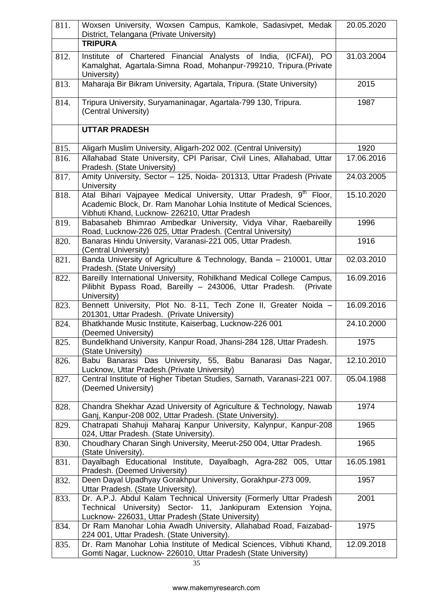| 811. | Woxsen University, Woxsen Campus, Kamkole, Sadasivpet, Medak<br>District, Telangana (Private University)                                                                                                | 20.05.2020 |
|------|---------------------------------------------------------------------------------------------------------------------------------------------------------------------------------------------------------|------------|
|      | <b>TRIPURA</b>                                                                                                                                                                                          |            |
| 812. | Institute of Chartered Financial Analysts of India, (ICFAI), PO<br>Kamalghat, Agartala-Simna Road, Mohanpur-799210, Tripura.(Private<br>University)                                                     | 31.03.2004 |
| 813. | Maharaja Bir Bikram University, Agartala, Tripura. (State University)                                                                                                                                   | 2015       |
| 814. | Tripura University, Suryamaninagar, Agartala-799 130, Tripura.<br>(Central University)                                                                                                                  | 1987       |
|      | <b>UTTAR PRADESH</b>                                                                                                                                                                                    |            |
| 815. | Aligarh Muslim University, Aligarh-202 002. (Central University)                                                                                                                                        | 1920       |
| 816. | Allahabad State University, CPI Parisar, Civil Lines, Allahabad, Uttar<br>Pradesh. (State University)                                                                                                   | 17.06.2016 |
| 817. | Amity University, Sector - 125, Noida- 201313, Uttar Pradesh (Private<br><b>University</b>                                                                                                              | 24.03.2005 |
| 818. | Atal Bihari Vajpayee Medical University, Uttar Pradesh, 9 <sup>th</sup> Floor,<br>Academic Block, Dr. Ram Manohar Lohia Institute of Medical Sciences,<br>Vibhuti Khand, Lucknow- 226210, Uttar Pradesh | 15.10.2020 |
| 819. | Babasaheb Bhimrao Ambedkar University, Vidya Vihar, Raebareilly<br>Road, Lucknow-226 025, Uttar Pradesh. (Central University)                                                                           | 1996       |
| 820. | Banaras Hindu University, Varanasi-221 005, Uttar Pradesh.<br>(Central University)                                                                                                                      | 1916       |
| 821. | Banda University of Agriculture & Technology, Banda - 210001, Uttar<br>Pradesh. (State University)                                                                                                      | 02.03.2010 |
| 822. | Bareilly International University, Rohilkhand Medical College Campus,<br>Pilibhit Bypass Road, Bareilly - 243006, Uttar Pradesh.<br>(Private<br>University)                                             | 16.09.2016 |
| 823. | Bennett University, Plot No. 8-11, Tech Zone II, Greater Noida -<br>201301, Uttar Pradesh. (Private University)                                                                                         | 16.09.2016 |
| 824. | Bhatkhande Music Institute, Kaiserbag, Lucknow-226 001<br>(Deemed University)                                                                                                                           | 24.10.2000 |
| 825. | Bundelkhand University, Kanpur Road, Jhansi-284 128, Uttar Pradesh.<br>(State University)                                                                                                               | 1975       |
| 826. | Babu Banarasi Das University, 55, Babu Banarasi Das Nagar,<br>Lucknow, Uttar Pradesh. (Private University)                                                                                              | 12.10.2010 |
| 827. | Central Institute of Higher Tibetan Studies, Sarnath, Varanasi-221 007.<br>(Deemed University)                                                                                                          | 05.04.1988 |
| 828. | Chandra Shekhar Azad University of Agriculture & Technology, Nawab<br>Ganj, Kanpur-208 002, Uttar Pradesh. (State University).                                                                          | 1974       |
| 829. | Chatrapati Shahuji Maharaj Kanpur University, Kalynpur, Kanpur-208<br>024, Uttar Pradesh. (State University).                                                                                           | 1965       |
| 830. | Choudhary Charan Singh University, Meerut-250 004, Uttar Pradesh.<br>(State University).                                                                                                                | 1965       |
| 831. | Dayalbagh Educational Institute, Dayalbagh, Agra-282 005, Uttar<br>Pradesh. (Deemed University)                                                                                                         | 16.05.1981 |
| 832. | Deen Dayal Upadhyay Gorakhpur University, Gorakhpur-273 009,<br>Uttar Pradesh. (State University).                                                                                                      | 1957       |
| 833. | Dr. A.P.J. Abdul Kalam Technical University (Formerly Uttar Pradesh<br>Technical University) Sector- 11, Jankipuram Extension Yojna,<br>Lucknow- 226031, Uttar Pradesh (State University)               | 2001       |
| 834. | Dr Ram Manohar Lohia Awadh University, Allahabad Road, Faizabad-<br>224 001, Uttar Pradesh. (State University).                                                                                         | 1975       |
| 835. | Dr. Ram Manohar Lohia Institute of Medical Sciences, Vibhuti Khand,<br>Gomti Nagar, Lucknow- 226010, Uttar Pradesh (State University)                                                                   | 12.09.2018 |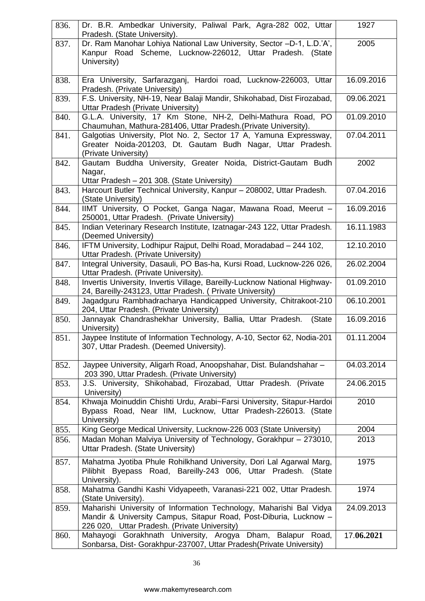| 836. | Dr. B.R. Ambedkar University, Paliwal Park, Agra-282 002, Uttar<br>Pradesh. (State University).                                                                                          | 1927       |
|------|------------------------------------------------------------------------------------------------------------------------------------------------------------------------------------------|------------|
| 837. | Dr. Ram Manohar Lohiya National Law University, Sector -D-1, L.D.'A',<br>Kanpur Road Scheme, Lucknow-226012, Uttar Pradesh. (State<br>University)                                        | 2005       |
| 838. | Era University, Sarfarazganj, Hardoi road, Lucknow-226003, Uttar<br>Pradesh. (Private University)                                                                                        | 16.09.2016 |
| 839. | F.S. University, NH-19, Near Balaji Mandir, Shikohabad, Dist Firozabad,<br>Uttar Pradesh (Private University)                                                                            | 09.06.2021 |
| 840. | G.L.A. University, 17 Km Stone, NH-2, Delhi-Mathura Road, PO<br>Chaumuhan, Mathura-281406, Uttar Pradesh.(Private University).                                                           | 01.09.2010 |
| 841. | Galgotias University, Plot No. 2, Sector 17 A, Yamuna Expressway,<br>Greater Noida-201203, Dt. Gautam Budh Nagar, Uttar Pradesh.<br>(Private University)                                 | 07.04.2011 |
| 842. | Gautam Buddha University, Greater Noida, District-Gautam Budh<br>Nagar,<br>Uttar Pradesh - 201 308. (State University)                                                                   | 2002       |
| 843. | Harcourt Butler Technical University, Kanpur - 208002, Uttar Pradesh.<br>(State University)                                                                                              | 07.04.2016 |
| 844. | IIMT University, O Pocket, Ganga Nagar, Mawana Road, Meerut -<br>250001, Uttar Pradesh. (Private University)                                                                             | 16.09.2016 |
| 845. | Indian Veterinary Research Institute, Izatnagar-243 122, Uttar Pradesh.<br>(Deemed University)                                                                                           | 16.11.1983 |
| 846. | IFTM University, Lodhipur Rajput, Delhi Road, Moradabad - 244 102,<br>Uttar Pradesh. (Private University)                                                                                | 12.10.2010 |
| 847. | Integral University, Dasauli, PO Bas-ha, Kursi Road, Lucknow-226 026,<br>Uttar Pradesh. (Private University).                                                                            | 26.02.2004 |
| 848. | Invertis University, Invertis Village, Bareilly-Lucknow National Highway-<br>24, Bareilly-243123, Uttar Pradesh. (Private University)                                                    | 01.09.2010 |
| 849. | Jagadguru Rambhadracharya Handicapped University, Chitrakoot-210<br>204, Uttar Pradesh. (Private University)                                                                             | 06.10.2001 |
| 850. | Jannayak Chandrashekhar University, Ballia, Uttar Pradesh.<br>(State<br>University)                                                                                                      | 16.09.2016 |
| 851. | Jaypee Institute of Information Technology, A-10, Sector 62, Nodia-201<br>307, Uttar Pradesh. (Deemed University).                                                                       | 01.11.2004 |
| 852. | Jaypee University, Aligarh Road, Anoopshahar, Dist. Bulandshahar -<br>203 390, Uttar Pradesh. (Private University)                                                                       | 04.03.2014 |
| 853. | J.S. University, Shikohabad, Firozabad, Uttar Pradesh. (Private<br>University)                                                                                                           | 24.06.2015 |
| 854. | Khwaja Moinuddin Chishti Urdu, Arabi~Farsi University, Sitapur-Hardoi<br>Bypass Road, Near IIM, Lucknow, Uttar Pradesh-226013. (State<br>University)                                     | 2010       |
| 855. | King George Medical University, Lucknow-226 003 (State University)                                                                                                                       | 2004       |
| 856. | Madan Mohan Malviya University of Technology, Gorakhpur - 273010,<br>Uttar Pradesh. (State University)                                                                                   | 2013       |
| 857. | Mahatma Jyotiba Phule Rohilkhand University, Dori Lal Agarwal Marg,<br>Pilibhit Byepass Road, Bareilly-243 006, Uttar Pradesh. (State<br>University).                                    | 1975       |
| 858. | Mahatma Gandhi Kashi Vidyapeeth, Varanasi-221 002, Uttar Pradesh.<br>(State University).                                                                                                 | 1974       |
| 859. | Maharishi University of Information Technology, Maharishi Bal Vidya<br>Mandir & University Campus, Sitapur Road, Post-Diburia, Lucknow -<br>226 020, Uttar Pradesh. (Private University) | 24.09.2013 |
| 860. | Mahayogi Gorakhnath University, Arogya Dham, Balapur Road,<br>Sonbarsa, Dist- Gorakhpur-237007, Uttar Pradesh (Private University)                                                       | 17.06.2021 |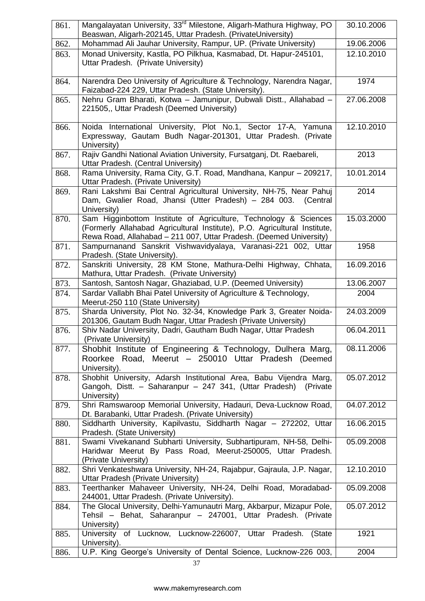| 861. | Mangalayatan University, 33 <sup>rd</sup> Milestone, Aligarh-Mathura Highway, PO<br>Beaswan, Aligarh-202145, Uttar Pradesh. (PrivateUniversity)                                                                     | 30.10.2006 |
|------|---------------------------------------------------------------------------------------------------------------------------------------------------------------------------------------------------------------------|------------|
| 862. | Mohammad Ali Jauhar University, Rampur, UP. (Private University)                                                                                                                                                    | 19.06.2006 |
| 863. | Monad University, Kastla, PO Pilkhua, Kasmabad, Dt. Hapur-245101,<br>Uttar Pradesh. (Private University)                                                                                                            | 12.10.2010 |
| 864. | Narendra Deo University of Agriculture & Technology, Narendra Nagar,<br>Faizabad-224 229, Uttar Pradesh. (State University).                                                                                        | 1974       |
| 865. | Nehru Gram Bharati, Kotwa - Jamunipur, Dubwali Distt., Allahabad -<br>221505,, Uttar Pradesh (Deemed University)                                                                                                    | 27.06.2008 |
| 866. | Noida International University, Plot No.1, Sector 17-A, Yamuna<br>Expressway, Gautam Budh Nagar-201301, Uttar Pradesh. (Private<br>University)                                                                      | 12.10.2010 |
| 867. | Rajiv Gandhi National Aviation University, Fursatganj, Dt. Raebareli,<br>Uttar Pradesh. (Central University)                                                                                                        | 2013       |
| 868. | Rama University, Rama City, G.T. Road, Mandhana, Kanpur - 209217,<br>Uttar Pradesh. (Private University)                                                                                                            | 10.01.2014 |
| 869. | Rani Lakshmi Bai Central Agricultural University, NH-75, Near Pahuj<br>Dam, Gwalier Road, Jhansi (Utter Pradesh) - 284 003.<br>(Central<br>University)                                                              | 2014       |
| 870. | Sam Higginbottom Institute of Agriculture, Technology & Sciences<br>(Formerly Allahabad Agricultural Institute), P.O. Agricultural Institute,<br>Rewa Road, Allahabad - 211 007, Uttar Pradesh. (Deemed University) | 15.03.2000 |
| 871. | Sampurnanand Sanskrit Vishwavidyalaya, Varanasi-221 002, Uttar<br>Pradesh. (State University).                                                                                                                      | 1958       |
| 872. | Sanskriti University, 28 KM Stone, Mathura-Delhi Highway, Chhata,<br>Mathura, Uttar Pradesh. (Private University)                                                                                                   | 16.09.2016 |
| 873. | Santosh, Santosh Nagar, Ghaziabad, U.P. (Deemed University)                                                                                                                                                         | 13.06.2007 |
| 874. | Sardar Vallabh Bhai Patel University of Agriculture & Technology,<br>Meerut-250 110 (State University)                                                                                                              | 2004       |
| 875. | Sharda University, Plot No. 32-34, Knowledge Park 3, Greater Noida-<br>201306, Gautam Budh Nagar, Uttar Pradesh (Private University)                                                                                | 24.03.2009 |
| 876. | Shiv Nadar University, Dadri, Gautham Budh Nagar, Uttar Pradesh<br>(Private University)                                                                                                                             | 06.04.2011 |
| 877. | Shobhit Institute of Engineering & Technology, Dulhera Marg,<br>Roorkee Road, Meerut - 250010 Uttar Pradesh (Deemed<br>University).                                                                                 | 08.11.2006 |
| 878. | Shobhit University, Adarsh Institutional Area, Babu Vijendra Marg,<br>Gangoh, Distt. - Saharanpur - 247 341, (Uttar Pradesh)<br>(Private)<br>University)                                                            | 05.07.2012 |
| 879. | Shri Ramswaroop Memorial University, Hadauri, Deva-Lucknow Road,<br>Dt. Barabanki, Uttar Pradesh. (Private University)                                                                                              | 04.07.2012 |
| 880. | Siddharth University, Kapilvastu, Siddharth Nagar - 272202, Uttar<br>Pradesh. (State University)                                                                                                                    | 16.06.2015 |
| 881. | Swami Vivekanand Subharti University, Subhartipuram, NH-58, Delhi-<br>Haridwar Meerut By Pass Road, Meerut-250005, Uttar Pradesh.<br>(Private University)                                                           | 05.09.2008 |
| 882. | Shri Venkateshwara University, NH-24, Rajabpur, Gajraula, J.P. Nagar,<br>Uttar Pradesh (Private University)                                                                                                         | 12.10.2010 |
| 883. | Teerthanker Mahaveer University, NH-24, Delhi Road, Moradabad-<br>244001, Uttar Pradesh. (Private University).                                                                                                      | 05.09.2008 |
| 884. | The Glocal University, Delhi-Yamunautri Marg, Akbarpur, Mizapur Pole,<br>Tehsil - Behat, Saharanpur - 247001, Uttar Pradesh. (Private<br>University)                                                                | 05.07.2012 |
| 885. | University of Lucknow, Lucknow-226007, Uttar Pradesh. (State<br>University).                                                                                                                                        | 1921       |
| 886. | U.P. King George's University of Dental Science, Lucknow-226 003,                                                                                                                                                   | 2004       |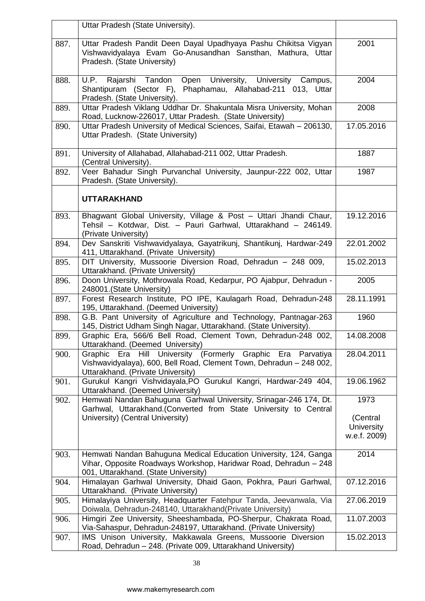|      | Uttar Pradesh (State University).                                                                                                                                                   |                                                |
|------|-------------------------------------------------------------------------------------------------------------------------------------------------------------------------------------|------------------------------------------------|
| 887. | Uttar Pradesh Pandit Deen Dayal Upadhyaya Pashu Chikitsa Vigyan<br>Vishwavidyalaya Evam Go-Anusandhan Sansthan, Mathura, Uttar<br>Pradesh. (State University)                       | 2001                                           |
| 888. | U.P. Rajarshi Tandon Open University, University Campus,<br>Shantipuram (Sector F), Phaphamau, Allahabad-211 013, Uttar<br>Pradesh. (State University).                             | 2004                                           |
| 889. | Uttar Pradesh Viklang Uddhar Dr. Shakuntala Misra University, Mohan<br>Road, Lucknow-226017, Uttar Pradesh. (State University)                                                      | 2008                                           |
| 890. | Uttar Pradesh University of Medical Sciences, Saifai, Etawah - 206130,<br>Uttar Pradesh. (State University)                                                                         | 17.05.2016                                     |
| 891. | University of Allahabad, Allahabad-211 002, Uttar Pradesh.<br>(Central University).                                                                                                 | 1887                                           |
| 892. | Veer Bahadur Singh Purvanchal University, Jaunpur-222 002, Uttar<br>Pradesh. (State University).                                                                                    | 1987                                           |
|      | <b>UTTARAKHAND</b>                                                                                                                                                                  |                                                |
| 893. | Bhagwant Global University, Village & Post - Uttari Jhandi Chaur,<br>Tehsil - Kotdwar, Dist. - Pauri Garhwal, Uttarakhand - 246149.<br>(Private University)                         | 19.12.2016                                     |
| 894. | Dev Sanskriti Vishwavidyalaya, Gayatrikunj, Shantikunj, Hardwar-249<br>411, Uttarakhand. (Private University)                                                                       | 22.01.2002                                     |
| 895. | DIT University, Mussoorie Diversion Road, Dehradun - 248 009,<br>Uttarakhand. (Private University)                                                                                  | 15.02.2013                                     |
| 896. | Doon University, Mothrowala Road, Kedarpur, PO Ajabpur, Dehradun -<br>248001.(State University)                                                                                     | 2005                                           |
| 897. | Forest Research Institute, PO IPE, Kaulagarh Road, Dehradun-248<br>195, Uttarakhand. (Deemed University)                                                                            | 28.11.1991                                     |
| 898. | G.B. Pant University of Agriculture and Technology, Pantnagar-263<br>145, District Udham Singh Nagar, Uttarakhand. (State University).                                              | 1960                                           |
| 899. | Graphic Era, 566/6 Bell Road, Clement Town, Dehradun-248 002,<br>Uttarakhand. (Deemed University)                                                                                   | 14.08.2008                                     |
| 900. | (Formerly Graphic Era Parvatiya<br>Graphic<br>Hill<br>University<br>Era<br>Vishwavidyalaya), 600, Bell Road, Clement Town, Dehradun - 248 002,<br>Uttarakhand. (Private University) | 28.04.2011                                     |
| 901. | Gurukul Kangri Vishvidayala, PO Gurukul Kangri, Hardwar-249 404,<br>Uttarakhand. (Deemed University)                                                                                | 19.06.1962                                     |
| 902. | Hemwati Nandan Bahuguna Garhwal University, Srinagar-246 174, Dt.<br>Garhwal, Uttarakhand. (Converted from State University to Central<br>University) (Central University)          | 1973<br>(Central<br>University<br>w.e.f. 2009) |
| 903. | Hemwati Nandan Bahuguna Medical Education University, 124, Ganga<br>Vihar, Opposite Roadways Workshop, Haridwar Road, Dehradun - 248<br>001, Uttarakhand. (State University)        | 2014                                           |
| 904. | Himalayan Garhwal University, Dhaid Gaon, Pokhra, Pauri Garhwal,<br>Uttarakhand. (Private University)                                                                               | 07.12.2016                                     |
| 905. | Himalayiya University, Headquarter Fatehpur Tanda, Jeevanwala, Via<br>Doiwala, Dehradun-248140, Uttarakhand(Private University)                                                     | 27.06.2019                                     |
| 906. | Himgiri Zee University, Sheeshambada, PO-Sherpur, Chakrata Road,<br>Via-Sahaspur, Dehradun-248197, Uttarakhand. (Private University)                                                | 11.07.2003                                     |
| 907. | IMS Unison University, Makkawala Greens, Mussoorie Diversion<br>Road, Dehradun - 248. (Private 009, Uttarakhand University)                                                         | 15.02.2013                                     |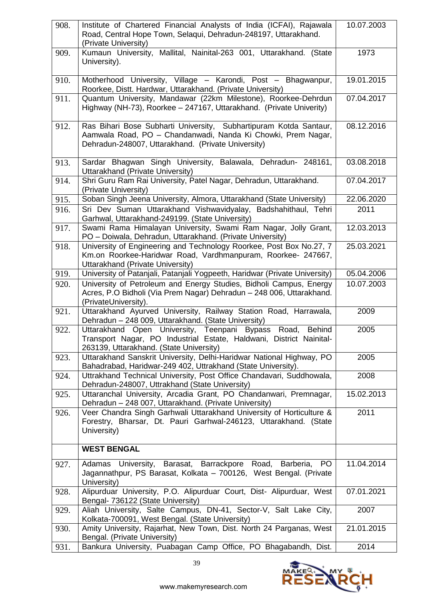| 908. | Institute of Chartered Financial Analysts of India (ICFAI), Rajawala<br>Road, Central Hope Town, Selaqui, Dehradun-248197, Uttarakhand.<br>(Private University)                          | 10.07.2003 |
|------|------------------------------------------------------------------------------------------------------------------------------------------------------------------------------------------|------------|
| 909. | Kumaun University, Mallital, Nainital-263 001, Uttarakhand. (State<br>University).                                                                                                       | 1973       |
| 910. | Motherhood University, Village - Karondi, Post - Bhagwanpur,<br>Roorkee, Distt. Hardwar, Uttarakhand. (Private University)                                                               | 19.01.2015 |
| 911. | Quantum University, Mandawar (22km Milestone), Roorkee-Dehrdun<br>Highway (NH-73), Roorkee - 247167, Uttarakhand. (Private Univerity)                                                    | 07.04.2017 |
| 912. | Ras Bihari Bose Subharti University, Subhartipuram Kotda Santaur,<br>Aamwala Road, PO - Chandanwadi, Nanda Ki Chowki, Prem Nagar,<br>Dehradun-248007, Uttarakhand. (Private University)  | 08.12.2016 |
| 913. | Sardar Bhagwan Singh University, Balawala, Dehradun- 248161,<br>Uttarakhand (Private University)                                                                                         | 03.08.2018 |
| 914. | Shri Guru Ram Rai University, Patel Nagar, Dehradun, Uttarakhand.<br>(Private University)                                                                                                | 07.04.2017 |
| 915. | Soban Singh Jeena University, Almora, Uttarakhand (State University)                                                                                                                     | 22.06.2020 |
| 916. | Sri Dev Suman Uttarakhand Vishwavidyalay, Badshahithaul, Tehri<br>Garhwal, Uttarakhand-249199. (State University)                                                                        | 2011       |
| 917. | Swami Rama Himalayan University, Swami Ram Nagar, Jolly Grant,<br>PO - Doiwala, Dehradun, Uttarakhand. (Private University)                                                              | 12.03.2013 |
| 918. | University of Engineering and Technology Roorkee, Post Box No.27, 7<br>Km.on Roorkee-Haridwar Road, Vardhmanpuram, Roorkee- 247667,<br>Uttarakhand (Private University)                  | 25.03.2021 |
| 919. | University of Patanjali, Patanjali Yogpeeth, Haridwar (Private University)                                                                                                               | 05.04.2006 |
| 920. | University of Petroleum and Energy Studies, Bidholi Campus, Energy<br>Acres, P.O Bidholi (Via Prem Nagar) Dehradun - 248 006, Uttarakhand.<br>(PrivateUniversity).                       | 10.07.2003 |
| 921. | Uttarakhand Ayurved University, Railway Station Road, Harrawala,<br>Dehradun - 248 009, Uttarakhand. (State University)                                                                  | 2009       |
| 922. | Uttarakhand Open University, Teenpani Bypass<br>Road,<br><b>Behind</b><br>Transport Nagar, PO Industrial Estate, Haldwani, District Nainital-<br>263139, Uttarakhand. (State University) | 2005       |
| 923. | Uttarakhand Sanskrit University, Delhi-Haridwar National Highway, PO<br>Bahadrabad, Haridwar-249 402, Uttrakhand (State University).                                                     | 2005       |
| 924. | Uttrakhand Technical University, Post Office Chandavari, Suddhowala,<br>Dehradun-248007, Uttrakhand (State University)                                                                   | 2008       |
| 925. | Uttaranchal University, Arcadia Grant, PO Chandanwari, Premnagar,<br>Dehradun - 248 007, Uttarakhand. (Private University)                                                               | 15.02.2013 |
| 926. | Veer Chandra Singh Garhwali Uttarakhand University of Horticulture &<br>Forestry, Bharsar, Dt. Pauri Garhwal-246123, Uttarakhand. (State<br>University)                                  | 2011       |
|      | <b>WEST BENGAL</b>                                                                                                                                                                       |            |
| 927. | Adamas University, Barasat, Barrackpore Road, Barberia,<br>PO.<br>Jagannathpur, PS Barasat, Kolkata - 700126, West Bengal. (Private<br>University)                                       | 11.04.2014 |
| 928. | Alipurduar University, P.O. Alipurduar Court, Dist- Alipurduar, West<br>Bengal- 736122 (State University)                                                                                | 07.01.2021 |
| 929. | Aliah University, Salte Campus, DN-41, Sector-V, Salt Lake City,<br>Kolkata-700091, West Bengal. (State University)                                                                      | 2007       |
| 930. | Amity University, Rajarhat, New Town, Dist. North 24 Parganas, West<br>Bengal. (Private University)                                                                                      | 21.01.2015 |
| 931. | Bankura University, Puabagan Camp Office, PO Bhagabandh, Dist.                                                                                                                           | 2014       |



39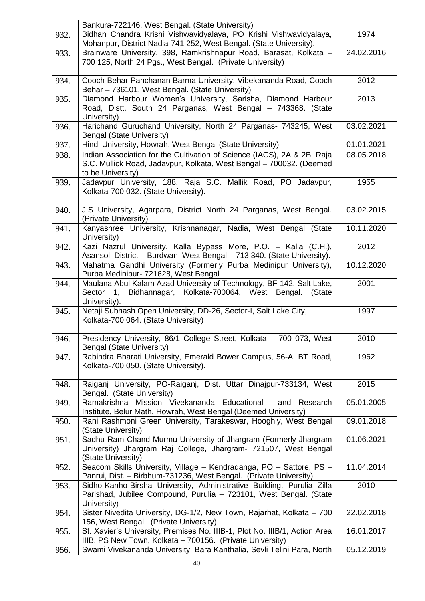|      | Bankura-722146, West Bengal. (State University)                                                                                                                     |            |
|------|---------------------------------------------------------------------------------------------------------------------------------------------------------------------|------------|
| 932. | Bidhan Chandra Krishi Vishwavidyalaya, PO Krishi Vishwavidyalaya,<br>Mohanpur, District Nadia-741 252, West Bengal. (State University).                             | 1974       |
| 933. | Brainware University, 398, Ramkrishnapur Road, Barasat, Kolkata -<br>700 125, North 24 Pgs., West Bengal. (Private University)                                      | 24.02.2016 |
| 934. | Cooch Behar Panchanan Barma University, Vibekananda Road, Cooch<br>Behar - 736101, West Bengal. (State University)                                                  | 2012       |
| 935. | Diamond Harbour Women's University, Sarisha, Diamond Harbour<br>Road, Distt. South 24 Parganas, West Bengal - 743368. (State<br>University)                         | 2013       |
| 936. | Harichand Guruchand University, North 24 Parganas- 743245, West<br>Bengal (State University)                                                                        | 03.02.2021 |
| 937. | Hindi University, Howrah, West Bengal (State University)                                                                                                            | 01.01.2021 |
| 938. | Indian Association for the Cultivation of Science (IACS), 2A & 2B, Raja<br>S.C. Mullick Road, Jadavpur, Kolkata, West Bengal - 700032. (Deemed<br>to be University) | 08.05.2018 |
| 939. | Jadavpur University, 188, Raja S.C. Mallik Road, PO Jadavpur,<br>Kolkata-700 032. (State University).                                                               | 1955       |
| 940. | JIS University, Agarpara, District North 24 Parganas, West Bengal.<br>(Private University)                                                                          | 03.02.2015 |
| 941. | Kanyashree University, Krishnanagar, Nadia, West Bengal (State<br>University)                                                                                       | 10.11.2020 |
| 942. | Kazi Nazrul University, Kalla Bypass More, P.O. - Kalla (C.H.),<br>Asansol, District - Burdwan, West Bengal - 713 340. (State University).                          | 2012       |
| 943. | Mahatma Gandhi University (Formerly Purba Medinipur University),<br>Purba Medinipur- 721628, West Bengal                                                            | 10.12.2020 |
| 944. | Maulana Abul Kalam Azad University of Technology, BF-142, Salt Lake,<br>Sector 1, Bidhannagar, Kolkata-700064, West Bengal.<br>(State)<br>University).              | 2001       |
| 945. | Netaji Subhash Open University, DD-26, Sector-I, Salt Lake City,<br>Kolkata-700 064. (State University)                                                             | 1997       |
| 946. | Presidency University, 86/1 College Street, Kolkata - 700 073, West<br>Bengal (State University)                                                                    | 2010       |
| 947. | Rabindra Bharati University, Emerald Bower Campus, 56-A, BT Road,<br>Kolkata-700 050. (State University).                                                           | 1962       |
| 948. | Raiganj University, PO-Raiganj, Dist. Uttar Dinajpur-733134, West<br>Bengal. (State University)                                                                     | 2015       |
| 949. | Mission Vivekananda Educational<br>Ramakrishna<br>and<br>Research<br>Institute, Belur Math, Howrah, West Bengal (Deemed University)                                 | 05.01.2005 |
| 950. | Rani Rashmoni Green University, Tarakeswar, Hooghly, West Bengal<br>(State University)                                                                              | 09.01.2018 |
| 951. | Sadhu Ram Chand Murmu University of Jhargram (Formerly Jhargram<br>University) Jhargram Raj College, Jhargram- 721507, West Bengal<br>(State University)            | 01.06.2021 |
| 952. | Seacom Skills University, Village - Kendradanga, PO - Sattore, PS -<br>Panrui, Dist. - Birbhum-731236, West Bengal. (Private University)                            | 11.04.2014 |
| 953. | Sidho-Kanho-Birsha University, Administrative Building, Purulia Zilla<br>Parishad, Jubilee Compound, Purulia - 723101, West Bengal. (State<br>University)           | 2010       |
| 954. | Sister Nivedita University, DG-1/2, New Town, Rajarhat, Kolkata - 700<br>156, West Bengal. (Private University)                                                     | 22.02.2018 |
| 955. | St. Xavier's University, Premises No. IIIB-1, Plot No. IIIB/1, Action Area<br>IIIB, PS New Town, Kolkata - 700156. (Private University)                             | 16.01.2017 |
| 956. | Swami Vivekananda University, Bara Kanthalia, Sevli Telini Para, North                                                                                              | 05.12.2019 |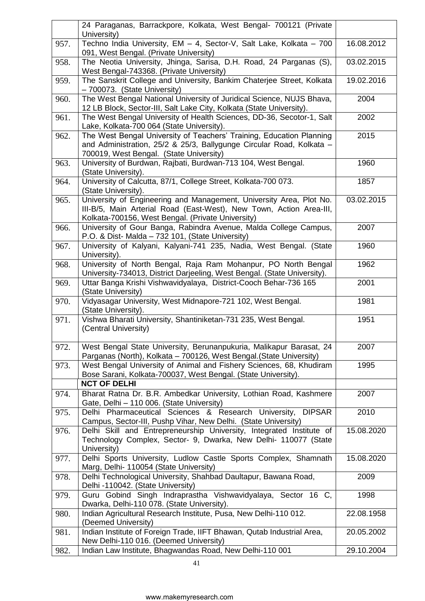|      | 24 Paraganas, Barrackpore, Kolkata, West Bengal- 700121 (Private<br>University)                                                                                                                 |            |
|------|-------------------------------------------------------------------------------------------------------------------------------------------------------------------------------------------------|------------|
| 957. | Techno India University, EM - 4, Sector-V, Salt Lake, Kolkata - 700<br>091, West Bengal. (Private University)                                                                                   | 16.08.2012 |
| 958. | The Neotia University, Jhinga, Sarisa, D.H. Road, 24 Parganas (S),<br>West Bengal-743368. (Private University)                                                                                  | 03.02.2015 |
| 959. | The Sanskrit College and University, Bankim Chaterjee Street, Kolkata<br>- 700073. (State University)                                                                                           | 19.02.2016 |
| 960. | The West Bengal National University of Juridical Science, NUJS Bhava,<br>12 LB Block, Sector-III, Salt Lake City, Kolkata (State University).                                                   | 2004       |
| 961. | The West Bengal University of Health Sciences, DD-36, Secotor-1, Salt<br>Lake, Kolkata-700 064 (State University).                                                                              | 2002       |
| 962. | The West Bengal University of Teachers' Training, Education Planning<br>and Administration, 25/2 & 25/3, Ballygunge Circular Road, Kolkata -<br>700019, West Bengal. (State University)         | 2015       |
| 963. | University of Burdwan, Rajbati, Burdwan-713 104, West Bengal.<br>(State University).                                                                                                            | 1960       |
| 964. | University of Calcutta, 87/1, College Street, Kolkata-700 073.<br>(State University).                                                                                                           | 1857       |
| 965. | University of Engineering and Management, University Area, Plot No.<br>III-B/5, Main Arterial Road (East-West), New Town, Action Area-III,<br>Kolkata-700156, West Bengal. (Private University) | 03.02.2015 |
| 966. | University of Gour Banga, Rabindra Avenue, Malda College Campus,<br>P.O. & Dist- Malda - 732 101, (State University)                                                                            | 2007       |
| 967. | University of Kalyani, Kalyani-741 235, Nadia, West Bengal. (State<br>University).                                                                                                              | 1960       |
| 968. | University of North Bengal, Raja Ram Mohanpur, PO North Bengal<br>University-734013, District Darjeeling, West Bengal. (State University).                                                      | 1962       |
| 969. | Uttar Banga Krishi Vishwavidyalaya, District-Cooch Behar-736 165<br>(State University)                                                                                                          | 2001       |
| 970. | Vidyasagar University, West Midnapore-721 102, West Bengal.<br>(State University).                                                                                                              | 1981       |
| 971. | Vishwa Bharati University, Shantiniketan-731 235, West Bengal.<br>(Central University)                                                                                                          | 1951       |
| 972. | West Bengal State University, Berunanpukuria, Malikapur Barasat, 24<br>Parganas (North), Kolkata - 700126, West Bengal. (State University)                                                      | 2007       |
| 973. | West Bengal University of Animal and Fishery Sciences, 68, Khudiram<br>Bose Sarani, Kolkata-700037, West Bengal. (State University).<br><b>NCT OF DELHI</b>                                     | 1995       |
| 974. | Bharat Ratna Dr. B.R. Ambedkar University, Lothian Road, Kashmere<br>Gate, Delhi - 110 006. (State University)                                                                                  | 2007       |
| 975. | Delhi Pharmaceutical Sciences & Research University,<br><b>DIPSAR</b><br>Campus, Sector-III, Pushp Vihar, New Delhi. (State University)                                                         | 2010       |
| 976. | Delhi Skill and Entrepreneurship University, Integrated Institute of<br>Technology Complex, Sector- 9, Dwarka, New Delhi- 110077 (State<br>University)                                          | 15.08.2020 |
| 977. | Delhi Sports University, Ludlow Castle Sports Complex, Shamnath<br>Marg, Delhi- 110054 (State University)                                                                                       | 15.08.2020 |
| 978. | Delhi Technological University, Shahbad Daultapur, Bawana Road,<br>Delhi -110042. (State University)                                                                                            | 2009       |
| 979. | Guru Gobind Singh Indraprastha Vishwavidyalaya, Sector 16 C,<br>Dwarka, Delhi-110 078. (State University).                                                                                      | 1998       |
| 980. | Indian Agricultural Research Institute, Pusa, New Delhi-110 012.<br>(Deemed University)                                                                                                         | 22.08.1958 |
| 981. | Indian Institute of Foreign Trade, IIFT Bhawan, Qutab Industrial Area,<br>New Delhi-110 016. (Deemed University)                                                                                | 20.05.2002 |
| 982. | Indian Law Institute, Bhagwandas Road, New Delhi-110 001                                                                                                                                        | 29.10.2004 |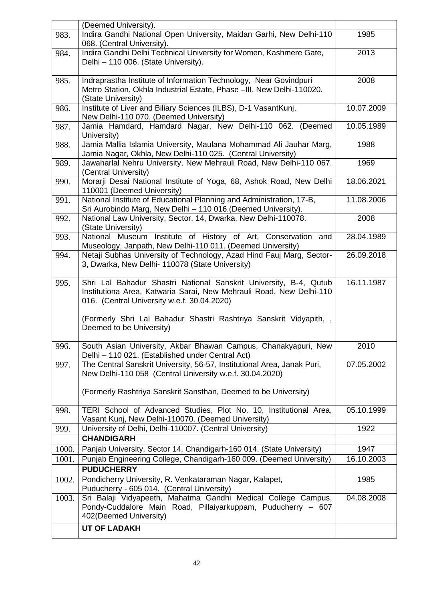|       | (Deemed University).                                                                                                                                                                                                                                                                    |            |
|-------|-----------------------------------------------------------------------------------------------------------------------------------------------------------------------------------------------------------------------------------------------------------------------------------------|------------|
| 983.  | Indira Gandhi National Open University, Maidan Garhi, New Delhi-110<br>068. (Central University).                                                                                                                                                                                       | 1985       |
| 984.  | Indira Gandhi Delhi Technical University for Women, Kashmere Gate,<br>Delhi - 110 006. (State University).                                                                                                                                                                              | 2013       |
| 985.  | Indraprastha Institute of Information Technology, Near Govindpuri<br>Metro Station, Okhla Industrial Estate, Phase -III, New Delhi-110020.<br>(State University)                                                                                                                        | 2008       |
| 986.  | Institute of Liver and Biliary Sciences (ILBS), D-1 VasantKunj,<br>New Delhi-110 070. (Deemed University)                                                                                                                                                                               | 10.07.2009 |
| 987.  | Jamia Hamdard, Hamdard Nagar, New Delhi-110 062. (Deemed<br>University)                                                                                                                                                                                                                 | 10.05.1989 |
| 988.  | Jamia Mallia Islamia University, Maulana Mohammad Ali Jauhar Marg,<br>Jamia Nagar, Okhla, New Delhi-110 025. (Central University)                                                                                                                                                       | 1988       |
| 989.  | Jawaharlal Nehru University, New Mehrauli Road, New Delhi-110 067.<br>(Central University)                                                                                                                                                                                              | 1969       |
| 990.  | Morarji Desai National Institute of Yoga, 68, Ashok Road, New Delhi<br>110001 (Deemed University)                                                                                                                                                                                       | 18.06.2021 |
| 991.  | National Institute of Educational Planning and Administration, 17-B,<br>Sri Aurobindo Marg, New Delhi - 110 016. (Deemed University).                                                                                                                                                   | 11.08.2006 |
| 992.  | National Law University, Sector, 14, Dwarka, New Delhi-110078.<br>(State University)                                                                                                                                                                                                    | 2008       |
| 993.  | National Museum Institute of History of Art, Conservation and<br>Museology, Janpath, New Delhi-110 011. (Deemed University)                                                                                                                                                             | 28.04.1989 |
| 994.  | Netaji Subhas University of Technology, Azad Hind Fauj Marg, Sector-<br>3, Dwarka, New Delhi- 110078 (State University)                                                                                                                                                                 | 26.09.2018 |
| 995.  | Shri Lal Bahadur Shastri National Sanskrit University, B-4, Qutub<br>Institutiona Area, Katwaria Sarai, New Mehrauli Road, New Delhi-110<br>016. (Central University w.e.f. 30.04.2020)<br>(Formerly Shri Lal Bahadur Shastri Rashtriya Sanskrit Vidyapith,<br>Deemed to be University) | 16.11.1987 |
| 996.  | South Asian University, Akbar Bhawan Campus, Chanakyapuri, New<br>Delhi - 110 021. (Established under Central Act)                                                                                                                                                                      | 2010       |
| 997.  | The Central Sanskrit University, 56-57, Institutional Area, Janak Puri,<br>New Delhi-110 058 (Central University w.e.f. 30.04.2020)                                                                                                                                                     | 07.05.2002 |
|       | (Formerly Rashtriya Sanskrit Sansthan, Deemed to be University)                                                                                                                                                                                                                         |            |
| 998.  | TERI School of Advanced Studies, Plot No. 10, Institutional Area,<br>Vasant Kunj, New Delhi-110070. (Deemed University)                                                                                                                                                                 | 05.10.1999 |
| 999.  | University of Delhi, Delhi-110007. (Central University)                                                                                                                                                                                                                                 | 1922       |
|       | <b>CHANDIGARH</b>                                                                                                                                                                                                                                                                       |            |
| 1000. | Panjab University, Sector 14, Chandigarh-160 014. (State University)                                                                                                                                                                                                                    | 1947       |
| 1001. | Punjab Engineering College, Chandigarh-160 009. (Deemed University)<br><b>PUDUCHERRY</b>                                                                                                                                                                                                | 16.10.2003 |
| 1002. | Pondicherry University, R. Venkataraman Nagar, Kalapet,<br>Puducherry - 605 014. (Central University)                                                                                                                                                                                   | 1985       |
| 1003. | Sri Balaji Vidyapeeth, Mahatma Gandhi Medical College Campus,<br>Pondy-Cuddalore Main Road, Pillaiyarkuppam, Puducherry - 607<br>402(Deemed University)                                                                                                                                 | 04.08.2008 |
|       | <b>UT OF LADAKH</b>                                                                                                                                                                                                                                                                     |            |